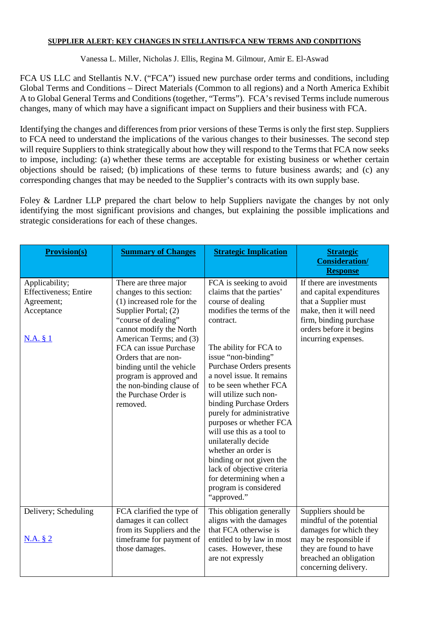# **SUPPLIER ALERT: KEY CHANGES IN STELLANTIS/FCA NEW TERMS AND CONDITIONS**

Vanessa L. Miller, Nicholas J. Ellis, Regina M. Gilmour, Amir E. El-Aswad

FCA US LLC and Stellantis N.V. ("FCA") issued new purchase order terms and conditions, including Global Terms and Conditions – Direct Materials (Common to all regions) and a North America Exhibit A to Global General Terms and Conditions (together, "Terms"). FCA's revised Terms include numerous changes, many of which may have a significant impact on Suppliers and their business with FCA.

Identifying the changes and differences from prior versions of these Terms is only the first step. Suppliers to FCA need to understand the implications of the various changes to their businesses. The second step will require Suppliers to think strategically about how they will respond to the Terms that FCA now seeks to impose, including: (a) whether these terms are acceptable for existing business or whether certain objections should be raised; (b) implications of these terms to future business awards; and (c) any corresponding changes that may be needed to the Supplier's contracts with its own supply base.

Foley & Lardner LLP prepared the chart below to help Suppliers navigate the changes by not only identifying the most significant provisions and changes, but explaining the possible implications and strategic considerations for each of these changes.

| <b>Provision(s)</b>                                                                            | <b>Summary of Changes</b>                                                                                                                                                                                                                                                                                                                                        | <b>Strategic Implication</b>                                                                                                                                                                                                                                                                                                                                                                                                                                                                                                                                                | <b>Strategic</b><br><b>Consideration/</b><br><b>Response</b>                                                                                                                        |
|------------------------------------------------------------------------------------------------|------------------------------------------------------------------------------------------------------------------------------------------------------------------------------------------------------------------------------------------------------------------------------------------------------------------------------------------------------------------|-----------------------------------------------------------------------------------------------------------------------------------------------------------------------------------------------------------------------------------------------------------------------------------------------------------------------------------------------------------------------------------------------------------------------------------------------------------------------------------------------------------------------------------------------------------------------------|-------------------------------------------------------------------------------------------------------------------------------------------------------------------------------------|
| Applicability;<br><b>Effectiveness</b> ; Entire<br>Agreement;<br>Acceptance<br><u>N.A. § 1</u> | There are three major<br>changes to this section:<br>(1) increased role for the<br>Supplier Portal; (2)<br>"course of dealing"<br>cannot modify the North<br>American Terms; and (3)<br>FCA can issue Purchase<br>Orders that are non-<br>binding until the vehicle<br>program is approved and<br>the non-binding clause of<br>the Purchase Order is<br>removed. | FCA is seeking to avoid<br>claims that the parties'<br>course of dealing<br>modifies the terms of the<br>contract.<br>The ability for FCA to<br>issue "non-binding"<br>Purchase Orders presents<br>a novel issue. It remains<br>to be seen whether FCA<br>will utilize such non-<br>binding Purchase Orders<br>purely for administrative<br>purposes or whether FCA<br>will use this as a tool to<br>unilaterally decide<br>whether an order is<br>binding or not given the<br>lack of objective criteria<br>for determining when a<br>program is considered<br>"approved." | If there are investments<br>and capital expenditures<br>that a Supplier must<br>make, then it will need<br>firm, binding purchase<br>orders before it begins<br>incurring expenses. |
| Delivery; Scheduling<br>N.A. § 2                                                               | FCA clarified the type of<br>damages it can collect<br>from its Suppliers and the<br>timeframe for payment of<br>those damages.                                                                                                                                                                                                                                  | This obligation generally<br>aligns with the damages<br>that FCA otherwise is<br>entitled to by law in most<br>cases. However, these<br>are not expressly                                                                                                                                                                                                                                                                                                                                                                                                                   | Suppliers should be<br>mindful of the potential<br>damages for which they<br>may be responsible if<br>they are found to have<br>breached an obligation<br>concerning delivery.      |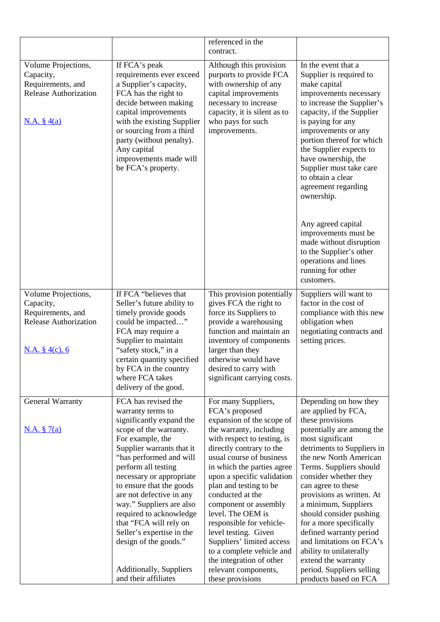|                                                                                                             |                                                                                                                                                                                                                                                                                                                                                                                                                                                                                        | referenced in the<br>contract.                                                                                                                                                                                                                                                                                                                                                                                                                                                                                                     |                                                                                                                                                                                                                                                                                                                                                                                                                                                                                                                                    |
|-------------------------------------------------------------------------------------------------------------|----------------------------------------------------------------------------------------------------------------------------------------------------------------------------------------------------------------------------------------------------------------------------------------------------------------------------------------------------------------------------------------------------------------------------------------------------------------------------------------|------------------------------------------------------------------------------------------------------------------------------------------------------------------------------------------------------------------------------------------------------------------------------------------------------------------------------------------------------------------------------------------------------------------------------------------------------------------------------------------------------------------------------------|------------------------------------------------------------------------------------------------------------------------------------------------------------------------------------------------------------------------------------------------------------------------------------------------------------------------------------------------------------------------------------------------------------------------------------------------------------------------------------------------------------------------------------|
| Volume Projections,<br>Capacity,<br>Requirements, and<br><b>Release Authorization</b><br><u>N.A. § 4(a)</u> | If FCA's peak<br>requirements ever exceed<br>a Supplier's capacity,<br>FCA has the right to<br>decide between making<br>capital improvements<br>with the existing Supplier<br>or sourcing from a third<br>party (without penalty).<br>Any capital<br>improvements made will<br>be FCA's property.                                                                                                                                                                                      | Although this provision<br>purports to provide FCA<br>with ownership of any<br>capital improvements<br>necessary to increase<br>capacity, it is silent as to<br>who pays for such<br>improvements.                                                                                                                                                                                                                                                                                                                                 | In the event that a<br>Supplier is required to<br>make capital<br>improvements necessary<br>to increase the Supplier's<br>capacity, if the Supplier<br>is paying for any<br>improvements or any<br>portion thereof for which<br>the Supplier expects to<br>have ownership, the<br>Supplier must take care<br>to obtain a clear<br>agreement regarding<br>ownership.<br>Any agreed capital<br>improvements must be<br>made without disruption<br>to the Supplier's other<br>operations and lines<br>running for other<br>customers. |
| Volume Projections,<br>Capacity,<br>Requirements, and<br><b>Release Authorization</b><br>N.A. $§$ 4(c), 6   | If FCA "believes that<br>Seller's future ability to<br>timely provide goods<br>could be impacted"<br>FCA may require a<br>Supplier to maintain<br>"safety stock," in a<br>certain quantity specified<br>by FCA in the country<br>where FCA takes<br>delivery of the good.                                                                                                                                                                                                              | This provision potentially<br>gives FCA the right to<br>force its Suppliers to<br>provide a warehousing<br>function and maintain an<br>inventory of components<br>larger than they<br>otherwise would have<br>desired to carry with<br>significant carrying costs.                                                                                                                                                                                                                                                                 | Suppliers will want to<br>factor in the cost of<br>compliance with this new<br>obligation when<br>negotiating contracts and<br>setting prices.                                                                                                                                                                                                                                                                                                                                                                                     |
| General Warranty<br>N.A. § 7(a)                                                                             | FCA has revised the<br>warranty terms to<br>significantly expand the<br>scope of the warranty.<br>For example, the<br>Supplier warrants that it<br>"has performed and will<br>perform all testing<br>necessary or appropriate<br>to ensure that the goods<br>are not defective in any<br>way." Suppliers are also<br>required to acknowledge<br>that "FCA will rely on<br>Seller's expertise in the<br>design of the goods."<br><b>Additionally, Suppliers</b><br>and their affiliates | For many Suppliers,<br>FCA's proposed<br>expansion of the scope of<br>the warranty, including<br>with respect to testing, is<br>directly contrary to the<br>usual course of business<br>in which the parties agree<br>upon a specific validation<br>plan and testing to be<br>conducted at the<br>component or assembly<br>level. The OEM is<br>responsible for vehicle-<br>level testing. Given<br>Suppliers' limited access<br>to a complete vehicle and<br>the integration of other<br>relevant components,<br>these provisions | Depending on how they<br>are applied by FCA,<br>these provisions<br>potentially are among the<br>most significant<br>detriments to Suppliers in<br>the new North American<br>Terms. Suppliers should<br>consider whether they<br>can agree to these<br>provisions as written. At<br>a minimum, Suppliers<br>should consider pushing<br>for a more specifically<br>defined warranty period<br>and limitations on FCA's<br>ability to unilaterally<br>extend the warranty<br>period. Suppliers selling<br>products based on FCA      |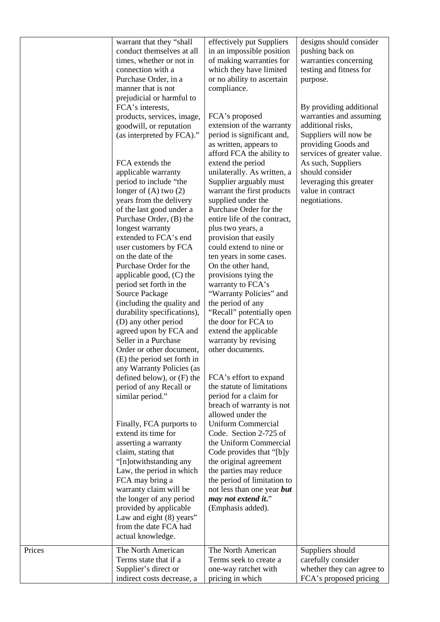|        | warrant that they "shall<br>conduct themselves at all<br>times, whether or not in<br>connection with a<br>Purchase Order, in a<br>manner that is not<br>prejudicial or harmful to<br>FCA's interests,<br>products, services, image,<br>goodwill, or reputation<br>(as interpreted by FCA)."<br>FCA extends the<br>applicable warranty<br>period to include "the<br>longer of $(A)$ two $(2)$<br>years from the delivery<br>of the last good under a<br>Purchase Order, (B) the<br>longest warranty<br>extended to FCA's end | effectively put Suppliers<br>in an impossible position<br>of making warranties for<br>which they have limited<br>or no ability to ascertain<br>compliance.<br>FCA's proposed<br>extension of the warranty<br>period is significant and,<br>as written, appears to<br>afford FCA the ability to<br>extend the period<br>unilaterally. As written, a<br>Supplier arguably must<br>warrant the first products<br>supplied under the<br>Purchase Order for the<br>entire life of the contract,<br>plus two years, a<br>provision that easily | designs should consider<br>pushing back on<br>warranties concerning<br>testing and fitness for<br>purpose.<br>By providing additional<br>warranties and assuming<br>additional risks,<br>Suppliers will now be<br>providing Goods and<br>services of greater value.<br>As such, Suppliers<br>should consider<br>leveraging this greater<br>value in contract<br>negotiations. |
|--------|-----------------------------------------------------------------------------------------------------------------------------------------------------------------------------------------------------------------------------------------------------------------------------------------------------------------------------------------------------------------------------------------------------------------------------------------------------------------------------------------------------------------------------|------------------------------------------------------------------------------------------------------------------------------------------------------------------------------------------------------------------------------------------------------------------------------------------------------------------------------------------------------------------------------------------------------------------------------------------------------------------------------------------------------------------------------------------|-------------------------------------------------------------------------------------------------------------------------------------------------------------------------------------------------------------------------------------------------------------------------------------------------------------------------------------------------------------------------------|
|        | user customers by FCA<br>on the date of the<br>Purchase Order for the<br>applicable good, (C) the<br>period set forth in the<br>Source Package<br>(including the quality and<br>durability specifications),<br>(D) any other period<br>agreed upon by FCA and<br>Seller in a Purchase<br>Order or other document,<br>(E) the period set forth in<br>any Warranty Policies (as<br>defined below), or $(F)$ the<br>period of any Recall or<br>similar period."                                                                | could extend to nine or<br>ten years in some cases.<br>On the other hand,<br>provisions tying the<br>warranty to FCA's<br>"Warranty Policies" and<br>the period of any<br>"Recall" potentially open<br>the door for FCA to<br>extend the applicable<br>warranty by revising<br>other documents.<br>FCA's effort to expand<br>the statute of limitations<br>period for a claim for<br>breach of warranty is not                                                                                                                           |                                                                                                                                                                                                                                                                                                                                                                               |
|        | Finally, FCA purports to<br>extend its time for<br>asserting a warranty<br>claim, stating that<br>"[n]otwithstanding any<br>Law, the period in which<br>FCA may bring a<br>warranty claim will be<br>the longer of any period<br>provided by applicable<br>Law and eight (8) years"<br>from the date FCA had<br>actual knowledge.                                                                                                                                                                                           | allowed under the<br><b>Uniform Commercial</b><br>Code. Section 2-725 of<br>the Uniform Commercial<br>Code provides that "[b]y<br>the original agreement<br>the parties may reduce<br>the period of limitation to<br>not less than one year but<br>may not extend it."<br>(Emphasis added).                                                                                                                                                                                                                                              |                                                                                                                                                                                                                                                                                                                                                                               |
| Prices | The North American<br>Terms state that if a<br>Supplier's direct or<br>indirect costs decrease, a                                                                                                                                                                                                                                                                                                                                                                                                                           | The North American<br>Terms seek to create a<br>one-way ratchet with<br>pricing in which                                                                                                                                                                                                                                                                                                                                                                                                                                                 | Suppliers should<br>carefully consider<br>whether they can agree to<br>FCA's proposed pricing                                                                                                                                                                                                                                                                                 |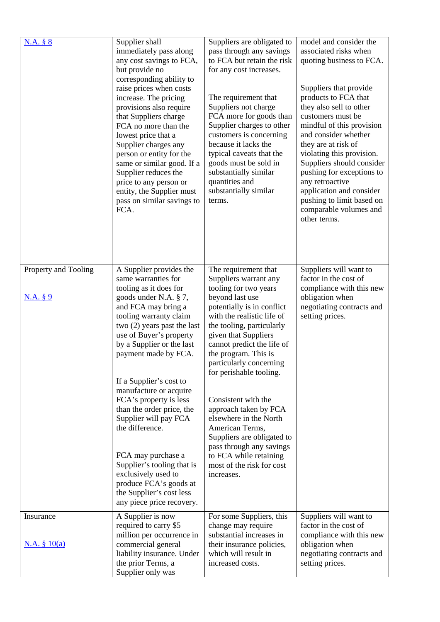| N.A. § 8                         | Supplier shall<br>immediately pass along<br>any cost savings to FCA,<br>but provide no<br>corresponding ability to<br>raise prices when costs<br>increase. The pricing<br>provisions also require<br>that Suppliers charge<br>FCA no more than the<br>lowest price that a<br>Supplier charges any<br>person or entity for the<br>same or similar good. If a<br>Supplier reduces the<br>price to any person or<br>entity, the Supplier must<br>pass on similar savings to<br>FCA.                                                                                                          | Suppliers are obligated to<br>pass through any savings<br>to FCA but retain the risk<br>for any cost increases.<br>The requirement that<br>Suppliers not charge<br>FCA more for goods than<br>Supplier charges to other<br>customers is concerning<br>because it lacks the<br>typical caveats that the<br>goods must be sold in<br>substantially similar<br>quantities and<br>substantially similar<br>terms.                                                                                                                                      | model and consider the<br>associated risks when<br>quoting business to FCA.<br>Suppliers that provide<br>products to FCA that<br>they also sell to other<br>customers must be<br>mindful of this provision<br>and consider whether<br>they are at risk of<br>violating this provision.<br>Suppliers should consider<br>pushing for exceptions to<br>any retroactive<br>application and consider<br>pushing to limit based on<br>comparable volumes and<br>other terms. |
|----------------------------------|-------------------------------------------------------------------------------------------------------------------------------------------------------------------------------------------------------------------------------------------------------------------------------------------------------------------------------------------------------------------------------------------------------------------------------------------------------------------------------------------------------------------------------------------------------------------------------------------|----------------------------------------------------------------------------------------------------------------------------------------------------------------------------------------------------------------------------------------------------------------------------------------------------------------------------------------------------------------------------------------------------------------------------------------------------------------------------------------------------------------------------------------------------|------------------------------------------------------------------------------------------------------------------------------------------------------------------------------------------------------------------------------------------------------------------------------------------------------------------------------------------------------------------------------------------------------------------------------------------------------------------------|
| Property and Tooling<br>N.A. § 9 | A Supplier provides the<br>same warranties for<br>tooling as it does for<br>goods under N.A. § 7,<br>and FCA may bring a<br>tooling warranty claim<br>two $(2)$ years past the last<br>use of Buyer's property<br>by a Supplier or the last<br>payment made by FCA.<br>If a Supplier's cost to<br>manufacture or acquire<br>FCA's property is less<br>than the order price, the<br>Supplier will pay FCA<br>the difference.<br>FCA may purchase a<br>Supplier's tooling that is<br>exclusively used to<br>produce FCA's goods at<br>the Supplier's cost less<br>any piece price recovery. | The requirement that<br>Suppliers warrant any<br>tooling for two years<br>beyond last use<br>potentially is in conflict<br>with the realistic life of<br>the tooling, particularly<br>given that Suppliers<br>cannot predict the life of<br>the program. This is<br>particularly concerning<br>for perishable tooling.<br>Consistent with the<br>approach taken by FCA<br>elsewhere in the North<br>American Terms,<br>Suppliers are obligated to<br>pass through any savings<br>to FCA while retaining<br>most of the risk for cost<br>increases. | Suppliers will want to<br>factor in the cost of<br>compliance with this new<br>obligation when<br>negotiating contracts and<br>setting prices.                                                                                                                                                                                                                                                                                                                         |
| Insurance<br>N.A. § 10(a)        | A Supplier is now<br>required to carry \$5<br>million per occurrence in<br>commercial general<br>liability insurance. Under<br>the prior Terms, a<br>Supplier only was                                                                                                                                                                                                                                                                                                                                                                                                                    | For some Suppliers, this<br>change may require<br>substantial increases in<br>their insurance policies,<br>which will result in<br>increased costs.                                                                                                                                                                                                                                                                                                                                                                                                | Suppliers will want to<br>factor in the cost of<br>compliance with this new<br>obligation when<br>negotiating contracts and<br>setting prices.                                                                                                                                                                                                                                                                                                                         |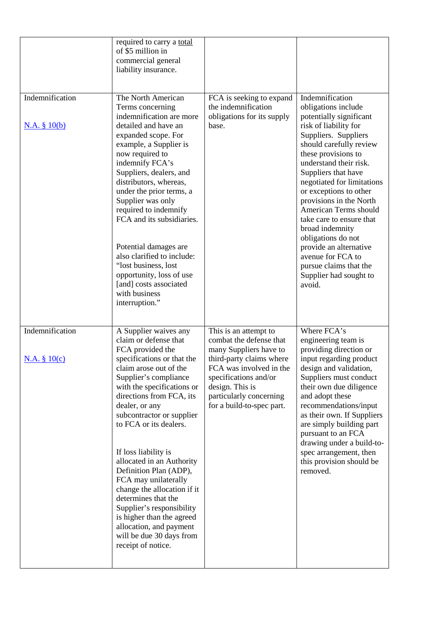|                                    | required to carry a total<br>of \$5 million in<br>commercial general<br>liability insurance.                                                                                                                                                                                                                                                                                                                                                                                                                                                                                               |                                                                                                                                                                                                                                       |                                                                                                                                                                                                                                                                                                                                                                                                                                                                                                                     |
|------------------------------------|--------------------------------------------------------------------------------------------------------------------------------------------------------------------------------------------------------------------------------------------------------------------------------------------------------------------------------------------------------------------------------------------------------------------------------------------------------------------------------------------------------------------------------------------------------------------------------------------|---------------------------------------------------------------------------------------------------------------------------------------------------------------------------------------------------------------------------------------|---------------------------------------------------------------------------------------------------------------------------------------------------------------------------------------------------------------------------------------------------------------------------------------------------------------------------------------------------------------------------------------------------------------------------------------------------------------------------------------------------------------------|
| Indemnification<br>N.A. § 10(b)    | The North American<br>Terms concerning<br>indemnification are more<br>detailed and have an<br>expanded scope. For<br>example, a Supplier is<br>now required to<br>indemnify FCA's<br>Suppliers, dealers, and<br>distributors, whereas,<br>under the prior terms, a<br>Supplier was only<br>required to indemnify<br>FCA and its subsidiaries.<br>Potential damages are<br>also clarified to include:<br>"lost business, lost<br>opportunity, loss of use<br>[and] costs associated<br>with business<br>interruption."                                                                      | FCA is seeking to expand<br>the indemnification<br>obligations for its supply<br>base.                                                                                                                                                | Indemnification<br>obligations include<br>potentially significant<br>risk of liability for<br>Suppliers. Suppliers<br>should carefully review<br>these provisions to<br>understand their risk.<br>Suppliers that have<br>negotiated for limitations<br>or exceptions to other<br>provisions in the North<br>American Terms should<br>take care to ensure that<br>broad indemnity<br>obligations do not<br>provide an alternative<br>avenue for FCA to<br>pursue claims that the<br>Supplier had sought to<br>avoid. |
| Indemnification<br>$N.A. \S 10(c)$ | A Supplier waives any<br>claim or defense that<br>FCA provided the<br>specifications or that the<br>claim arose out of the<br>Supplier's compliance<br>with the specifications or<br>directions from FCA, its<br>dealer, or any<br>subcontractor or supplier<br>to FCA or its dealers.<br>If loss liability is<br>allocated in an Authority<br>Definition Plan (ADP),<br>FCA may unilaterally<br>change the allocation if it<br>determines that the<br>Supplier's responsibility<br>is higher than the agreed<br>allocation, and payment<br>will be due 30 days from<br>receipt of notice. | This is an attempt to<br>combat the defense that<br>many Suppliers have to<br>third-party claims where<br>FCA was involved in the<br>specifications and/or<br>design. This is<br>particularly concerning<br>for a build-to-spec part. | Where FCA's<br>engineering team is<br>providing direction or<br>input regarding product<br>design and validation,<br>Suppliers must conduct<br>their own due diligence<br>and adopt these<br>recommendations/input<br>as their own. If Suppliers<br>are simply building part<br>pursuant to an FCA<br>drawing under a build-to-<br>spec arrangement, then<br>this provision should be<br>removed.                                                                                                                   |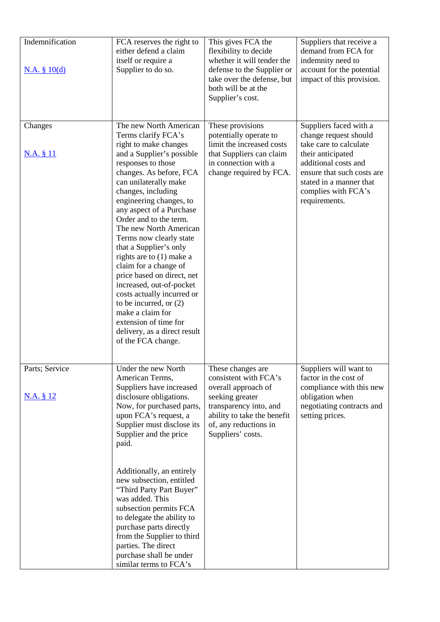| Indemnification<br>N.A. § 10(d) | FCA reserves the right to<br>either defend a claim<br>itself or require a<br>Supplier to do so.                                                                                                                                                                                                                                                                                                                                                                                                                                                                                                                                                 | This gives FCA the<br>flexibility to decide<br>whether it will tender the<br>defense to the Supplier or<br>take over the defense, but<br>both will be at the<br>Supplier's cost.            | Suppliers that receive a<br>demand from FCA for<br>indemnity need to<br>account for the potential<br>impact of this provision.                                                                                          |
|---------------------------------|-------------------------------------------------------------------------------------------------------------------------------------------------------------------------------------------------------------------------------------------------------------------------------------------------------------------------------------------------------------------------------------------------------------------------------------------------------------------------------------------------------------------------------------------------------------------------------------------------------------------------------------------------|---------------------------------------------------------------------------------------------------------------------------------------------------------------------------------------------|-------------------------------------------------------------------------------------------------------------------------------------------------------------------------------------------------------------------------|
| Changes<br>N.A. § 11            | The new North American<br>Terms clarify FCA's<br>right to make changes<br>and a Supplier's possible<br>responses to those<br>changes. As before, FCA<br>can unilaterally make<br>changes, including<br>engineering changes, to<br>any aspect of a Purchase<br>Order and to the term.<br>The new North American<br>Terms now clearly state<br>that a Supplier's only<br>rights are to (1) make a<br>claim for a change of<br>price based on direct, net<br>increased, out-of-pocket<br>costs actually incurred or<br>to be incurred, or $(2)$<br>make a claim for<br>extension of time for<br>delivery, as a direct result<br>of the FCA change. | These provisions<br>potentially operate to<br>limit the increased costs<br>that Suppliers can claim<br>in connection with a<br>change required by FCA.                                      | Suppliers faced with a<br>change request should<br>take care to calculate<br>their anticipated<br>additional costs and<br>ensure that such costs are<br>stated in a manner that<br>complies with FCA's<br>requirements. |
| Parts; Service<br>N.A. § 12     | Under the new North<br>American Terms,<br>Suppliers have increased<br>disclosure obligations.<br>Now, for purchased parts,<br>upon FCA's request, a<br>Supplier must disclose its<br>Supplier and the price<br>paid.<br>Additionally, an entirely<br>new subsection, entitled<br>"Third Party Part Buyer"<br>was added. This<br>subsection permits FCA<br>to delegate the ability to<br>purchase parts directly<br>from the Supplier to third<br>parties. The direct<br>purchase shall be under<br>similar terms to FCA's                                                                                                                       | These changes are<br>consistent with FCA's<br>overall approach of<br>seeking greater<br>transparency into, and<br>ability to take the benefit<br>of, any reductions in<br>Suppliers' costs. | Suppliers will want to<br>factor in the cost of<br>compliance with this new<br>obligation when<br>negotiating contracts and<br>setting prices.                                                                          |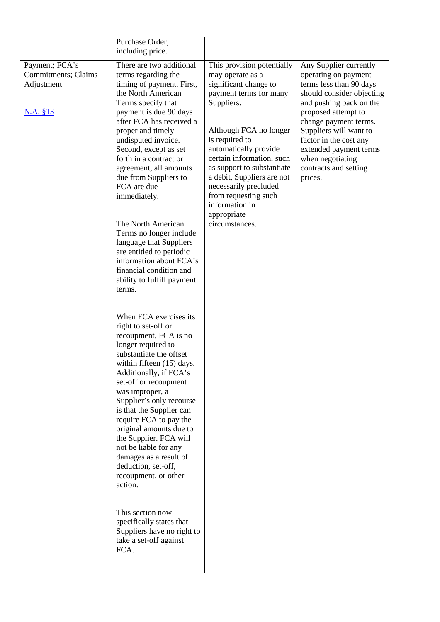|                                                                 | Purchase Order,<br>including price.                                                                                                                                                                                                                                                                                                                                                                                                                                                                                                                                                                                                                                                                                                                                                                                                                                                                                                                                                                                                                                                                                                                                     |                                                                                                                                                                                                                                                                                                                                                                                   |                                                                                                                                                                                                                                                                                                                         |
|-----------------------------------------------------------------|-------------------------------------------------------------------------------------------------------------------------------------------------------------------------------------------------------------------------------------------------------------------------------------------------------------------------------------------------------------------------------------------------------------------------------------------------------------------------------------------------------------------------------------------------------------------------------------------------------------------------------------------------------------------------------------------------------------------------------------------------------------------------------------------------------------------------------------------------------------------------------------------------------------------------------------------------------------------------------------------------------------------------------------------------------------------------------------------------------------------------------------------------------------------------|-----------------------------------------------------------------------------------------------------------------------------------------------------------------------------------------------------------------------------------------------------------------------------------------------------------------------------------------------------------------------------------|-------------------------------------------------------------------------------------------------------------------------------------------------------------------------------------------------------------------------------------------------------------------------------------------------------------------------|
| Payment; FCA's<br>Commitments; Claims<br>Adjustment<br>N.A. §13 | There are two additional<br>terms regarding the<br>timing of payment. First,<br>the North American<br>Terms specify that<br>payment is due 90 days<br>after FCA has received a<br>proper and timely<br>undisputed invoice.<br>Second, except as set<br>forth in a contract or<br>agreement, all amounts<br>due from Suppliers to<br>FCA are due<br>immediately.<br>The North American<br>Terms no longer include<br>language that Suppliers<br>are entitled to periodic<br>information about FCA's<br>financial condition and<br>ability to fulfill payment<br>terms.<br>When FCA exercises its<br>right to set-off or<br>recoupment, FCA is no<br>longer required to<br>substantiate the offset<br>within fifteen (15) days.<br>Additionally, if FCA's<br>set-off or recoupment<br>was improper, a<br>Supplier's only recourse<br>is that the Supplier can<br>require FCA to pay the<br>original amounts due to<br>the Supplier. FCA will<br>not be liable for any<br>damages as a result of<br>deduction, set-off,<br>recoupment, or other<br>action.<br>This section now<br>specifically states that<br>Suppliers have no right to<br>take a set-off against<br>FCA. | This provision potentially<br>may operate as a<br>significant change to<br>payment terms for many<br>Suppliers.<br>Although FCA no longer<br>is required to<br>automatically provide<br>certain information, such<br>as support to substantiate<br>a debit, Suppliers are not<br>necessarily precluded<br>from requesting such<br>information in<br>appropriate<br>circumstances. | Any Supplier currently<br>operating on payment<br>terms less than 90 days<br>should consider objecting<br>and pushing back on the<br>proposed attempt to<br>change payment terms.<br>Suppliers will want to<br>factor in the cost any<br>extended payment terms<br>when negotiating<br>contracts and setting<br>prices. |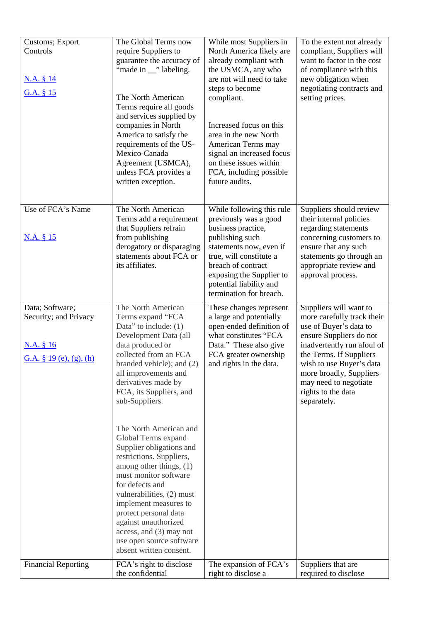| Customs; Export<br>Controls<br><u>N.A. § 14</u><br>G.A. § 15                     | The Global Terms now<br>require Suppliers to<br>guarantee the accuracy of<br>"made in __" labeling.<br>The North American<br>Terms require all goods<br>and services supplied by<br>companies in North<br>America to satisfy the<br>requirements of the US-<br>Mexico-Canada<br>Agreement (USMCA),<br>unless FCA provides a<br>written exception.                                                                                                                                                                                                                                                                                          | While most Suppliers in<br>North America likely are<br>already compliant with<br>the USMCA, any who<br>are not will need to take<br>steps to become<br>compliant.<br>Increased focus on this<br>area in the new North<br>American Terms may<br>signal an increased focus<br>on these issues within<br>FCA, including possible<br>future audits. | To the extent not already<br>compliant, Suppliers will<br>want to factor in the cost<br>of compliance with this<br>new obligation when<br>negotiating contracts and<br>setting prices.                                                                                                  |
|----------------------------------------------------------------------------------|--------------------------------------------------------------------------------------------------------------------------------------------------------------------------------------------------------------------------------------------------------------------------------------------------------------------------------------------------------------------------------------------------------------------------------------------------------------------------------------------------------------------------------------------------------------------------------------------------------------------------------------------|-------------------------------------------------------------------------------------------------------------------------------------------------------------------------------------------------------------------------------------------------------------------------------------------------------------------------------------------------|-----------------------------------------------------------------------------------------------------------------------------------------------------------------------------------------------------------------------------------------------------------------------------------------|
| Use of FCA's Name<br><u>N.A. § 15</u>                                            | The North American<br>Terms add a requirement<br>that Suppliers refrain<br>from publishing<br>derogatory or disparaging<br>statements about FCA or<br>its affiliates.                                                                                                                                                                                                                                                                                                                                                                                                                                                                      | While following this rule<br>previously was a good<br>business practice,<br>publishing such<br>statements now, even if<br>true, will constitute a<br>breach of contract<br>exposing the Supplier to<br>potential liability and<br>termination for breach.                                                                                       | Suppliers should review<br>their internal policies<br>regarding statements<br>concerning customers to<br>ensure that any such<br>statements go through an<br>appropriate review and<br>approval process.                                                                                |
| Data; Software;<br>Security; and Privacy<br>N.A. § 16<br>G.A. § 19 (e), (g), (h) | The North American<br>Terms expand "FCA<br>Data" to include: $(1)$<br>Development Data (all<br>data produced or<br>collected from an FCA<br>branded vehicle); and (2)<br>all improvements and<br>derivatives made by<br>FCA, its Suppliers, and<br>sub-Suppliers.<br>The North American and<br>Global Terms expand<br>Supplier obligations and<br>restrictions. Suppliers,<br>among other things, (1)<br>must monitor software<br>for defects and<br>vulnerabilities, (2) must<br>implement measures to<br>protect personal data<br>against unauthorized<br>access, and (3) may not<br>use open source software<br>absent written consent. | These changes represent<br>a large and potentially<br>open-ended definition of<br>what constitutes "FCA<br>Data." These also give<br>FCA greater ownership<br>and rights in the data.                                                                                                                                                           | Suppliers will want to<br>more carefully track their<br>use of Buyer's data to<br>ensure Suppliers do not<br>inadvertently run afoul of<br>the Terms. If Suppliers<br>wish to use Buyer's data<br>more broadly, Suppliers<br>may need to negotiate<br>rights to the data<br>separately. |
| <b>Financial Reporting</b>                                                       | FCA's right to disclose<br>the confidential                                                                                                                                                                                                                                                                                                                                                                                                                                                                                                                                                                                                | The expansion of FCA's<br>right to disclose a                                                                                                                                                                                                                                                                                                   | Suppliers that are<br>required to disclose                                                                                                                                                                                                                                              |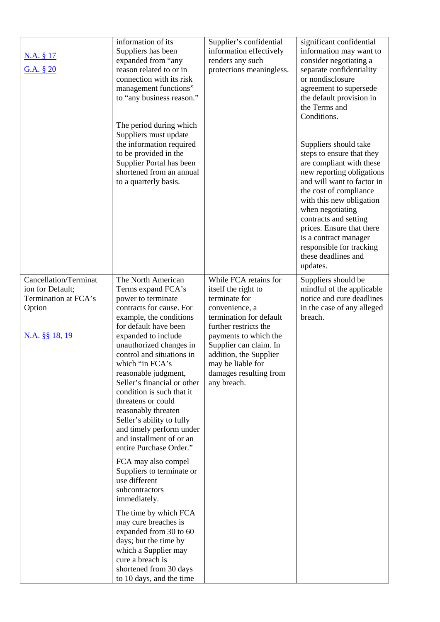| N.A. § 17<br>G.A. § 20                                                                               | information of its<br>Suppliers has been<br>expanded from "any<br>reason related to or in<br>connection with its risk<br>management functions"<br>to "any business reason."<br>The period during which<br>Suppliers must update<br>the information required<br>to be provided in the<br>Supplier Portal has been<br>shortened from an annual<br>to a quarterly basis.                                                                                                                                                                                                                                                                                                                                                                                                                                          | Supplier's confidential<br>information effectively<br>renders any such<br>protections meaningless.                                                                                                                                                                             | significant confidential<br>information may want to<br>consider negotiating a<br>separate confidentiality<br>or nondisclosure<br>agreement to supersede<br>the default provision in<br>the Terms and<br>Conditions.<br>Suppliers should take<br>steps to ensure that they<br>are compliant with these<br>new reporting obligations<br>and will want to factor in<br>the cost of compliance<br>with this new obligation<br>when negotiating<br>contracts and setting<br>prices. Ensure that there<br>is a contract manager<br>responsible for tracking<br>these deadlines and<br>updates. |
|------------------------------------------------------------------------------------------------------|----------------------------------------------------------------------------------------------------------------------------------------------------------------------------------------------------------------------------------------------------------------------------------------------------------------------------------------------------------------------------------------------------------------------------------------------------------------------------------------------------------------------------------------------------------------------------------------------------------------------------------------------------------------------------------------------------------------------------------------------------------------------------------------------------------------|--------------------------------------------------------------------------------------------------------------------------------------------------------------------------------------------------------------------------------------------------------------------------------|------------------------------------------------------------------------------------------------------------------------------------------------------------------------------------------------------------------------------------------------------------------------------------------------------------------------------------------------------------------------------------------------------------------------------------------------------------------------------------------------------------------------------------------------------------------------------------------|
| <b>Cancellation/Terminat</b><br>ion for Default;<br>Termination at FCA's<br>Option<br>N.A. §§ 18, 19 | The North American<br>Terms expand FCA's<br>power to terminate<br>contracts for cause. For<br>example, the conditions<br>for default have been<br>expanded to include<br>unauthorized changes in<br>control and situations in<br>which "in FCA's<br>reasonable judgment,<br>Seller's financial or other<br>condition is such that it<br>threatens or could<br>reasonably threaten<br>Seller's ability to fully<br>and timely perform under<br>and installment of or an<br>entire Purchase Order."<br>FCA may also compel<br>Suppliers to terminate or<br>use different<br>subcontractors<br>immediately.<br>The time by which FCA<br>may cure breaches is<br>expanded from 30 to 60<br>days; but the time by<br>which a Supplier may<br>cure a breach is<br>shortened from 30 days<br>to 10 days, and the time | While FCA retains for<br>itself the right to<br>terminate for<br>convenience, a<br>termination for default<br>further restricts the<br>payments to which the<br>Supplier can claim. In<br>addition, the Supplier<br>may be liable for<br>damages resulting from<br>any breach. | Suppliers should be<br>mindful of the applicable<br>notice and cure deadlines<br>in the case of any alleged<br>breach.                                                                                                                                                                                                                                                                                                                                                                                                                                                                   |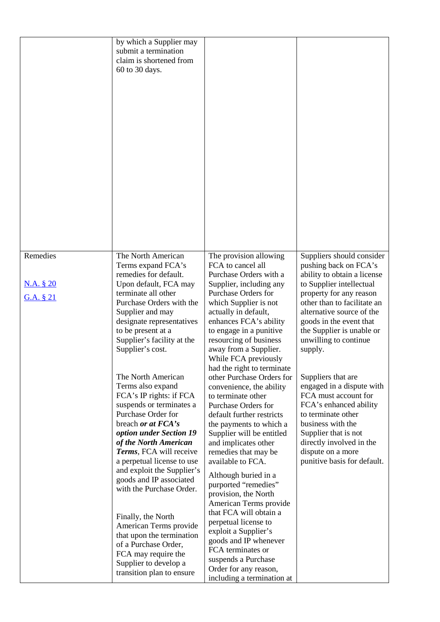|                                           | by which a Supplier may<br>submit a termination<br>claim is shortened from<br>60 to 30 days.                                                                                                                                                                                                                                                 |                                                                                                                                                                                                                                                                                                                                                                           |                                                                                                                                                                                                                                                                                                  |
|-------------------------------------------|----------------------------------------------------------------------------------------------------------------------------------------------------------------------------------------------------------------------------------------------------------------------------------------------------------------------------------------------|---------------------------------------------------------------------------------------------------------------------------------------------------------------------------------------------------------------------------------------------------------------------------------------------------------------------------------------------------------------------------|--------------------------------------------------------------------------------------------------------------------------------------------------------------------------------------------------------------------------------------------------------------------------------------------------|
| Remedies<br><u>N.A. § 20</u><br>G.A. § 21 | The North American<br>Terms expand FCA's<br>remedies for default.<br>Upon default, FCA may<br>terminate all other<br>Purchase Orders with the<br>Supplier and may<br>designate representatives<br>to be present at a<br>Supplier's facility at the<br>Supplier's cost.                                                                       | The provision allowing<br>FCA to cancel all<br>Purchase Orders with a<br>Supplier, including any<br><b>Purchase Orders for</b><br>which Supplier is not<br>actually in default,<br>enhances FCA's ability<br>to engage in a punitive<br>resourcing of business<br>away from a Supplier.<br>While FCA previously                                                           | Suppliers should consider<br>pushing back on FCA's<br>ability to obtain a license<br>to Supplier intellectual<br>property for any reason<br>other than to facilitate an<br>alternative source of the<br>goods in the event that<br>the Supplier is unable or<br>unwilling to continue<br>supply. |
|                                           | The North American<br>Terms also expand<br>FCA's IP rights: if FCA<br>suspends or terminates a<br>Purchase Order for<br>breach or at FCA's<br>option under Section 19<br>of the North American<br>Terms, FCA will receive<br>a perpetual license to use<br>and exploit the Supplier's<br>goods and IP associated<br>with the Purchase Order. | had the right to terminate<br>other Purchase Orders for<br>convenience, the ability<br>to terminate other<br><b>Purchase Orders for</b><br>default further restricts<br>the payments to which a<br>Supplier will be entitled<br>and implicates other<br>remedies that may be<br>available to FCA.<br>Although buried in a<br>purported "remedies"<br>provision, the North | Suppliers that are<br>engaged in a dispute with<br>FCA must account for<br>FCA's enhanced ability<br>to terminate other<br>business with the<br>Supplier that is not<br>directly involved in the<br>dispute on a more<br>punitive basis for default.                                             |
|                                           | Finally, the North<br>American Terms provide<br>that upon the termination<br>of a Purchase Order,<br>FCA may require the<br>Supplier to develop a<br>transition plan to ensure                                                                                                                                                               | American Terms provide<br>that FCA will obtain a<br>perpetual license to<br>exploit a Supplier's<br>goods and IP whenever<br>FCA terminates or<br>suspends a Purchase<br>Order for any reason,<br>including a termination at                                                                                                                                              |                                                                                                                                                                                                                                                                                                  |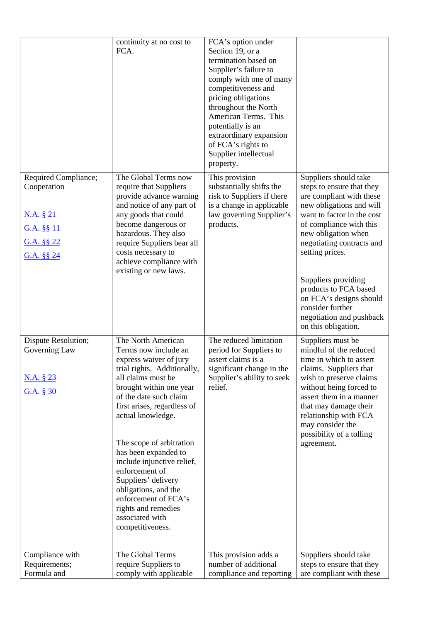|                                                                                            | continuity at no cost to<br>FCA.                                                                                                                                                                                                                                                                                                                                                                                                                                            | FCA's option under<br>Section 19, or a<br>termination based on<br>Supplier's failure to<br>comply with one of many<br>competitiveness and<br>pricing obligations<br>throughout the North<br>American Terms. This<br>potentially is an<br>extraordinary expansion<br>of FCA's rights to<br>Supplier intellectual<br>property. |                                                                                                                                                                                                                                                                                                                                                                                              |
|--------------------------------------------------------------------------------------------|-----------------------------------------------------------------------------------------------------------------------------------------------------------------------------------------------------------------------------------------------------------------------------------------------------------------------------------------------------------------------------------------------------------------------------------------------------------------------------|------------------------------------------------------------------------------------------------------------------------------------------------------------------------------------------------------------------------------------------------------------------------------------------------------------------------------|----------------------------------------------------------------------------------------------------------------------------------------------------------------------------------------------------------------------------------------------------------------------------------------------------------------------------------------------------------------------------------------------|
| Required Compliance;<br>Cooperation<br>N.A. § 21<br>G.A. §§ 11<br>G.A. §§ 22<br>G.A. §§ 24 | The Global Terms now<br>require that Suppliers<br>provide advance warning<br>and notice of any part of<br>any goods that could<br>become dangerous or<br>hazardous. They also<br>require Suppliers bear all<br>costs necessary to<br>achieve compliance with<br>existing or new laws.                                                                                                                                                                                       | This provision<br>substantially shifts the<br>risk to Suppliers if there<br>is a change in applicable<br>law governing Supplier's<br>products.                                                                                                                                                                               | Suppliers should take<br>steps to ensure that they<br>are compliant with these<br>new obligations and will<br>want to factor in the cost<br>of compliance with this<br>new obligation when<br>negotiating contracts and<br>setting prices.<br>Suppliers providing<br>products to FCA based<br>on FCA's designs should<br>consider further<br>negotiation and pushback<br>on this obligation. |
| Dispute Resolution;<br>Governing Law<br><u>N.A. § 23</u><br>G.A. § 30                      | The North American<br>Terms now include an<br>express waiver of jury<br>trial rights. Additionally,<br>all claims must be<br>brought within one year<br>of the date such claim<br>first arises, regardless of<br>actual knowledge.<br>The scope of arbitration<br>has been expanded to<br>include injunctive relief,<br>enforcement of<br>Suppliers' delivery<br>obligations, and the<br>enforcement of FCA's<br>rights and remedies<br>associated with<br>competitiveness. | The reduced limitation<br>period for Suppliers to<br>assert claims is a<br>significant change in the<br>Supplier's ability to seek<br>relief.                                                                                                                                                                                | Suppliers must be<br>mindful of the reduced<br>time in which to assert<br>claims. Suppliers that<br>wish to preserve claims<br>without being forced to<br>assert them in a manner<br>that may damage their<br>relationship with FCA<br>may consider the<br>possibility of a tolling<br>agreement.                                                                                            |
| Compliance with<br>Requirements;<br>Formula and                                            | The Global Terms<br>require Suppliers to<br>comply with applicable                                                                                                                                                                                                                                                                                                                                                                                                          | This provision adds a<br>number of additional<br>compliance and reporting                                                                                                                                                                                                                                                    | Suppliers should take<br>steps to ensure that they<br>are compliant with these                                                                                                                                                                                                                                                                                                               |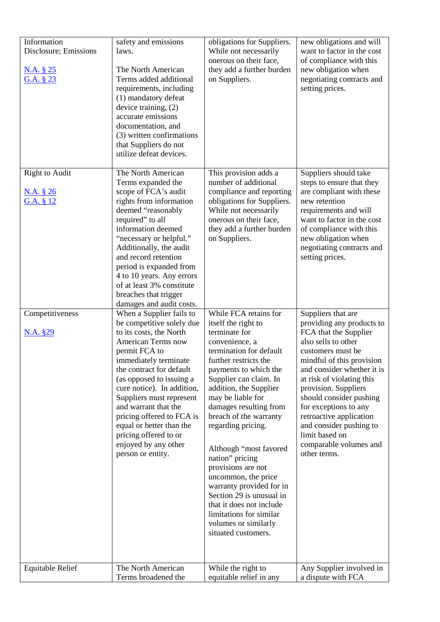| Information<br>Disclosure; Emissions<br>N.A. § 25<br>G.A. $§$ 23 | safety and emissions<br>laws.<br>The North American<br>Terms added additional<br>requirements, including<br>(1) mandatory defeat<br>device training, (2)<br>accurate emissions<br>documentation, and<br>(3) written confirmations<br>that Suppliers do not<br>utilize defeat devices.                                                                                                                                            | obligations for Suppliers.<br>While not necessarily<br>onerous on their face,<br>they add a further burden<br>on Suppliers.                                                                                                                                                                                                                                                                                                                                                                                                                                             | new obligations and will<br>want to factor in the cost<br>of compliance with this<br>new obligation when<br>negotiating contracts and<br>setting prices.                                                                                                                                                                                                                                                   |
|------------------------------------------------------------------|----------------------------------------------------------------------------------------------------------------------------------------------------------------------------------------------------------------------------------------------------------------------------------------------------------------------------------------------------------------------------------------------------------------------------------|-------------------------------------------------------------------------------------------------------------------------------------------------------------------------------------------------------------------------------------------------------------------------------------------------------------------------------------------------------------------------------------------------------------------------------------------------------------------------------------------------------------------------------------------------------------------------|------------------------------------------------------------------------------------------------------------------------------------------------------------------------------------------------------------------------------------------------------------------------------------------------------------------------------------------------------------------------------------------------------------|
| Right to Audit<br>N.A. § 26<br>G.A. § 12                         | The North American<br>Terms expanded the<br>scope of FCA's audit<br>rights from information<br>deemed "reasonably<br>required" to all<br>information deemed<br>"necessary or helpful."<br>Additionally, the audit<br>and record retention<br>period is expanded from<br>4 to 10 years. Any errors<br>of at least 3% constitute<br>breaches that trigger<br>damages and audit costs.                                              | This provision adds a<br>number of additional<br>compliance and reporting<br>obligations for Suppliers.<br>While not necessarily<br>onerous on their face,<br>they add a further burden<br>on Suppliers.                                                                                                                                                                                                                                                                                                                                                                | Suppliers should take<br>steps to ensure that they<br>are compliant with these<br>new retention<br>requirements and will<br>want to factor in the cost<br>of compliance with this<br>new obligation when<br>negotiating contracts and<br>setting prices.                                                                                                                                                   |
| Competitiveness<br><u>N.A. §29</u>                               | When a Supplier fails to<br>be competitive solely due<br>to its costs, the North<br><b>American Terms now</b><br>permit FCA to<br>immediately terminate<br>the contract for default<br>(as opposed to issuing a<br>cure notice). In addition,<br>Suppliers must represent<br>and warrant that the<br>pricing offered to FCA is<br>equal or better than the<br>pricing offered to or<br>enjoyed by any other<br>person or entity. | While FCA retains for<br>itself the right to<br>terminate for<br>convenience, a<br>termination for default<br>further restricts the<br>payments to which the<br>Supplier can claim. In<br>addition, the Supplier<br>may be liable for<br>damages resulting from<br>breach of the warranty<br>regarding pricing.<br>Although "most favored<br>nation" pricing<br>provisions are not<br>uncommon, the price<br>warranty provided for in<br>Section 29 is unusual in<br>that it does not include<br>limitations for similar<br>volumes or similarly<br>situated customers. | Suppliers that are<br>providing any products to<br>FCA that the Supplier<br>also sells to other<br>customers must be<br>mindful of this provision<br>and consider whether it is<br>at risk of violating this<br>provision. Suppliers<br>should consider pushing<br>for exceptions to any<br>retroactive application<br>and consider pushing to<br>limit based on<br>comparable volumes and<br>other terms. |
| <b>Equitable Relief</b>                                          | The North American<br>Terms broadened the                                                                                                                                                                                                                                                                                                                                                                                        | While the right to<br>equitable relief in any                                                                                                                                                                                                                                                                                                                                                                                                                                                                                                                           | Any Supplier involved in<br>a dispute with FCA                                                                                                                                                                                                                                                                                                                                                             |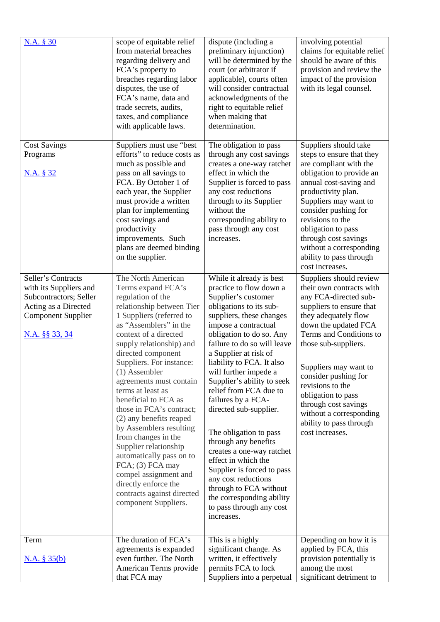| N.A. § 30                                                                                                                                     | scope of equitable relief<br>from material breaches<br>regarding delivery and<br>FCA's property to<br>breaches regarding labor<br>disputes, the use of<br>FCA's name, data and<br>trade secrets, audits,<br>taxes, and compliance<br>with applicable laws.                                                                                                                                                                                                                                                                                                                                                                                  | dispute (including a<br>preliminary injunction)<br>will be determined by the<br>court (or arbitrator if<br>applicable), courts often<br>will consider contractual<br>acknowledgments of the<br>right to equitable relief<br>when making that<br>determination.                                                                                                                                                                                                                                                                                                                                                                                                          | involving potential<br>claims for equitable relief<br>should be aware of this<br>provision and review the<br>impact of the provision<br>with its legal counsel.                                                                                                                                                                                                                                         |
|-----------------------------------------------------------------------------------------------------------------------------------------------|---------------------------------------------------------------------------------------------------------------------------------------------------------------------------------------------------------------------------------------------------------------------------------------------------------------------------------------------------------------------------------------------------------------------------------------------------------------------------------------------------------------------------------------------------------------------------------------------------------------------------------------------|-------------------------------------------------------------------------------------------------------------------------------------------------------------------------------------------------------------------------------------------------------------------------------------------------------------------------------------------------------------------------------------------------------------------------------------------------------------------------------------------------------------------------------------------------------------------------------------------------------------------------------------------------------------------------|---------------------------------------------------------------------------------------------------------------------------------------------------------------------------------------------------------------------------------------------------------------------------------------------------------------------------------------------------------------------------------------------------------|
| <b>Cost Savings</b><br>Programs<br><u>N.A. § 32</u>                                                                                           | Suppliers must use "best<br>efforts" to reduce costs as<br>much as possible and<br>pass on all savings to<br>FCA. By October 1 of<br>each year, the Supplier<br>must provide a written<br>plan for implementing<br>cost savings and<br>productivity<br>improvements. Such<br>plans are deemed binding<br>on the supplier.                                                                                                                                                                                                                                                                                                                   | The obligation to pass<br>through any cost savings<br>creates a one-way ratchet<br>effect in which the<br>Supplier is forced to pass<br>any cost reductions<br>through to its Supplier<br>without the<br>corresponding ability to<br>pass through any cost<br>increases.                                                                                                                                                                                                                                                                                                                                                                                                | Suppliers should take<br>steps to ensure that they<br>are compliant with the<br>obligation to provide an<br>annual cost-saving and<br>productivity plan.<br>Suppliers may want to<br>consider pushing for<br>revisions to the<br>obligation to pass<br>through cost savings<br>without a corresponding<br>ability to pass through<br>cost increases.                                                    |
| Seller's Contracts<br>with its Suppliers and<br>Subcontractors; Seller<br>Acting as a Directed<br><b>Component Supplier</b><br>N.A. §§ 33, 34 | The North American<br>Terms expand FCA's<br>regulation of the<br>relationship between Tier<br>1 Suppliers (referred to<br>as "Assemblers" in the<br>context of a directed<br>supply relationship) and<br>directed component<br>Suppliers. For instance:<br>$(1)$ Assembler<br>agreements must contain<br>terms at least as<br>beneficial to FCA as<br>those in FCA's contract;<br>(2) any benefits reaped<br>by Assemblers resulting<br>from changes in the<br>Supplier relationship<br>automatically pass on to<br>FCA; (3) FCA may<br>compel assignment and<br>directly enforce the<br>contracts against directed<br>component Suppliers. | While it already is best<br>practice to flow down a<br>Supplier's customer<br>obligations to its sub-<br>suppliers, these changes<br>impose a contractual<br>obligation to do so. Any<br>failure to do so will leave<br>a Supplier at risk of<br>liability to FCA. It also<br>will further impede a<br>Supplier's ability to seek<br>relief from FCA due to<br>failures by a FCA-<br>directed sub-supplier.<br>The obligation to pass<br>through any benefits<br>creates a one-way ratchet<br>effect in which the<br>Supplier is forced to pass<br>any cost reductions<br>through to FCA without<br>the corresponding ability<br>to pass through any cost<br>increases. | Suppliers should review<br>their own contracts with<br>any FCA-directed sub-<br>suppliers to ensure that<br>they adequately flow<br>down the updated FCA<br>Terms and Conditions to<br>those sub-suppliers.<br>Suppliers may want to<br>consider pushing for<br>revisions to the<br>obligation to pass<br>through cost savings<br>without a corresponding<br>ability to pass through<br>cost increases. |
| Term<br>N.A. § 35(b)                                                                                                                          | The duration of FCA's<br>agreements is expanded<br>even further. The North<br>American Terms provide<br>that FCA may                                                                                                                                                                                                                                                                                                                                                                                                                                                                                                                        | This is a highly<br>significant change. As<br>written, it effectively<br>permits FCA to lock<br>Suppliers into a perpetual                                                                                                                                                                                                                                                                                                                                                                                                                                                                                                                                              | Depending on how it is<br>applied by FCA, this<br>provision potentially is<br>among the most<br>significant detriment to                                                                                                                                                                                                                                                                                |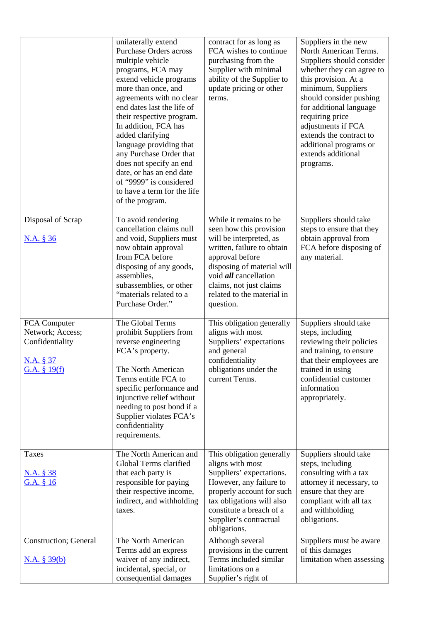|                                                                                    | unilaterally extend<br><b>Purchase Orders across</b><br>multiple vehicle<br>programs, FCA may<br>extend vehicle programs<br>more than once, and<br>agreements with no clear<br>end dates last the life of<br>their respective program.<br>In addition, FCA has<br>added clarifying<br>language providing that<br>any Purchase Order that<br>does not specify an end<br>date, or has an end date<br>of "9999" is considered<br>to have a term for the life<br>of the program. | contract for as long as<br>FCA wishes to continue<br>purchasing from the<br>Supplier with minimal<br>ability of the Supplier to<br>update pricing or other<br>terms.                                                                                              | Suppliers in the new<br>North American Terms.<br>Suppliers should consider<br>whether they can agree to<br>this provision. At a<br>minimum, Suppliers<br>should consider pushing<br>for additional language<br>requiring price<br>adjustments if FCA<br>extends the contract to<br>additional programs or<br>extends additional<br>programs. |
|------------------------------------------------------------------------------------|------------------------------------------------------------------------------------------------------------------------------------------------------------------------------------------------------------------------------------------------------------------------------------------------------------------------------------------------------------------------------------------------------------------------------------------------------------------------------|-------------------------------------------------------------------------------------------------------------------------------------------------------------------------------------------------------------------------------------------------------------------|----------------------------------------------------------------------------------------------------------------------------------------------------------------------------------------------------------------------------------------------------------------------------------------------------------------------------------------------|
| Disposal of Scrap<br>N.A. § 36                                                     | To avoid rendering<br>cancellation claims null<br>and void, Suppliers must<br>now obtain approval<br>from FCA before<br>disposing of any goods,<br>assemblies,<br>subassemblies, or other<br>"materials related to a<br>Purchase Order."                                                                                                                                                                                                                                     | While it remains to be<br>seen how this provision<br>will be interpreted, as<br>written, failure to obtain<br>approval before<br>disposing of material will<br>void <i>all</i> cancellation<br>claims, not just claims<br>related to the material in<br>question. | Suppliers should take<br>steps to ensure that they<br>obtain approval from<br>FCA before disposing of<br>any material.                                                                                                                                                                                                                       |
| FCA Computer<br>Network; Access;<br>Confidentiality<br>N.A. § 37<br>G.A. $§$ 19(f) | The Global Terms<br>prohibit Suppliers from<br>reverse engineering<br>FCA's property.<br>The North American<br>Terms entitle FCA to<br>specific performance and<br>injunctive relief without<br>needing to post bond if a<br>Supplier violates FCA's<br>confidentiality<br>requirements.                                                                                                                                                                                     | This obligation generally<br>aligns with most<br>Suppliers' expectations<br>and general<br>confidentiality<br>obligations under the<br>current Terms.                                                                                                             | Suppliers should take<br>steps, including<br>reviewing their policies<br>and training, to ensure<br>that their employees are<br>trained in using<br>confidential customer<br>information<br>appropriately.                                                                                                                                   |
| <b>Taxes</b><br><u>N.A. § 38</u><br>G.A. § 16                                      | The North American and<br>Global Terms clarified<br>that each party is<br>responsible for paying<br>their respective income,<br>indirect, and withholding<br>taxes.                                                                                                                                                                                                                                                                                                          | This obligation generally<br>aligns with most<br>Suppliers' expectations.<br>However, any failure to<br>properly account for such<br>tax obligations will also<br>constitute a breach of a<br>Supplier's contractual<br>obligations.                              | Suppliers should take<br>steps, including<br>consulting with a tax<br>attorney if necessary, to<br>ensure that they are<br>compliant with all tax<br>and withholding<br>obligations.                                                                                                                                                         |
| <b>Construction</b> ; General<br>N.A. § 39(b)                                      | The North American<br>Terms add an express<br>waiver of any indirect,<br>incidental, special, or<br>consequential damages                                                                                                                                                                                                                                                                                                                                                    | Although several<br>provisions in the current<br>Terms included similar<br>limitations on a<br>Supplier's right of                                                                                                                                                | Suppliers must be aware<br>of this damages<br>limitation when assessing                                                                                                                                                                                                                                                                      |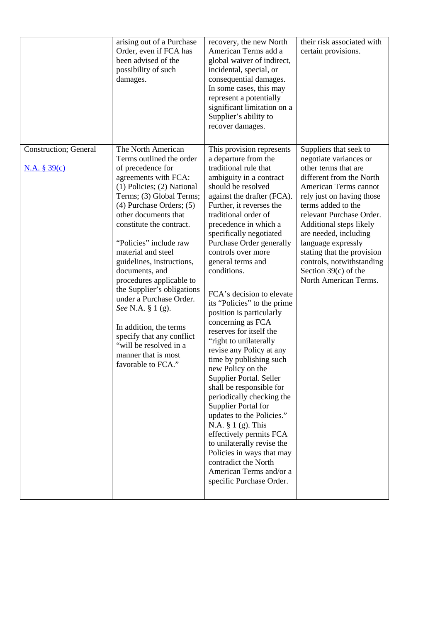|                                               | arising out of a Purchase<br>Order, even if FCA has<br>been advised of the<br>possibility of such<br>damages.                                                                                                                                                                                                                                                                                                                                                                                                                                                                        | recovery, the new North<br>American Terms add a<br>global waiver of indirect,<br>incidental, special, or<br>consequential damages.<br>In some cases, this may<br>represent a potentially<br>significant limitation on a<br>Supplier's ability to<br>recover damages.                                                                                                                                                                                                                                                                                                                                                                                                                                                                                                                                                                                                                                                                        | their risk associated with<br>certain provisions.                                                                                                                                                                                                                                                                                                                                                    |
|-----------------------------------------------|--------------------------------------------------------------------------------------------------------------------------------------------------------------------------------------------------------------------------------------------------------------------------------------------------------------------------------------------------------------------------------------------------------------------------------------------------------------------------------------------------------------------------------------------------------------------------------------|---------------------------------------------------------------------------------------------------------------------------------------------------------------------------------------------------------------------------------------------------------------------------------------------------------------------------------------------------------------------------------------------------------------------------------------------------------------------------------------------------------------------------------------------------------------------------------------------------------------------------------------------------------------------------------------------------------------------------------------------------------------------------------------------------------------------------------------------------------------------------------------------------------------------------------------------|------------------------------------------------------------------------------------------------------------------------------------------------------------------------------------------------------------------------------------------------------------------------------------------------------------------------------------------------------------------------------------------------------|
| <b>Construction</b> ; General<br>N.A. § 39(c) | The North American<br>Terms outlined the order<br>of precedence for<br>agreements with FCA:<br>$(1)$ Policies; $(2)$ National<br>Terms; (3) Global Terms;<br>$(4)$ Purchase Orders; $(5)$<br>other documents that<br>constitute the contract.<br>"Policies" include raw<br>material and steel<br>guidelines, instructions,<br>documents, and<br>procedures applicable to<br>the Supplier's obligations<br>under a Purchase Order.<br>See N.A. § 1 (g).<br>In addition, the terms<br>specify that any conflict<br>"will be resolved in a<br>manner that is most<br>favorable to FCA." | This provision represents<br>a departure from the<br>traditional rule that<br>ambiguity in a contract<br>should be resolved<br>against the drafter (FCA).<br>Further, it reverses the<br>traditional order of<br>precedence in which a<br>specifically negotiated<br>Purchase Order generally<br>controls over more<br>general terms and<br>conditions.<br>FCA's decision to elevate<br>its "Policies" to the prime<br>position is particularly<br>concerning as FCA<br>reserves for itself the<br>"right to unilaterally<br>revise any Policy at any<br>time by publishing such<br>new Policy on the<br>Supplier Portal. Seller<br>shall be responsible for<br>periodically checking the<br>Supplier Portal for<br>updates to the Policies."<br>N.A. $\S$ 1 (g). This<br>effectively permits FCA<br>to unilaterally revise the<br>Policies in ways that may<br>contradict the North<br>American Terms and/or a<br>specific Purchase Order. | Suppliers that seek to<br>negotiate variances or<br>other terms that are<br>different from the North<br>American Terms cannot<br>rely just on having those<br>terms added to the<br>relevant Purchase Order.<br>Additional steps likely<br>are needed, including<br>language expressly<br>stating that the provision<br>controls, notwithstanding<br>Section $39(c)$ of the<br>North American Terms. |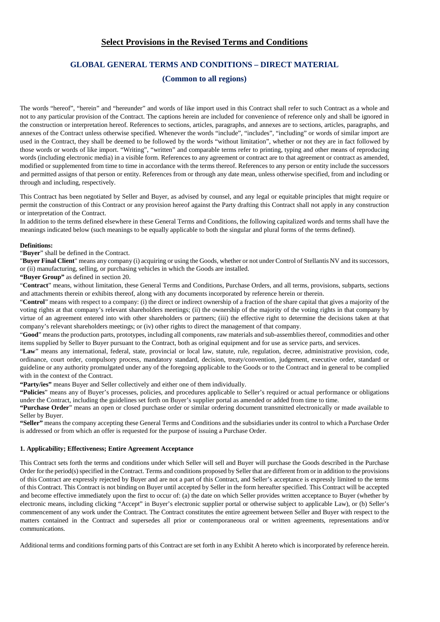# **Select Provisions in the Revised Terms and Conditions**

# **GLOBAL GENERAL TERMS AND CONDITIONS – DIRECT MATERIAL**

## **(Common to all regions)**

The words "hereof", "herein" and "hereunder" and words of like import used in this Contract shall refer to such Contract as a whole and not to any particular provision of the Contract. The captions herein are included for convenience of reference only and shall be ignored in the construction or interpretation hereof. References to sections, articles, paragraphs, and annexes are to sections, articles, paragraphs, and annexes of the Contract unless otherwise specified. Whenever the words "include", "includes", "including" or words of similar import are used in the Contract, they shall be deemed to be followed by the words "without limitation", whether or not they are in fact followed by those words or words of like import. "Writing", "written" and comparable terms refer to printing, typing and other means of reproducing words (including electronic media) in a visible form. References to any agreement or contract are to that agreement or contract as amended, modified or supplemented from time to time in accordance with the terms thereof. References to any person or entity include the successors and permitted assigns of that person or entity. References from or through any date mean, unless otherwise specified, from and including or through and including, respectively.

This Contract has been negotiated by Seller and Buyer, as advised by counsel, and any legal or equitable principles that might require or permit the construction of this Contract or any provision hereof against the Party drafting this Contract shall not apply in any construction or interpretation of the Contract.

In addition to the terms defined elsewhere in these General Terms and Conditions, the following capitalized words and terms shall have the meanings indicated below (such meanings to be equally applicable to both the singular and plural forms of the terms defined).

### **Definitions:**

"**Buyer**" shall be defined in the Contract.

"**Buyer Final Client**" means any company (i) acquiring or using the Goods, whether or not under Control of Stellantis NV and its successors, or (ii) manufacturing, selling, or purchasing vehicles in which the Goods are installed.

**"Buyer Group"** as defined in section 20.

"**Contract**" means, without limitation, these General Terms and Conditions, Purchase Orders, and all terms, provisions, subparts, sections and attachments therein or exhibits thereof, along with any documents incorporated by reference herein or therein.

"**Control**" means with respect to a company: (i) the direct or indirect ownership of a fraction of the share capital that gives a majority of the voting rights at that company's relevant shareholders meetings; (ii) the ownership of the majority of the voting rights in that company by virtue of an agreement entered into with other shareholders or partners; (iii) the effective right to determine the decisions taken at that company's relevant shareholders meetings; or (iv) other rights to direct the management of that company.

"**Good**" means the production parts, prototypes, including all components, raw materials and sub-assemblies thereof, commodities and other items supplied by Seller to Buyer pursuant to the Contract, both as original equipment and for use as service parts, and services.

"**Law**" means any international, federal, state, provincial or local law, statute, rule, regulation, decree, administrative provision, code, ordinance, court order, compulsory process, mandatory standard, decision, treaty/convention, judgement, executive order, standard or guideline or any authority promulgated under any of the foregoing applicable to the Goods or to the Contract and in general to be complied with in the context of the Contract.

**"Party/ies"** means Buyer and Seller collectively and either one of them individually.

**"Policies**" means any of Buyer's processes, policies, and procedures applicable to Seller's required or actual performance or obligations under the Contract, including the guidelines set forth on Buyer's supplier portal as amended or added from time to time.

**"Purchase Order**" means an open or closed purchase order or similar ordering document transmitted electronically or made available to Seller by Buyer.

**"Seller"** means the company accepting these General Terms and Conditions and the subsidiaries under its control to which a Purchase Order is addressed or from which an offer is requested for the purpose of issuing a Purchase Order.

### **1. Applicability; Effectiveness; Entire Agreement Acceptance**

This Contract sets forth the terms and conditions under which Seller will sell and Buyer will purchase the Goods described in the Purchase Order for the period(s) specified in the Contract. Terms and conditions proposed by Seller that are different from or in addition to the provisions of this Contract are expressly rejected by Buyer and are not a part of this Contract, and Seller's acceptance is expressly limited to the terms of this Contract. This Contract is not binding on Buyer until accepted by Seller in the form hereafter specified. This Contract will be accepted and become effective immediately upon the first to occur of: (a) the date on which Seller provides written acceptance to Buyer (whether by electronic means, including clicking "Accept" in Buyer's electronic supplier portal or otherwise subject to applicable Law), or (b) Seller's commencement of any work under the Contract. The Contract constitutes the entire agreement between Seller and Buyer with respect to the matters contained in the Contract and supersedes all prior or contemporaneous oral or written agreements, representations and/or communications.

Additional terms and conditions forming parts of this Contract are set forth in any Exhibit A hereto which is incorporated by reference herein.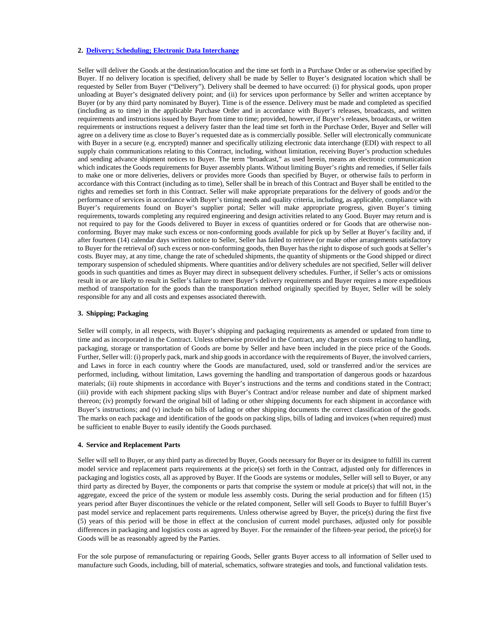### <span id="page-16-0"></span>**2. [Delivery; Scheduling; Electronic Data Interchange](#page-16-0)**

Seller will deliver the Goods at the destination/location and the time set forth in a Purchase Order or as otherwise specified by Buyer. If no delivery location is specified, delivery shall be made by Seller to Buyer's designated location which shall be requested by Seller from Buyer ("Delivery"). Delivery shall be deemed to have occurred: (i) for physical goods, upon proper unloading at Buyer's designated delivery point; and (ii) for services upon performance by Seller and written acceptance by Buyer (or by any third party nominated by Buyer). Time is of the essence. Delivery must be made and completed as specified (including as to time) in the applicable Purchase Order and in accordance with Buyer's releases, broadcasts, and written requirements and instructions issued by Buyer from time to time; provided, however, if Buyer's releases, broadcasts, or written requirements or instructions request a delivery faster than the lead time set forth in the Purchase Order, Buyer and Seller will agree on a delivery time as close to Buyer's requested date as is commercially possible. Seller will electronically communicate with Buyer in a secure (e.g. encrypted) manner and specifically utilizing electronic data interchange (EDI) with respect to all supply chain communications relating to this Contract, including, without limitation, receiving Buyer's production schedules and sending advance shipment notices to Buyer. The term "broadcast," as used herein, means an electronic communication which indicates the Goods requirements for Buyer assembly plants. Without limiting Buyer's rights and remedies, if Seller fails to make one or more deliveries, delivers or provides more Goods than specified by Buyer, or otherwise fails to perform in accordance with this Contract (including as to time), Seller shall be in breach of this Contract and Buyer shall be entitled to the rights and remedies set forth in this Contract. Seller will make appropriate preparations for the delivery of goods and/or the performance of services in accordance with Buyer's timing needs and quality criteria, including, as applicable, compliance with Buyer's requirements found on Buyer's supplier portal; Seller will make appropriate progress, given Buyer's timing requirements, towards completing any required engineering and design activities related to any Good. Buyer may return and is not required to pay for the Goods delivered to Buyer in excess of quantities ordered or for Goods that are otherwise nonconforming. Buyer may make such excess or non-conforming goods available for pick up by Seller at Buyer's facility and, if after fourteen (14) calendar days written notice to Seller, Seller has failed to retrieve (or make other arrangements satisfactory to Buyer for the retrieval of) such excess or non-conforming goods, then Buyer has the right to dispose of such goods at Seller's costs. Buyer may, at any time, change the rate of scheduled shipments, the quantity of shipments or the Good shipped or direct temporary suspension of scheduled shipments. Where quantities and/or delivery schedules are not specified, Seller will deliver goods in such quantities and times as Buyer may direct in subsequent delivery schedules. Further, if Seller's acts or omissions result in or are likely to result in Seller's failure to meet Buyer's delivery requirements and Buyer requires a more expeditious method of transportation for the goods than the transportation method originally specified by Buyer, Seller will be solely responsible for any and all costs and expenses associated therewith.

#### **3. Shipping; Packaging**

Seller will comply, in all respects, with Buyer's shipping and packaging requirements as amended or updated from time to time and as incorporated in the Contract. Unless otherwise provided in the Contract, any charges or costs relating to handling, packaging, storage or transportation of Goods are borne by Seller and have been included in the piece price of the Goods. Further, Seller will: (i) properly pack, mark and ship goods in accordance with the requirements of Buyer, the involved carriers, and Laws in force in each country where the Goods are manufactured, used, sold or transferred and/or the services are performed, including, without limitation, Laws governing the handling and transportation of dangerous goods or hazardous materials; (ii) route shipments in accordance with Buyer's instructions and the terms and conditions stated in the Contract; (iii) provide with each shipment packing slips with Buyer's Contract and/or release number and date of shipment marked thereon; (iv) promptly forward the original bill of lading or other shipping documents for each shipment in accordance with Buyer's instructions; and (v) include on bills of lading or other shipping documents the correct classification of the goods. The marks on each package and identification of the goods on packing slips, bills of lading and invoices (when required) must be sufficient to enable Buyer to easily identify the Goods purchased.

#### **4. Service and Replacement Parts**

Seller will sell to Buyer, or any third party as directed by Buyer, Goods necessary for Buyer or its designee to fulfill its current model service and replacement parts requirements at the price(s) set forth in the Contract, adjusted only for differences in packaging and logistics costs, all as approved by Buyer. If the Goods are systems or modules, Seller will sell to Buyer, or any third party as directed by Buyer, the components or parts that comprise the system or module at price(s) that will not, in the aggregate, exceed the price of the system or module less assembly costs. During the serial production and for fifteen (15) years period after Buyer discontinues the vehicle or the related component, Seller will sell Goods to Buyer to fulfill Buyer's past model service and replacement parts requirements. Unless otherwise agreed by Buyer, the price(s) during the first five (5) years of this period will be those in effect at the conclusion of current model purchases, adjusted only for possible differences in packaging and logistics costs as agreed by Buyer. For the remainder of the fifteen-year period, the price(s) for Goods will be as reasonably agreed by the Parties.

For the sole purpose of remanufacturing or repairing Goods, Seller grants Buyer access to all information of Seller used to manufacture such Goods, including, bill of material, schematics, software strategies and tools, and functional validation tests.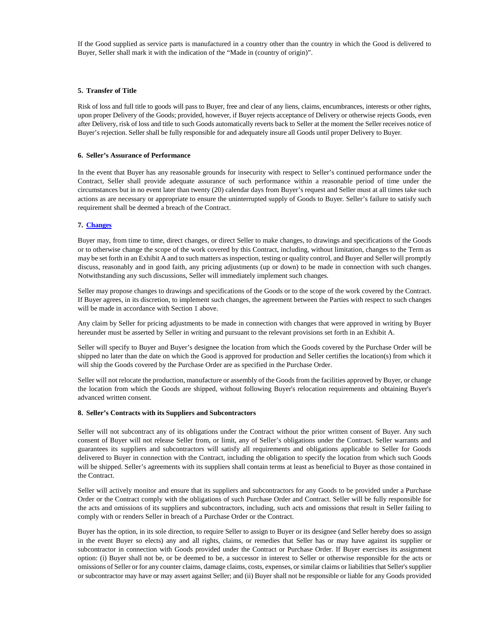If the Good supplied as service parts is manufactured in a country other than the country in which the Good is delivered to Buyer, Seller shall mark it with the indication of the "Made in (country of origin)".

### **5. Transfer of Title**

Risk of loss and full title to goods will pass to Buyer, free and clear of any liens, claims, encumbrances, interests or other rights, upon proper Delivery of the Goods; provided, however, if Buyer rejects acceptance of Delivery or otherwise rejects Goods, even after Delivery, risk of loss and title to such Goods automatically reverts back to Seller at the moment the Seller receives notice of Buyer's rejection. Seller shall be fully responsible for and adequately insure all Goods until proper Delivery to Buyer.

### **6. Seller's Assurance of Performance**

In the event that Buyer has any reasonable grounds for insecurity with respect to Seller's continued performance under the Contract, Seller shall provide adequate assurance of such performance within a reasonable period of time under the circumstances but in no event later than twenty (20) calendar days from Buyer's request and Seller must at all times take such actions as are necessary or appropriate to ensure the uninterrupted supply of Goods to Buyer. Seller's failure to satisfy such requirement shall be deemed a breach of the Contract.

## <span id="page-17-0"></span>**7. [Changes](#page-17-0)**

Buyer may, from time to time, direct changes, or direct Seller to make changes, to drawings and specifications of the Goods or to otherwise change the scope of the work covered by this Contract, including, without limitation, changes to the Term as may be set forth in an Exhibit A and to such matters as inspection, testing or quality control, and Buyer and Seller will promptly discuss, reasonably and in good faith, any pricing adjustments (up or down) to be made in connection with such changes. Notwithstanding any such discussions, Seller will immediately implement such changes.

Seller may propose changes to drawings and specifications of the Goods or to the scope of the work covered by the Contract. If Buyer agrees, in its discretion, to implement such changes, the agreement between the Parties with respect to such changes will be made in accordance with Section 1 above.

Any claim by Seller for pricing adjustments to be made in connection with changes that were approved in writing by Buyer hereunder must be asserted by Seller in writing and pursuant to the relevant provisions set forth in an Exhibit A.

Seller will specify to Buyer and Buyer's designee the location from which the Goods covered by the Purchase Order will be shipped no later than the date on which the Good is approved for production and Seller certifies the location(s) from which it will ship the Goods covered by the Purchase Order are as specified in the Purchase Order.

Seller will not relocate the production, manufacture or assembly of the Goods from the facilities approved by Buyer, or change the location from which the Goods are shipped, without following Buyer's relocation requirements and obtaining Buyer's advanced written consent.

#### **8. Seller's Contracts with its Suppliers and Subcontractors**

Seller will not subcontract any of its obligations under the Contract without the prior written consent of Buyer. Any such consent of Buyer will not release Seller from, or limit, any of Seller's obligations under the Contract. Seller warrants and guarantees its suppliers and subcontractors will satisfy all requirements and obligations applicable to Seller for Goods delivered to Buyer in connection with the Contract, including the obligation to specify the location from which such Goods will be shipped. Seller's agreements with its suppliers shall contain terms at least as beneficial to Buyer as those contained in the Contract.

Seller will actively monitor and ensure that its suppliers and subcontractors for any Goods to be provided under a Purchase Order or the Contract comply with the obligations of such Purchase Order and Contract. Seller will be fully responsible for the acts and omissions of its suppliers and subcontractors, including, such acts and omissions that result in Seller failing to comply with or renders Seller in breach of a Purchase Order or the Contract.

Buyer has the option, in its sole direction, to require Seller to assign to Buyer or its designee (and Seller hereby does so assign in the event Buyer so elects) any and all rights, claims, or remedies that Seller has or may have against its supplier or subcontractor in connection with Goods provided under the Contract or Purchase Order. If Buyer exercises its assignment option: (i) Buyer shall not be, or be deemed to be, a successor in interest to Seller or otherwise responsible for the acts or omissions of Seller or for any counter claims, damage claims, costs, expenses, or similar claims or liabilities that Seller's supplier or subcontractor may have or may assert against Seller; and (ii) Buyer shall not be responsible or liable for any Goods provided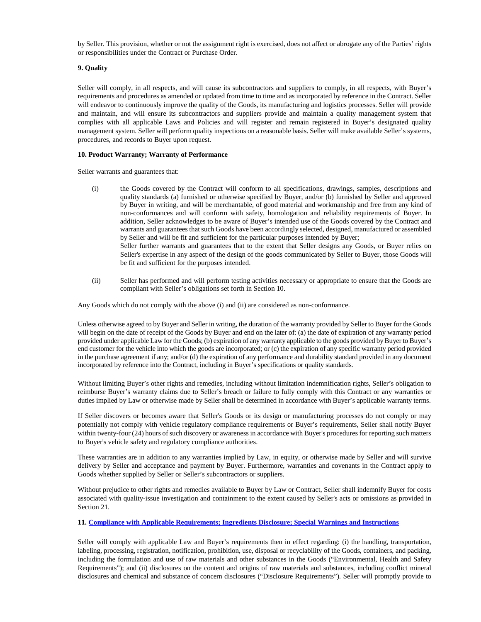by Seller. This provision, whether or not the assignment right is exercised, does not affect or abrogate any of the Parties' rights or responsibilities under the Contract or Purchase Order.

### **9. Quality**

Seller will comply, in all respects, and will cause its subcontractors and suppliers to comply, in all respects, with Buyer's requirements and procedures as amended or updated from time to time and as incorporated by reference in the Contract. Seller will endeavor to continuously improve the quality of the Goods, its manufacturing and logistics processes. Seller will provide and maintain, and will ensure its subcontractors and suppliers provide and maintain a quality management system that complies with all applicable Laws and Policies and will register and remain registered in Buyer's designated quality management system. Seller will perform quality inspections on a reasonable basis. Seller will make available Seller's systems, procedures, and records to Buyer upon request.

#### **10. Product Warranty; Warranty of Performance**

Seller warrants and guarantees that:

- (i) the Goods covered by the Contract will conform to all specifications, drawings, samples, descriptions and quality standards (a) furnished or otherwise specified by Buyer, and/or (b) furnished by Seller and approved by Buyer in writing, and will be merchantable, of good material and workmanship and free from any kind of non-conformances and will conform with safety, homologation and reliability requirements of Buyer. In addition, Seller acknowledges to be aware of Buyer's intended use of the Goods covered by the Contract and warrants and guarantees that such Goods have been accordingly selected, designed, manufactured or assembled by Seller and will be fit and sufficient for the particular purposes intended by Buyer; Seller further warrants and guarantees that to the extent that Seller designs any Goods, or Buyer relies on Seller's expertise in any aspect of the design of the goods communicated by Seller to Buyer, those Goods will be fit and sufficient for the purposes intended.
- (ii) Seller has performed and will perform testing activities necessary or appropriate to ensure that the Goods are compliant with Seller's obligations set forth in Section 10.

Any Goods which do not comply with the above (i) and (ii) are considered as non-conformance.

Unless otherwise agreed to by Buyer and Seller in writing, the duration of the warranty provided by Seller to Buyer for the Goods will begin on the date of receipt of the Goods by Buyer and end on the later of: (a) the date of expiration of any warranty period provided under applicable Law for the Goods; (b) expiration of any warranty applicable to the goods provided by Buyer to Buyer's end customer for the vehicle into which the goods are incorporated; or (c) the expiration of any specific warranty period provided in the purchase agreement if any; and/or (d) the expiration of any performance and durability standard provided in any document incorporated by reference into the Contract, including in Buyer's specifications or quality standards.

Without limiting Buyer's other rights and remedies, including without limitation indemnification rights, Seller's obligation to reimburse Buyer's warranty claims due to Seller's breach or failure to fully comply with this Contract or any warranties or duties implied by Law or otherwise made by Seller shall be determined in accordance with Buyer's applicable warranty terms.

If Seller discovers or becomes aware that Seller's Goods or its design or manufacturing processes do not comply or may potentially not comply with vehicle regulatory compliance requirements or Buyer's requirements, Seller shall notify Buyer within twenty-four (24) hours of such discovery or awareness in accordance with Buyer's procedures for reporting such matters to Buyer's vehicle safety and regulatory compliance authorities.

These warranties are in addition to any warranties implied by Law, in equity, or otherwise made by Seller and will survive delivery by Seller and acceptance and payment by Buyer. Furthermore, warranties and covenants in the Contract apply to Goods whether supplied by Seller or Seller's subcontractors or suppliers.

Without prejudice to other rights and remedies available to Buyer by Law or Contract, Seller shall indemnify Buyer for costs associated with quality-issue investigation and containment to the extent caused by Seller's acts or omissions as provided in Section 21.

### <span id="page-18-1"></span>**11[. Compliance with Applicable Requirements; Ingredients Disclosure; Special Warnings and Instructions](#page-18-1)**

<span id="page-18-0"></span>Seller will comply with applicable Law and Buyer's requirements then in effect regarding: (i) the handling, transportation, labeling, processing, registration, notification, prohibition, use, disposal or recyclability of the Goods, containers, and packing, including the formulation and use of raw materials and other substances in the Goods ("Environmental, Health and Safety Requirements"); and (ii) disclosures on the content and origins of raw materials and substances, including conflict mineral disclosures and chemical and substance of concern disclosures ("Disclosure Requirements"). Seller will promptly provide to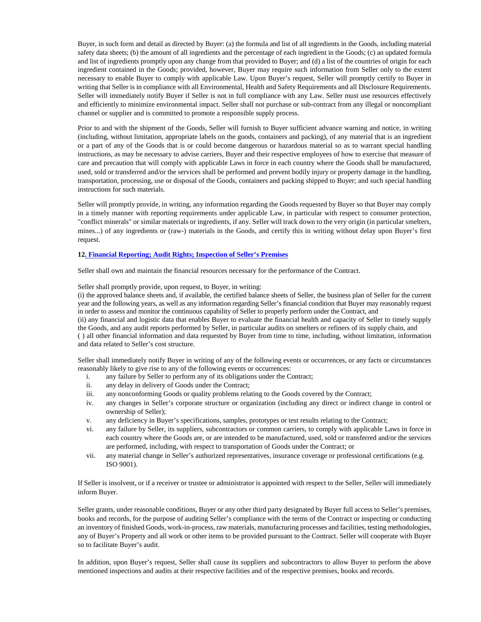Buyer, in such form and detail as directed by Buyer: (a) the formula and list of all ingredients in the Goods, including material safety data sheets; (b) the amount of all ingredients and the percentage of each ingredient in the Goods; (c) an updated formula and list of ingredients promptly upon any change from that provided to Buyer; and (d) a list of the countries of origin for each ingredient contained in the Goods; provided, however, Buyer may require such information from Seller only to the extent necessary to enable Buyer to comply with applicable Law. Upon Buyer's request, Seller will promptly certify to Buyer in writing that Seller is in compliance with all Environmental, Health and Safety Requirements and all Disclosure Requirements. Seller will immediately notify Buyer if Seller is not in full compliance with any Law. Seller must use resources effectively and efficiently to minimize environmental impact. Seller shall not purchase or sub-contract from any illegal or noncompliant channel or supplier and is committed to promote a responsible supply process.

Prior to and with the shipment of the Goods, Seller will furnish to Buyer sufficient advance warning and notice, in writing (including, without limitation, appropriate labels on the goods, containers and packing), of any material that is an ingredient or a part of any of the Goods that is or could become dangerous or hazardous material so as to warrant special handling instructions, as may be necessary to advise carriers, Buyer and their respective employees of how to exercise that measure of care and precaution that will comply with applicable Laws in force in each country where the Goods shall be manufactured, used, sold or transferred and/or the services shall be performed and prevent bodily injury or property damage in the handling, transportation, processing, use or disposal of the Goods, containers and packing shipped to Buyer; and such special handling instructions for such materials.

Seller will promptly provide, in writing, any information regarding the Goods requested by Buyer so that Buyer may comply in a timely manner with reporting requirements under applicable Law, in particular with respect to consumer protection, "conflict minerals" or similar materials or ingredients, if any. Seller will track down to the very origin (in particular smelters, mines...) of any ingredients or (raw-) materials in the Goods, and certify this in writing without delay upon Buyer's first request.

### **1[2. Financial Reporting; Audit Rights; Inspection of Seller's Premises](#page-19-1)**

Seller shall own and maintain the financial resources necessary for the performance of the Contract.

Seller shall promptly provide, upon request, to Buyer, in writing:

<span id="page-19-1"></span>(i) the approved balance sheets and, if available, the certified balance sheets of Seller, the business plan of Seller for the current year and the following years, as well as any information regarding Seller's financial condition that Buyer may reasonably request in order to assess and monitor the continuous capability of Seller to properly perform under the Contract, and

(ii) any financial and logistic data that enables Buyer to evaluate the financial health and capacity of Seller to timely supply the Goods, and any audit reports performed by Seller, in particular audits on smelters or refiners of its supply chain, and

<span id="page-19-0"></span>( ) all other financial information and data requested by Buyer from time to time, including, without limitation, information and data related to Seller's cost structure.

Seller shall immediately notify Buyer in writing of any of the following events or occurrences, or any facts or circumstances reasonably likely to give rise to any of the following events or occurrences:

- i. any failure by Seller to perform any of its obligations under the Contract;
- ii. any delay in delivery of Goods under the Contract;
- iii. any nonconforming Goods or quality problems relating to the Goods covered by the Contract;
- iv. any changes in Seller's corporate structure or organization (including any direct or indirect change in control or ownership of Seller);
- v. any deficiency in Buyer's specifications, samples, prototypes or test results relating to the Contract;
- vi. any failure by Seller, its suppliers, subcontractors or common carriers, to comply with applicable Laws in force in each country where the Goods are, or are intended to be manufactured, used, sold or transferred and/or the services are performed, including, with respect to transportation of Goods under the Contract; or
- vii. any material change in Seller's authorized representatives, insurance coverage or professional certifications (e.g. ISO 9001).

If Seller is insolvent, or if a receiver or trustee or administrator is appointed with respect to the Seller, Seller will immediately inform Buyer.

Seller grants, under reasonable conditions, Buyer or any other third party designated by Buyer full access to Seller's premises, books and records, for the purpose of auditing Seller's compliance with the terms of the Contract or inspecting or conducting an inventory of finished Goods, work-in-process, raw materials, manufacturing processes and facilities, testing methodologies, any of Buyer's Property and all work or other items to be provided pursuant to the Contract. Seller will cooperate with Buyer so to facilitate Buyer's audit.

In addition, upon Buyer's request, Seller shall cause its suppliers and subcontractors to allow Buyer to perform the above mentioned inspections and audits at their respective facilities and of the respective premises, books and records.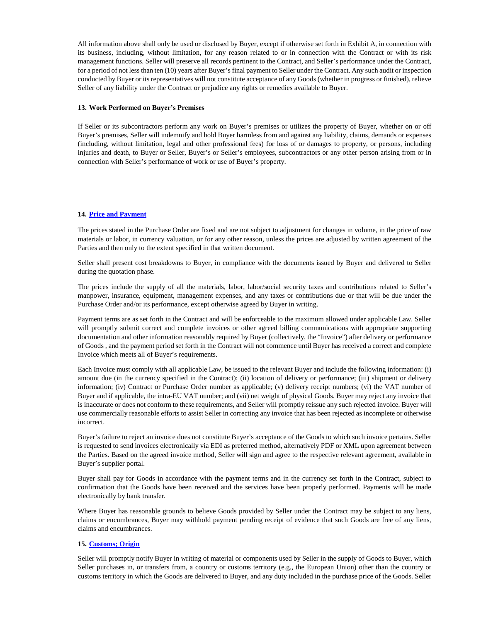All information above shall only be used or disclosed by Buyer, except if otherwise set forth in Exhibit A, in connection with its business, including, without limitation, for any reason related to or in connection with the Contract or with its risk management functions. Seller will preserve all records pertinent to the Contract, and Seller's performance under the Contract, for a period of not less than ten (10) years after Buyer's final payment to Seller under the Contract. Any such audit or inspection conducted by Buyer or its representatives will not constitute acceptance of any Goods (whether in progress or finished), relieve Seller of any liability under the Contract or prejudice any rights or remedies available to Buyer.

### **13. Work Performed on Buyer's Premises**

If Seller or its subcontractors perform any work on Buyer's premises or utilizes the property of Buyer, whether on or off Buyer's premises, Seller will indemnify and hold Buyer harmless from and against any liability, claims, demands or expenses (including, without limitation, legal and other professional fees) for loss of or damages to property, or persons, including injuries and death, to Buyer or Seller, Buyer's or Seller's employees, subcontractors or any other person arising from or in connection with Seller's performance of work or use of Buyer's property.

## <span id="page-20-1"></span>**14. [Price and Payment](#page-20-1)**

The prices stated in the Purchase Order are fixed and are not subject to adjustment for changes in volume, in the price of raw materials or labor, in currency valuation, or for any other reason, unless the prices are adjusted by written agreement of the Parties and then only to the extent specified in that written document.

Seller shall present cost breakdowns to Buyer, in compliance with the documents issued by Buyer and delivered to Seller during the quotation phase.

The prices include the supply of all the materials, labor, labor/social security taxes and contributions related to Seller's manpower, insurance, equipment, management expenses, and any taxes or contributions due or that will be due under the Purchase Order and/or its performance, except otherwise agreed by Buyer in writing.

Payment terms are as set forth in the Contract and will be enforceable to the maximum allowed under applicable Law. Seller will promptly submit correct and complete invoices or other agreed billing communications with appropriate supporting documentation and other information reasonably required by Buyer (collectively, the "Invoice") after delivery or performance of Goods , and the payment period set forth in the Contract will not commence until Buyer has received a correct and complete Invoice which meets all of Buyer's requirements.

Each Invoice must comply with all applicable Law, be issued to the relevant Buyer and include the following information: (i) amount due (in the currency specified in the Contract); (ii) location of delivery or performance; (iii) shipment or delivery information; (iv) Contract or Purchase Order number as applicable; (v) delivery receipt numbers; (vi) the VAT number of Buyer and if applicable, the intra-EU VAT number; and (vii) net weight of physical Goods. Buyer may reject any invoice that is inaccurate or does not conform to these requirements, and Seller will promptly reissue any such rejected invoice. Buyer will use commercially reasonable efforts to assist Seller in correcting any invoice that has been rejected as incomplete or otherwise incorrect.

Buyer's failure to reject an invoice does not constitute Buyer's acceptance of the Goods to which such invoice pertains. Seller is requested to send invoices electronically via EDI as preferred method, alternatively PDF or XML upon agreement between the Parties. Based on the agreed invoice method, Seller will sign and agree to the respective relevant agreement, available in Buyer's supplier portal.

Buyer shall pay for Goods in accordance with the payment terms and in the currency set forth in the Contract, subject to confirmation that the Goods have been received and the services have been properly performed. Payments will be made electronically by bank transfer.

Where Buyer has reasonable grounds to believe Goods provided by Seller under the Contract may be subject to any liens, claims or encumbrances, Buyer may withhold payment pending receipt of evidence that such Goods are free of any liens, claims and encumbrances.

## <span id="page-20-2"></span>**15. [Customs; Origin](#page-20-2)**

<span id="page-20-0"></span>Seller will promptly notify Buyer in writing of material or components used by Seller in the supply of Goods to Buyer, which Seller purchases in, or transfers from, a country or customs territory (e.g., the European Union) other than the country or customs territory in which the Goods are delivered to Buyer, and any duty included in the purchase price of the Goods. Seller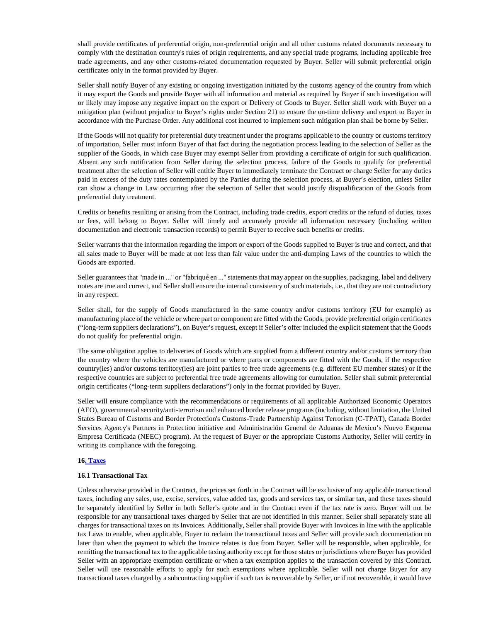shall provide certificates of preferential origin, non-preferential origin and all other customs related documents necessary to comply with the destination country's rules of origin requirements, and any special trade programs, including applicable free trade agreements, and any other customs-related documentation requested by Buyer. Seller will submit preferential origin certificates only in the format provided by Buyer.

Seller shall notify Buyer of any existing or ongoing investigation initiated by the customs agency of the country from which it may export the Goods and provide Buyer with all information and material as required by Buyer if such investigation will or likely may impose any negative impact on the export or Delivery of Goods to Buyer. Seller shall work with Buyer on a mitigation plan (without prejudice to Buyer's rights under Section 21) to ensure the on-time delivery and export to Buyer in accordance with the Purchase Order. Any additional cost incurred to implement such mitigation plan shall be borne by Seller.

If the Goods will not qualify for preferential duty treatment under the programs applicable to the country or customs territory of importation, Seller must inform Buyer of that fact during the negotiation process leading to the selection of Seller as the supplier of the Goods, in which case Buyer may exempt Seller from providing a certificate of origin for such qualification. Absent any such notification from Seller during the selection process, failure of the Goods to qualify for preferential treatment after the selection of Seller will entitle Buyer to immediately terminate the Contract or charge Seller for any duties paid in excess of the duty rates contemplated by the Parties during the selection process, at Buyer's election, unless Seller can show a change in Law occurring after the selection of Seller that would justify disqualification of the Goods from preferential duty treatment.

Credits or benefits resulting or arising from the Contract, including trade credits, export credits or the refund of duties, taxes or fees, will belong to Buyer. Seller will timely and accurately provide all information necessary (including written documentation and electronic transaction records) to permit Buyer to receive such benefits or credits.

Seller warrants that the information regarding the import or export of the Goods supplied to Buyer is true and correct, and that all sales made to Buyer will be made at not less than fair value under the anti-dumping Laws of the countries to which the Goods are exported.

Seller guarantees that "made in ..." or "fabriqué en ..." statements that may appear on the supplies, packaging, label and delivery notes are true and correct, and Seller shall ensure the internal consistency of such materials, i.e., that they are not contradictory in any respect.

Seller shall, for the supply of Goods manufactured in the same country and/or customs territory (EU for example) as manufacturing place of the vehicle or where part or component are fitted with the Goods, provide preferential origin certificates ("long-term suppliers declarations"), on Buyer's request, except if Seller's offer included the explicit statement that the Goods do not qualify for preferential origin.

The same obligation applies to deliveries of Goods which are supplied from a different country and/or customs territory than the country where the vehicles are manufactured or where parts or components are fitted with the Goods, if the respective country(ies) and/or customs territory(ies) are joint parties to free trade agreements (e.g. different EU member states) or if the respective countries are subject to preferential free trade agreements allowing for cumulation. Seller shall submit preferential origin certificates ("long-term suppliers declarations") only in the format provided by Buyer.

Seller will ensure compliance with the recommendations or requirements of all applicable Authorized Economic Operators (AEO), governmental security/anti-terrorism and enhanced border release programs (including, without limitation, the United States Bureau of Customs and Border Protection's Customs-Trade Partnership Against Terrorism (C-TPAT), Canada Border Services Agency's Partners in Protection initiative and Administración General de Aduanas de Mexico's Nuevo Esquema Empresa Certificada (NEEC) program). At the request of Buyer or the appropriate Customs Authority, Seller will certify in writing its compliance with the foregoing.

### <span id="page-21-1"></span>**1[6. Taxes](#page-21-1)**

#### **16.1 Transactional Tax**

<span id="page-21-0"></span>Unless otherwise provided in the Contract, the prices set forth in the Contract will be exclusive of any applicable transactional taxes, including any sales, use, excise, services, value added tax, goods and services tax, or similar tax, and these taxes should be separately identified by Seller in both Seller's quote and in the Contract even if the tax rate is zero. Buyer will not be responsible for any transactional taxes charged by Seller that are not identified in this manner. Seller shall separately state all charges for transactional taxes on its Invoices. Additionally, Seller shall provide Buyer with Invoices in line with the applicable tax Laws to enable, when applicable, Buyer to reclaim the transactional taxes and Seller will provide such documentation no later than when the payment to which the Invoice relates is due from Buyer. Seller will be responsible, when applicable, for remitting the transactional tax to the applicable taxing authority except for those states or jurisdictions where Buyer has provided Seller with an appropriate exemption certificate or when a tax exemption applies to the transaction covered by this Contract. Seller will use reasonable efforts to apply for such exemptions where applicable. Seller will not charge Buyer for any transactional taxes charged by a subcontracting supplier if such tax is recoverable by Seller, or if not recoverable, it would have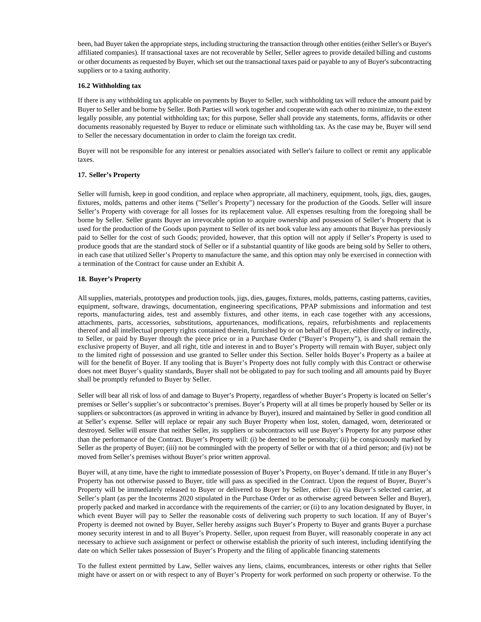been, had Buyer taken the appropriate steps, including structuring the transaction through other entities (either Seller's or Buyer's affiliated companies). If transactional taxes are not recoverable by Seller, Seller agrees to provide detailed billing and customs or other documents as requested by Buyer, which set out the transactional taxes paid or payable to any of Buyer's subcontracting suppliers or to a taxing authority.

#### **16.2 Withholding tax**

If there is any withholding tax applicable on payments by Buyer to Seller, such withholding tax will reduce the amount paid by Buyer to Seller and be borne by Seller. Both Parties will work together and cooperate with each other to minimize, to the extent legally possible, any potential withholding tax; for this purpose, Seller shall provide any statements, forms, affidavits or other documents reasonably requested by Buyer to reduce or eliminate such withholding tax. As the case may be, Buyer will send to Seller the necessary documentation in order to claim the foreign tax credit.

Buyer will not be responsible for any interest or penalties associated with Seller's failure to collect or remit any applicable taxes.

### **17. Seller's Property**

Seller will furnish, keep in good condition, and replace when appropriate, all machinery, equipment, tools, jigs, dies, gauges, fixtures, molds, patterns and other items ("Seller's Property") necessary for the production of the Goods. Seller will insure Seller's Property with coverage for all losses for its replacement value. All expenses resulting from the foregoing shall be borne by Seller. Seller grants Buyer an irrevocable option to acquire ownership and possession of Seller's Property that is used for the production of the Goods upon payment to Seller of its net book value less any amounts that Buyer has previously paid to Seller for the cost of such Goods; provided, however, that this option will not apply if Seller's Property is used to produce goods that are the standard stock of Seller or if a substantial quantity of like goods are being sold by Seller to others, in each case that utilized Seller's Property to manufacture the same, and this option may only be exercised in connection with a termination of the Contract for cause under an Exhibit A.

### **18. Buyer's Property**

All supplies, materials, prototypes and production tools, jigs, dies, gauges, fixtures, molds, patterns, casting patterns, cavities, equipment, software, drawings, documentation, engineering specifications, PPAP submissions and information and test reports, manufacturing aides, test and assembly fixtures, and other items, in each case together with any accessions, attachments, parts, accessories, substitutions, appurtenances, modifications, repairs, refurbishments and replacements thereof and all intellectual property rights contained therein, furnished by or on behalf of Buyer, either directly or indirectly, to Seller, or paid by Buyer through the piece price or in a Purchase Order ("Buyer's Property"), is and shall remain the exclusive property of Buyer, and all right, title and interest in and to Buyer's Property will remain with Buyer, subject only to the limited right of possession and use granted to Seller under this Section. Seller holds Buyer's Property as a bailee at will for the benefit of Buyer. If any tooling that is Buyer's Property does not fully comply with this Contract or otherwise does not meet Buyer's quality standards, Buyer shall not be obligated to pay for such tooling and all amounts paid by Buyer shall be promptly refunded to Buyer by Seller.

Seller will bear all risk of loss of and damage to Buyer's Property, regardless of whether Buyer's Property is located on Seller's premises or Seller's supplier's or subcontractor's premises. Buyer's Property will at all times be properly housed by Seller or its suppliers or subcontractors (as approved in writing in advance by Buyer), insured and maintained by Seller in good condition all at Seller's expense. Seller will replace or repair any such Buyer Property when lost, stolen, damaged, worn, deteriorated or destroyed. Seller will ensure that neither Seller, its suppliers or subcontractors will use Buyer's Property for any purpose other than the performance of the Contract. Buyer's Property will: (i) be deemed to be personalty; (ii) be conspicuously marked by Seller as the property of Buyer; (iii) not be commingled with the property of Seller or with that of a third person; and (iv) not be moved from Seller's premises without Buyer's prior written approval.

Buyer will, at any time, have the right to immediate possession of Buyer's Property, on Buyer's demand. If title in any Buyer's Property has not otherwise passed to Buyer, title will pass as specified in the Contract. Upon the request of Buyer, Buyer's Property will be immediately released to Buyer or delivered to Buyer by Seller, either: (i) via Buyer's selected carrier, at Seller's plant (as per the Incoterms 2020 stipulated in the Purchase Order or as otherwise agreed between Seller and Buyer), properly packed and marked in accordance with the requirements of the carrier; or (ii) to any location designated by Buyer, in which event Buyer will pay to Seller the reasonable costs of delivering such property to such location. If any of Buyer's Property is deemed not owned by Buyer, Seller hereby assigns such Buyer's Property to Buyer and grants Buyer a purchase money security interest in and to all Buyer's Property. Seller, upon request from Buyer, will reasonably cooperate in any act necessary to achieve such assignment or perfect or otherwise establish the priority of such interest, including identifying the date on which Seller takes possession of Buyer's Property and the filing of applicable financing statements

To the fullest extent permitted by Law, Seller waives any liens, claims, encumbrances, interests or other rights that Seller might have or assert on or with respect to any of Buyer's Property for work performed on such property or otherwise. To the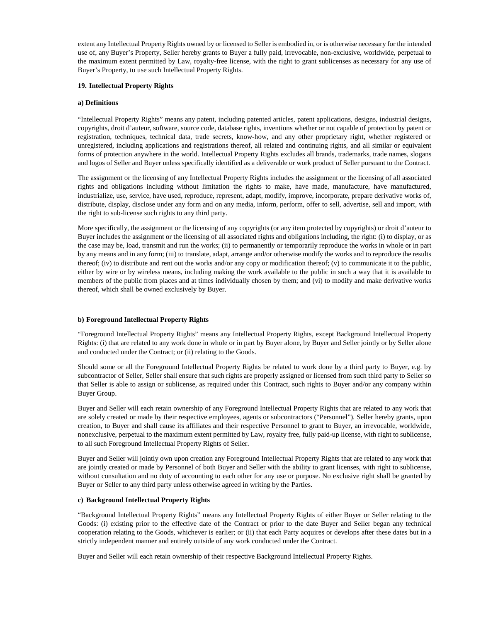extent any Intellectual Property Rights owned by or licensed to Seller is embodied in, or is otherwise necessary for the intended use of, any Buyer's Property, Seller hereby grants to Buyer a fully paid, irrevocable, non-exclusive, worldwide, perpetual to the maximum extent permitted by Law, royalty-free license, with the right to grant sublicenses as necessary for any use of Buyer's Property, to use such Intellectual Property Rights.

### **19. Intellectual Property Rights**

### **a) Definitions**

"Intellectual Property Rights" means any patent, including patented articles, patent applications, designs, industrial designs, copyrights, droit d'auteur, software, source code, database rights, inventions whether or not capable of protection by patent or registration, techniques, technical data, trade secrets, know-how, and any other proprietary right, whether registered or unregistered, including applications and registrations thereof, all related and continuing rights, and all similar or equivalent forms of protection anywhere in the world. Intellectual Property Rights excludes all brands, trademarks, trade names, slogans and logos of Seller and Buyer unless specifically identified as a deliverable or work product of Seller pursuant to the Contract.

The assignment or the licensing of any Intellectual Property Rights includes the assignment or the licensing of all associated rights and obligations including without limitation the rights to make, have made, manufacture, have manufactured, industrialize, use, service, have used, reproduce, represent, adapt, modify, improve, incorporate, prepare derivative works of, distribute, display, disclose under any form and on any media, inform, perform, offer to sell, advertise, sell and import, with the right to sub-license such rights to any third party.

More specifically, the assignment or the licensing of any copyrights (or any item protected by copyrights) or droit d'auteur to Buyer includes the assignment or the licensing of all associated rights and obligations including, the right: (i) to display, or as the case may be, load, transmit and run the works; (ii) to permanently or temporarily reproduce the works in whole or in part by any means and in any form; (iii) to translate, adapt, arrange and/or otherwise modify the works and to reproduce the results thereof; (iv) to distribute and rent out the works and/or any copy or modification thereof; (v) to communicate it to the public, either by wire or by wireless means, including making the work available to the public in such a way that it is available to members of the public from places and at times individually chosen by them; and (vi) to modify and make derivative works thereof, which shall be owned exclusively by Buyer.

#### **b) Foreground Intellectual Property Rights**

"Foreground Intellectual Property Rights" means any Intellectual Property Rights, except Background Intellectual Property Rights: (i) that are related to any work done in whole or in part by Buyer alone, by Buyer and Seller jointly or by Seller alone and conducted under the Contract; or (ii) relating to the Goods.

Should some or all the Foreground Intellectual Property Rights be related to work done by a third party to Buyer, e.g. by subcontractor of Seller, Seller shall ensure that such rights are properly assigned or licensed from such third party to Seller so that Seller is able to assign or sublicense, as required under this Contract, such rights to Buyer and/or any company within Buyer Group.

Buyer and Seller will each retain ownership of any Foreground Intellectual Property Rights that are related to any work that are solely created or made by their respective employees, agents or subcontractors ("Personnel"). Seller hereby grants, upon creation, to Buyer and shall cause its affiliates and their respective Personnel to grant to Buyer, an irrevocable, worldwide, nonexclusive, perpetual to the maximum extent permitted by Law, royalty free, fully paid-up license, with right to sublicense, to all such Foreground Intellectual Property Rights of Seller.

Buyer and Seller will jointly own upon creation any Foreground Intellectual Property Rights that are related to any work that are jointly created or made by Personnel of both Buyer and Seller with the ability to grant licenses, with right to sublicense, without consultation and no duty of accounting to each other for any use or purpose. No exclusive right shall be granted by Buyer or Seller to any third party unless otherwise agreed in writing by the Parties.

#### **c) Background Intellectual Property Rights**

"Background Intellectual Property Rights" means any Intellectual Property Rights of either Buyer or Seller relating to the Goods: (i) existing prior to the effective date of the Contract or prior to the date Buyer and Seller began any technical cooperation relating to the Goods, whichever is earlier; or (ii) that each Party acquires or develops after these dates but in a strictly independent manner and entirely outside of any work conducted under the Contract.

Buyer and Seller will each retain ownership of their respective Background Intellectual Property Rights.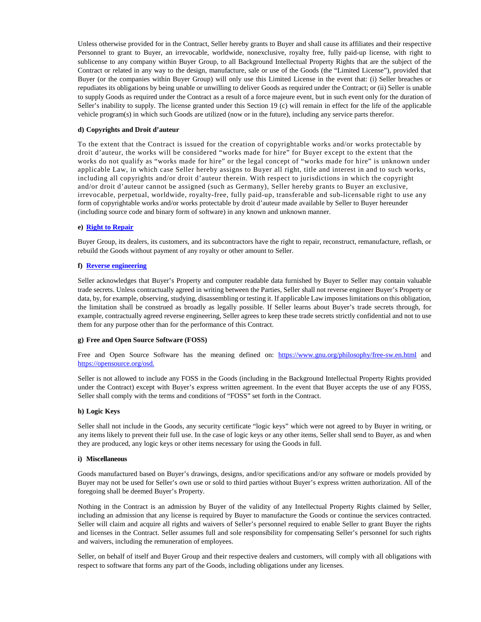Unless otherwise provided for in the Contract, Seller hereby grants to Buyer and shall cause its affiliates and their respective Personnel to grant to Buyer, an irrevocable, worldwide, nonexclusive, royalty free, fully paid-up license, with right to sublicense to any company within Buyer Group, to all Background Intellectual Property Rights that are the subject of the Contract or related in any way to the design, manufacture, sale or use of the Goods (the "Limited License"), provided that Buyer (or the companies within Buyer Group) will only use this Limited License in the event that: (i) Seller breaches or repudiates its obligations by being unable or unwilling to deliver Goods as required under the Contract; or (ii) Seller is unable to supply Goods as required under the Contract as a result of a force majeure event, but in such event only for the duration of Seller's inability to supply. The license granted under this Section 19 (c) will remain in effect for the life of the applicable vehicle program(s) in which such Goods are utilized (now or in the future), including any service parts therefor.

### **d) Copyrights and Droit d'auteur**

To the extent that the Contract is issued for the creation of copyrightable works and/or works protectable by droit d'auteur, the works will be considered "works made for hire" for Buyer except to the extent that the works do not qualify as "works made for hire" or the legal concept of "works made for hire" is unknown under applicable Law, in which case Seller hereby assigns to Buyer all right, title and interest in and to such works, including all copyrights and/or droit d'auteur therein. With respect to jurisdictions in which the copyright and/or droit d'auteur cannot be assigned (such as Germany), Seller hereby grants to Buyer an exclusive, irrevocable, perpetual, worldwide, royalty-free, fully paid-up, transferable and sub-licensable right to use any form of copyrightable works and/or works protectable by droit d'auteur made available by Seller to Buyer hereunder (including source code and binary form of software) in any known and unknown manner.

#### <span id="page-24-2"></span>**e) [Right to Repair](#page-24-2)**

Buyer Group, its dealers, its customers, and its subcontractors have the right to repair, reconstruct, remanufacture, reflash, or rebuild the Goods without payment of any royalty or other amount to Seller.

#### <span id="page-24-3"></span><span id="page-24-0"></span>**f) [Reverse engineering](#page-24-3)**

<span id="page-24-1"></span>Seller acknowledges that Buyer's Property and computer readable data furnished by Buyer to Seller may contain valuable trade secrets. Unless contractually agreed in writing between the Parties, Seller shall not reverse engineer Buyer's Property or data, by, for example, observing, studying, disassembling or testing it. If applicable Law imposes limitations on this obligation, the limitation shall be construed as broadly as legally possible. If Seller learns about Buyer's trade secrets through, for example, contractually agreed reverse engineering, Seller agrees to keep these trade secrets strictly confidential and not to use them for any purpose other than for the performance of this Contract.

#### **g) Free and Open Source Software (FOSS)**

Free and Open Source Software has the meaning defined on: <https://www.gnu.org/philosophy/free-sw.en.html>and <https://opensource.org/osd.>

Seller is not allowed to include any FOSS in the Goods (including in the Background Intellectual Property Rights provided under the Contract) except with Buyer's express written agreement. In the event that Buyer accepts the use of any FOSS, Seller shall comply with the terms and conditions of "FOSS" set forth in the Contract.

#### **h) Logic Keys**

Seller shall not include in the Goods, any security certificate "logic keys" which were not agreed to by Buyer in writing, or any items likely to prevent their full use. In the case of logic keys or any other items, Seller shall send to Buyer, as and when they are produced, any logic keys or other items necessary for using the Goods in full.

#### **i) Miscellaneous**

Goods manufactured based on Buyer's drawings, designs, and/or specifications and/or any software or models provided by Buyer may not be used for Seller's own use or sold to third parties without Buyer's express written authorization. All of the foregoing shall be deemed Buyer's Property.

Nothing in the Contract is an admission by Buyer of the validity of any Intellectual Property Rights claimed by Seller, including an admission that any license is required by Buyer to manufacture the Goods or continue the services contracted. Seller will claim and acquire all rights and waivers of Seller's personnel required to enable Seller to grant Buyer the rights and licenses in the Contract. Seller assumes full and sole responsibility for compensating Seller's personnel for such rights and waivers, including the remuneration of employees.

Seller, on behalf of itself and Buyer Group and their respective dealers and customers, will comply with all obligations with respect to software that forms any part of the Goods, including obligations under any licenses.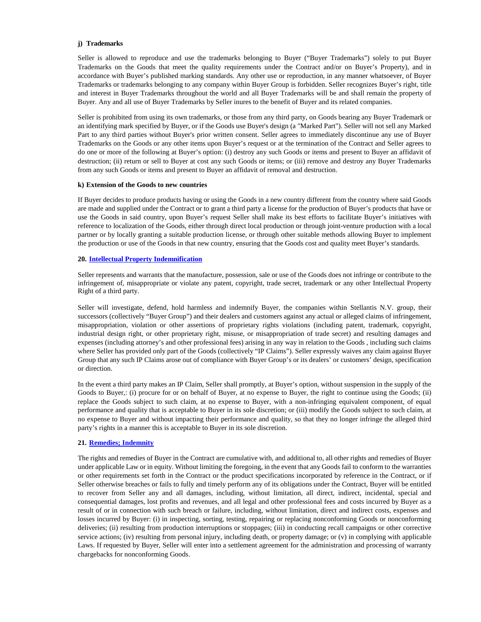### **j) Trademarks**

Seller is allowed to reproduce and use the trademarks belonging to Buyer ("Buyer Trademarks") solely to put Buyer Trademarks on the Goods that meet the quality requirements under the Contract and/or on Buyer's Property), and in accordance with Buyer's published marking standards. Any other use or reproduction, in any manner whatsoever, of Buyer Trademarks or trademarks belonging to any company within Buyer Group is forbidden. Seller recognizes Buyer's right, title and interest in Buyer Trademarks throughout the world and all Buyer Trademarks will be and shall remain the property of Buyer. Any and all use of Buyer Trademarks by Seller inures to the benefit of Buyer and its related companies.

Seller is prohibited from using its own trademarks, or those from any third party, on Goods bearing any Buyer Trademark or an identifying mark specified by Buyer, or if the Goods use Buyer's design (a "Marked Part"). Seller will not sell any Marked Part to any third parties without Buyer's prior written consent. Seller agrees to immediately discontinue any use of Buyer Trademarks on the Goods or any other items upon Buyer's request or at the termination of the Contract and Seller agrees to do one or more of the following at Buyer's option: (i) destroy any such Goods or items and present to Buyer an affidavit of destruction; (ii) return or sell to Buyer at cost any such Goods or items; or (iii) remove and destroy any Buyer Trademarks from any such Goods or items and present to Buyer an affidavit of removal and destruction.

### **k) Extension of the Goods to new countries**

If Buyer decides to produce products having or using the Goods in a new country different from the country where said Goods are made and supplied under the Contract or to grant a third party a license for the production of Buyer's products that have or use the Goods in said country, upon Buyer's request Seller shall make its best efforts to facilitate Buyer's initiatives with reference to localization of the Goods, either through direct local production or through joint-venture production with a local partner or by locally granting a suitable production license, or through other suitable methods allowing Buyer to implement the production or use of the Goods in that new country, ensuring that the Goods cost and quality meet Buyer's standards.

### <span id="page-25-2"></span>**20. [Intellectual Property Indemnification](#page-25-2)**

<span id="page-25-0"></span>Seller represents and warrants that the manufacture, possession, sale or use of the Goods does not infringe or contribute to the infringement of, misappropriate or violate any patent, copyright, trade secret, trademark or any other Intellectual Property Right of a third party.

Seller will investigate, defend, hold harmless and indemnify Buyer, the companies within Stellantis N.V. group, their successors (collectively "Buyer Group") and their dealers and customers against any actual or alleged claims of infringement, misappropriation, violation or other assertions of proprietary rights violations (including patent, trademark, copyright, industrial design right, or other proprietary right, misuse, or misappropriation of trade secret) and resulting damages and expenses (including attorney's and other professional fees) arising in any way in relation to the Goods , including such claims where Seller has provided only part of the Goods (collectively "IP Claims"). Seller expressly waives any claim against Buyer Group that any such IP Claims arose out of compliance with Buyer Group's or its dealers' or customers' design, specification or direction.

In the event a third party makes an IP Claim, Seller shall promptly, at Buyer's option, without suspension in the supply of the Goods to Buyer,: (i) procure for or on behalf of Buyer, at no expense to Buyer, the right to continue using the Goods; (ii) replace the Goods subject to such claim, at no expense to Buyer, with a non-infringing equivalent component, of equal performance and quality that is acceptable to Buyer in its sole discretion; or (iii) modify the Goods subject to such claim, at no expense to Buyer and without impacting their performance and quality, so that they no longer infringe the alleged third party's rights in a manner this is acceptable to Buyer in its sole discretion.

## <span id="page-25-3"></span>**21. [Remedies; Indemnity](#page-25-3)**

<span id="page-25-1"></span>The rights and remedies of Buyer in the Contract are cumulative with, and additional to, all other rights and remedies of Buyer under applicable Law or in equity. Without limiting the foregoing, in the event that any Goods fail to conform to the warranties or other requirements set forth in the Contract or the product specifications incorporated by reference in the Contract, or if Seller otherwise breaches or fails to fully and timely perform any of its obligations under the Contract, Buyer will be entitled to recover from Seller any and all damages, including, without limitation, all direct, indirect, incidental, special and consequential damages, lost profits and revenues, and all legal and other professional fees and costs incurred by Buyer as a result of or in connection with such breach or failure, including, without limitation, direct and indirect costs, expenses and losses incurred by Buyer: (i) in inspecting, sorting, testing, repairing or replacing nonconforming Goods or nonconforming deliveries; (ii) resulting from production interruptions or stoppages; (iii) in conducting recall campaigns or other corrective service actions; (iv) resulting from personal injury, including death, or property damage; or (v) in complying with applicable Laws. If requested by Buyer, Seller will enter into a settlement agreement for the administration and processing of warranty chargebacks for nonconforming Goods.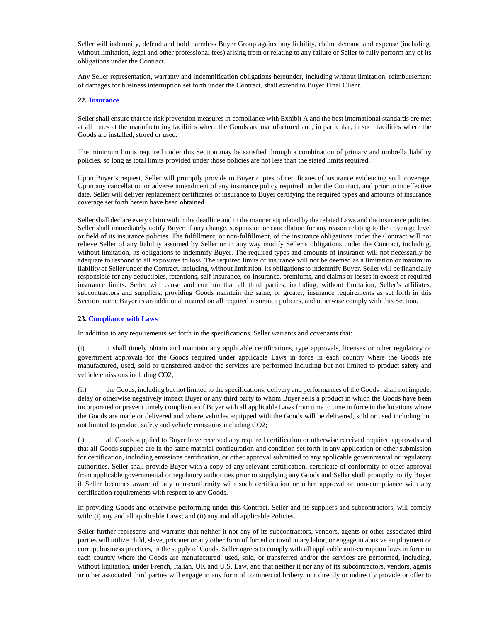Seller will indemnify, defend and hold harmless Buyer Group against any liability, claim, demand and expense (including, without limitation, legal and other professional fees) arising from or relating to any failure of Seller to fully perform any of its obligations under the Contract.

Any Seller representation, warranty and indemnification obligations hereunder, including without limitation, reimbursement of damages for business interruption set forth under the Contract, shall extend to Buyer Final Client.

### **22. [Insurance](#page-26-2)**

Seller shall ensure that the risk prevention measures in compliance with Exhibit A and the best international standards are met at all times at the manufacturing facilities where the Goods are manufactured and, in particular, in such facilities where the Goods are installed, stored or used.

The minimum limits required under this Section may be satisfied through a combination of primary and umbrella liability policies, so long as total limits provided under those policies are not less than the stated limits required.

Upon Buyer's request, Seller will promptly provide to Buyer copies of certificates of insurance evidencing such coverage. Upon any cancellation or adverse amendment of any insurance policy required under the Contract, and prior to its effective date, Seller will deliver replacement certificates of insurance to Buyer certifying the required types and amounts of insurance coverage set forth herein have been obtained.

<span id="page-26-2"></span><span id="page-26-0"></span>Seller shall declare every claim within the deadline and in the manner stipulated by the related Laws and the insurance policies. Seller shall immediately notify Buyer of any change, suspension or cancellation for any reason relating to the coverage level or field of its insurance policies. The fulfillment, or non-fulfillment, of the insurance obligations under the Contract will not relieve Seller of any liability assumed by Seller or in any way modify Seller's obligations under the Contract, including, without limitation, its obligations to indemnify Buyer. The required types and amounts of insurance will not necessarily be adequate to respond to all exposures to loss. The required limits of insurance will not be deemed as a limitation or maximum liability of Seller under the Contract, including, without limitation, its obligations to indemnify Buyer. Seller will be financially responsible for any deductibles, retentions, self-insurance, co-insurance, premiums, and claims or losses in excess of required insurance limits. Seller will cause and confirm that all third parties, including, without limitation, Seller's affiliates, subcontractors and suppliers, providing Goods maintain the same, or greater, insurance requirements as set forth in this Section, name Buyer as an additional insured on all required insurance policies, and otherwise comply with this Section.

#### <span id="page-26-3"></span>**23[. Compliance with Laws](#page-26-3)**

In addition to any requirements set forth in the specifications, Seller warrants and covenants that:

<span id="page-26-1"></span>(i) it shall timely obtain and maintain any applicable certifications, type approvals, licenses or other regulatory or government approvals for the Goods required under applicable Laws in force in each country where the Goods are manufactured, used, sold or transferred and/or the services are performed including but not limited to product safety and vehicle emissions including CO2;

(ii) the Goods, including but not limited to the specifications, delivery and performances of the Goods , shall not impede, delay or otherwise negatively impact Buyer or any third party to whom Buyer sells a product in which the Goods have been incorporated or prevent timely compliance of Buyer with all applicable Laws from time to time in force in the locations where the Goods are made or delivered and where vehicles equipped with the Goods will be delivered, sold or used including but not limited to product safety and vehicle emissions including CO2;

( ) all Goods supplied to Buyer have received any required certification or otherwise received required approvals and that all Goods supplied are in the same material configuration and condition set forth in any application or other submission for certification, including emissions certification, or other approval submitted to any applicable governmental or regulatory authorities. Seller shall provide Buyer with a copy of any relevant certification, certificate of conformity or other approval from applicable governmental or regulatory authorities prior to supplying any Goods and Seller shall promptly notify Buyer if Seller becomes aware of any non-conformity with such certification or other approval or non-compliance with any certification requirements with respect to any Goods.

In providing Goods and otherwise performing under this Contract, Seller and its suppliers and subcontractors, will comply with: (i) any and all applicable Laws; and (ii) any and all applicable Policies.

Seller further represents and warrants that neither it nor any of its subcontractors, vendors, agents or other associated third parties will utilize child, slave, prisoner or any other form of forced or involuntary labor, or engage in abusive employment or corrupt business practices, in the supply of Goods. Seller agrees to comply with all applicable anti-corruption laws in force in each country where the Goods are manufactured, used, sold, or transferred and/or the services are performed, including, without limitation, under French, Italian, UK and U.S. Law, and that neither it nor any of its subcontractors, vendors, agents or other associated third parties will engage in any form of commercial bribery, nor directly or indirectly provide or offer to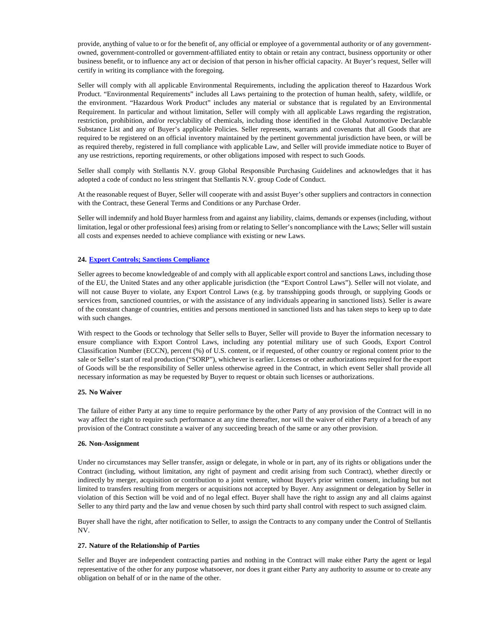provide, anything of value to or for the benefit of, any official or employee of a governmental authority or of any governmentowned, government-controlled or government-affiliated entity to obtain or retain any contract, business opportunity or other business benefit, or to influence any act or decision of that person in his/her official capacity. At Buyer's request, Seller will certify in writing its compliance with the foregoing.

Seller will comply with all applicable Environmental Requirements, including the application thereof to Hazardous Work Product. "Environmental Requirements" includes all Laws pertaining to the protection of human health, safety, wildlife, or the environment. "Hazardous Work Product" includes any material or substance that is regulated by an Environmental Requirement. In particular and without limitation, Seller will comply with all applicable Laws regarding the registration, restriction, prohibition, and/or recyclability of chemicals, including those identified in the Global Automotive Declarable Substance List and any of Buyer's applicable Policies. Seller represents, warrants and covenants that all Goods that are required to be registered on an official inventory maintained by the pertinent governmental jurisdiction have been, or will be as required thereby, registered in full compliance with applicable Law, and Seller will provide immediate notice to Buyer of any use restrictions, reporting requirements, or other obligations imposed with respect to such Goods.

Seller shall comply with Stellantis N.V. group Global Responsible Purchasing Guidelines and acknowledges that it has adopted a code of conduct no less stringent that Stellantis N.V. group Code of Conduct.

At the reasonable request of Buyer, Seller will cooperate with and assist Buyer's other suppliers and contractors in connection with the Contract, these General Terms and Conditions or any Purchase Order.

Seller will indemnify and hold Buyer harmless from and against any liability, claims, demands or expenses (including, without limitation, legal or other professional fees) arising from or relating to Seller's noncompliance with the Laws; Seller will sustain all costs and expenses needed to achieve compliance with existing or new Laws.

## <span id="page-27-1"></span>**24. [Export Controls; Sanctions Compliance](#page-27-1)**

<span id="page-27-0"></span>Seller agrees to become knowledgeable of and comply with all applicable export control and sanctions Laws, including those of the EU, the United States and any other applicable jurisdiction (the "Export Control Laws"). Seller will not violate, and will not cause Buyer to violate, any Export Control Laws (e.g. by transshipping goods through, or supplying Goods or services from, sanctioned countries, or with the assistance of any individuals appearing in sanctioned lists). Seller is aware of the constant change of countries, entities and persons mentioned in sanctioned lists and has taken steps to keep up to date with such changes.

With respect to the Goods or technology that Seller sells to Buyer, Seller will provide to Buyer the information necessary to ensure compliance with Export Control Laws, including any potential military use of such Goods, Export Control Classification Number (ECCN), percent (%) of U.S. content, or if requested, of other country or regional content prior to the sale or Seller's start of real production ("SORP"), whichever is earlier. Licenses or other authorizations required for the export of Goods will be the responsibility of Seller unless otherwise agreed in the Contract, in which event Seller shall provide all necessary information as may be requested by Buyer to request or obtain such licenses or authorizations.

#### **25. No Waiver**

The failure of either Party at any time to require performance by the other Party of any provision of the Contract will in no way affect the right to require such performance at any time thereafter, nor will the waiver of either Party of a breach of any provision of the Contract constitute a waiver of any succeeding breach of the same or any other provision.

#### **26. Non-Assignment**

Under no circumstances may Seller transfer, assign or delegate, in whole or in part, any of its rights or obligations under the Contract (including, without limitation, any right of payment and credit arising from such Contract), whether directly or indirectly by merger, acquisition or contribution to a joint venture, without Buyer's prior written consent, including but not limited to transfers resulting from mergers or acquisitions not accepted by Buyer. Any assignment or delegation by Seller in violation of this Section will be void and of no legal effect. Buyer shall have the right to assign any and all claims against Seller to any third party and the law and venue chosen by such third party shall control with respect to such assigned claim.

Buyer shall have the right, after notification to Seller, to assign the Contracts to any company under the Control of Stellantis NV.

#### **27. Nature of the Relationship of Parties**

Seller and Buyer are independent contracting parties and nothing in the Contract will make either Party the agent or legal representative of the other for any purpose whatsoever, nor does it grant either Party any authority to assume or to create any obligation on behalf of or in the name of the other.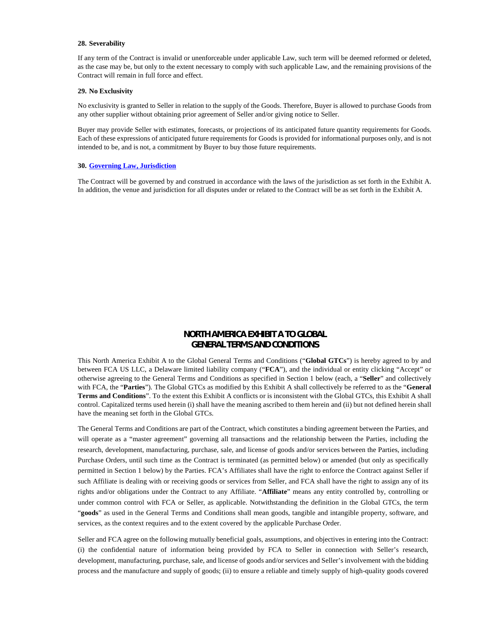#### **28. Severability**

If any term of the Contract is invalid or unenforceable under applicable Law, such term will be deemed reformed or deleted, as the case may be, but only to the extent necessary to comply with such applicable Law, and the remaining provisions of the Contract will remain in full force and effect.

#### **29. No Exclusivity**

No exclusivity is granted to Seller in relation to the supply of the Goods. Therefore, Buyer is allowed to purchase Goods from any other supplier without obtaining prior agreement of Seller and/or giving notice to Seller.

Buyer may provide Seller with estimates, forecasts, or projections of its anticipated future quantity requirements for Goods. Each of these expressions of anticipated future requirements for Goods is provided for informational purposes only, and is not intended to be, and is not, a commitment by Buyer to buy those future requirements.

#### <span id="page-28-1"></span>**30. [Governing Law, Jurisdiction](#page-28-1)**

<span id="page-28-0"></span>The Contract will be governed by and construed in accordance with the laws of the jurisdiction as set forth in the Exhibit A. In addition, the venue and jurisdiction for all disputes under or related to the Contract will be as set forth in the Exhibit A.

# **NORTH AMERICA EXHIBIT A TO GLOBAL GENERAL TERMS AND CONDITIONS**

This North America Exhibit A to the Global General Terms and Conditions ("**Global GTCs**") is hereby agreed to by and between FCA US LLC, a Delaware limited liability company ("**FCA**"), and the individual or entity clicking "Accept" or otherwise agreeing to the General Terms and Conditions as specified in Section 1 below (each, a "**Seller**" and collectively with FCA, the "**Parties**"). The Global GTCs as modified by this Exhibit A shall collectively be referred to as the "**General Terms and Conditions**". To the extent this Exhibit A conflicts or is inconsistent with the Global GTCs, this Exhibit A shall control. Capitalized terms used herein (i) shall have the meaning ascribed to them herein and (ii) but not defined herein shall have the meaning set forth in the Global GTCs.

The General Terms and Conditions are part of the Contract, which constitutes a binding agreement between the Parties, and will operate as a "master agreement" governing all transactions and the relationship between the Parties, including the research, development, manufacturing, purchase, sale, and license of goods and/or services between the Parties, including Purchase Orders, until such time as the Contract is terminated (as permitted below) or amended (but only as specifically permitted in Section 1 below) by the Parties. FCA's Affiliates shall have the right to enforce the Contract against Seller if such Affiliate is dealing with or receiving goods or services from Seller, and FCA shall have the right to assign any of its rights and/or obligations under the Contract to any Affiliate. "**Affiliate**" means any entity controlled by, controlling or under common control with FCA or Seller, as applicable. Notwithstanding the definition in the Global GTCs, the term "**goods**" as used in the General Terms and Conditions shall mean goods, tangible and intangible property, software, and services, as the context requires and to the extent covered by the applicable Purchase Order.

Seller and FCA agree on the following mutually beneficial goals, assumptions, and objectives in entering into the Contract: (i) the confidential nature of information being provided by FCA to Seller in connection with Seller's research, development, manufacturing, purchase, sale, and license of goods and/or services and Seller's involvement with the bidding process and the manufacture and supply of goods; (ii) to ensure a reliable and timely supply of high-quality goods covered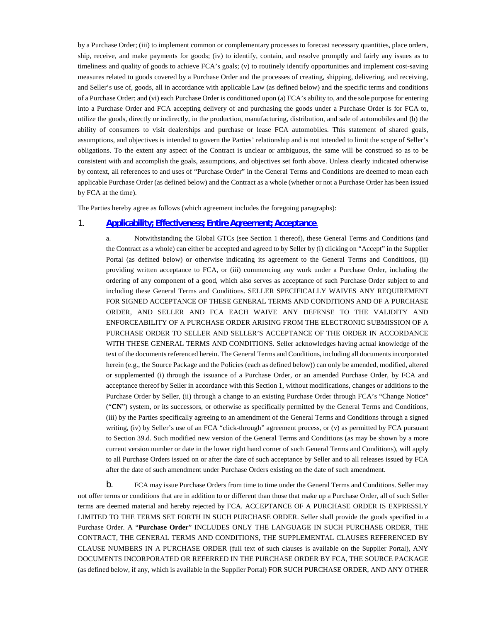by a Purchase Order; (iii) to implement common or complementary processes to forecast necessary quantities, place orders, ship, receive, and make payments for goods; (iv) to identify, contain, and resolve promptly and fairly any issues as to timeliness and quality of goods to achieve FCA's goals; (v) to routinely identify opportunities and implement cost-saving measures related to goods covered by a Purchase Order and the processes of creating, shipping, delivering, and receiving, and Seller's use of, goods, all in accordance with applicable Law (as defined below) and the specific terms and conditions of a Purchase Order; and (vi) each Purchase Order is conditioned upon (a) FCA's ability to, and the sole purpose for entering into a Purchase Order and FCA accepting delivery of and purchasing the goods under a Purchase Order is for FCA to, utilize the goods, directly or indirectly, in the production, manufacturing, distribution, and sale of automobiles and (b) the ability of consumers to visit dealerships and purchase or lease FCA automobiles. This statement of shared goals, assumptions, and objectives is intended to govern the Parties' relationship and is not intended to limit the scope of Seller's obligations. To the extent any aspect of the Contract is unclear or ambiguous, the same will be construed so as to be consistent with and accomplish the goals, assumptions, and objectives set forth above. Unless clearly indicated otherwise by context, all references to and uses of "Purchase Order" in the General Terms and Conditions are deemed to mean each applicable Purchase Order (as defined below) and the Contract as a whole (whether or not a Purchase Order has been issued by FCA at the time).

The Parties hereby agree as follows (which agreement includes the foregoing paragraphs):

## 1. **[Applicability; Effectiveness; Entire Agreement; Acceptance](#page-29-1)**.

<span id="page-29-1"></span><span id="page-29-0"></span>a. Notwithstanding the Global GTCs (see Section 1 thereof), these General Terms and Conditions (and the Contract as a whole) can either be accepted and agreed to by Seller by (i) clicking on "Accept" in the Supplier Portal (as defined below) or otherwise indicating its agreement to the General Terms and Conditions, (ii) providing written acceptance to FCA, or (iii) commencing any work under a Purchase Order, including the ordering of any component of a good, which also serves as acceptance of such Purchase Order subject to and including these General Terms and Conditions. SELLER SPECIFICALLY WAIVES ANY REQUIREMENT FOR SIGNED ACCEPTANCE OF THESE GENERAL TERMS AND CONDITIONS AND OF A PURCHASE ORDER, AND SELLER AND FCA EACH WAIVE ANY DEFENSE TO THE VALIDITY AND ENFORCEABILITY OF A PURCHASE ORDER ARISING FROM THE ELECTRONIC SUBMISSION OF A PURCHASE ORDER TO SELLER AND SELLER'S ACCEPTANCE OF THE ORDER IN ACCORDANCE WITH THESE GENERAL TERMS AND CONDITIONS. Seller acknowledges having actual knowledge of the text of the documents referenced herein. The General Terms and Conditions, including all documents incorporated herein (e.g., the Source Package and the Policies (each as defined below)) can only be amended, modified, altered or supplemented (i) through the issuance of a Purchase Order, or an amended Purchase Order, by FCA and acceptance thereof by Seller in accordance with this Section 1, without modifications, changes or additions to the Purchase Order by Seller, (ii) through a change to an existing Purchase Order through FCA's "Change Notice" ("**CN**") system, or its successors, or otherwise as specifically permitted by the General Terms and Conditions, (iii) by the Parties specifically agreeing to an amendment of the General Terms and Conditions through a signed writing, (iv) by Seller's use of an FCA "click-through" agreement process, or (v) as permitted by FCA pursuant to Section 39.d. Such modified new version of the General Terms and Conditions (as may be shown by a more current version number or date in the lower right hand corner of such General Terms and Conditions), will apply to all Purchase Orders issued on or after the date of such acceptance by Seller and to all releases issued by FCA after the date of such amendment under Purchase Orders existing on the date of such amendment.

b. FCA may issue Purchase Orders from time to time under the General Terms and Conditions. Seller may not offer terms or conditions that are in addition to or different than those that make up a Purchase Order, all of such Seller terms are deemed material and hereby rejected by FCA. ACCEPTANCE OF A PURCHASE ORDER IS EXPRESSLY LIMITED TO THE TERMS SET FORTH IN SUCH PURCHASE ORDER. Seller shall provide the goods specified in a Purchase Order. A "**Purchase Order**" INCLUDES ONLY THE LANGUAGE IN SUCH PURCHASE ORDER, THE CONTRACT, THE GENERAL TERMS AND CONDITIONS, THE SUPPLEMENTAL CLAUSES REFERENCED BY CLAUSE NUMBERS IN A PURCHASE ORDER (full text of such clauses is available on the Supplier Portal), ANY DOCUMENTS INCORPORATED OR REFERRED IN THE PURCHASE ORDER BY FCA, THE SOURCE PACKAGE (as defined below, if any, which is available in the Supplier Portal) FOR SUCH PURCHASE ORDER, AND ANY OTHER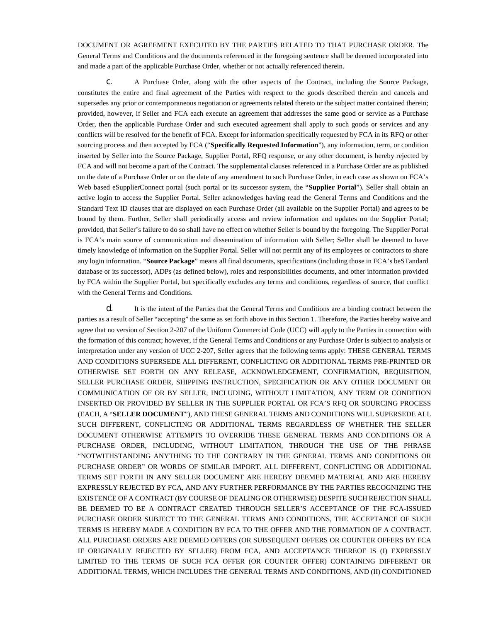DOCUMENT OR AGREEMENT EXECUTED BY THE PARTIES RELATED TO THAT PURCHASE ORDER. The General Terms and Conditions and the documents referenced in the foregoing sentence shall be deemed incorporated into and made a part of the applicable Purchase Order, whether or not actually referenced therein.

c. A Purchase Order, along with the other aspects of the Contract, including the Source Package, constitutes the entire and final agreement of the Parties with respect to the goods described therein and cancels and supersedes any prior or contemporaneous negotiation or agreements related thereto or the subject matter contained therein; provided, however, if Seller and FCA each execute an agreement that addresses the same good or service as a Purchase Order, then the applicable Purchase Order and such executed agreement shall apply to such goods or services and any conflicts will be resolved for the benefit of FCA. Except for information specifically requested by FCA in its RFQ or other sourcing process and then accepted by FCA ("**Specifically Requested Information**"), any information, term, or condition inserted by Seller into the Source Package, Supplier Portal, RFQ response, or any other document, is hereby rejected by FCA and will not become a part of the Contract. The supplemental clauses referenced in a Purchase Order are as published on the date of a Purchase Order or on the date of any amendment to such Purchase Order, in each case as shown on FCA's Web based eSupplierConnect portal (such portal or its successor system, the "**Supplier Portal**"). Seller shall obtain an active login to access the Supplier Portal. Seller acknowledges having read the General Terms and Conditions and the Standard Text ID clauses that are displayed on each Purchase Order (all available on the Supplier Portal) and agrees to be bound by them. Further, Seller shall periodically access and review information and updates on the Supplier Portal; provided, that Seller's failure to do so shall have no effect on whether Seller is bound by the foregoing. The Supplier Portal is FCA's main source of communication and dissemination of information with Seller; Seller shall be deemed to have timely knowledge of information on the Supplier Portal. Seller will not permit any of its employees or contractors to share any login information. "**Source Package**" means all final documents, specifications (including those in FCA's beSTandard database or its successor), ADPs (as defined below), roles and responsibilities documents, and other information provided by FCA within the Supplier Portal, but specifically excludes any terms and conditions, regardless of source, that conflict with the General Terms and Conditions.

d. It is the intent of the Parties that the General Terms and Conditions are a binding contract between the parties as a result of Seller "accepting" the same as set forth above in this Section 1. Therefore, the Parties hereby waive and agree that no version of Section 2-207 of the Uniform Commercial Code (UCC) will apply to the Parties in connection with the formation of this contract; however, if the General Terms and Conditions or any Purchase Order is subject to analysis or interpretation under any version of UCC 2-207, Seller agrees that the following terms apply: THESE GENERAL TERMS AND CONDITIONS SUPERSEDE ALL DIFFERENT, CONFLICTING OR ADDITIONAL TERMS PRE-PRINTED OR OTHERWISE SET FORTH ON ANY RELEASE, ACKNOWLEDGEMENT, CONFIRMATION, REQUISITION, SELLER PURCHASE ORDER, SHIPPING INSTRUCTION, SPECIFICATION OR ANY OTHER DOCUMENT OR COMMUNICATION OF OR BY SELLER, INCLUDING, WITHOUT LIMITATION, ANY TERM OR CONDITION INSERTED OR PROVIDED BY SELLER IN THE SUPPLIER PORTAL OR FCA'S RFQ OR SOURCING PROCESS (EACH, A "**SELLER DOCUMENT**"), AND THESE GENERAL TERMS AND CONDITIONS WILL SUPERSEDE ALL SUCH DIFFERENT, CONFLICTING OR ADDITIONAL TERMS REGARDLESS OF WHETHER THE SELLER DOCUMENT OTHERWISE ATTEMPTS TO OVERRIDE THESE GENERAL TERMS AND CONDITIONS OR A PURCHASE ORDER, INCLUDING, WITHOUT LIMITATION, THROUGH THE USE OF THE PHRASE "NOTWITHSTANDING ANYTHING TO THE CONTRARY IN THE GENERAL TERMS AND CONDITIONS OR PURCHASE ORDER" OR WORDS OF SIMILAR IMPORT. ALL DIFFERENT, CONFLICTING OR ADDITIONAL TERMS SET FORTH IN ANY SELLER DOCUMENT ARE HEREBY DEEMED MATERIAL AND ARE HEREBY EXPRESSLY REJECTED BY FCA, AND ANY FURTHER PERFORMANCE BY THE PARTIES RECOGNIZING THE EXISTENCE OF A CONTRACT (BY COURSE OF DEALING OR OTHERWISE) DESPITE SUCH REJECTION SHALL BE DEEMED TO BE A CONTRACT CREATED THROUGH SELLER'S ACCEPTANCE OF THE FCA-ISSUED PURCHASE ORDER SUBJECT TO THE GENERAL TERMS AND CONDITIONS, THE ACCEPTANCE OF SUCH TERMS IS HEREBY MADE A CONDITION BY FCA TO THE OFFER AND THE FORMATION OF A CONTRACT. ALL PURCHASE ORDERS ARE DEEMED OFFERS (OR SUBSEQUENT OFFERS OR COUNTER OFFERS BY FCA IF ORIGINALLY REJECTED BY SELLER) FROM FCA, AND ACCEPTANCE THEREOF IS (I) EXPRESSLY LIMITED TO THE TERMS OF SUCH FCA OFFER (OR COUNTER OFFER) CONTAINING DIFFERENT OR ADDITIONAL TERMS, WHICH INCLUDES THE GENERAL TERMS AND CONDITIONS, AND (II) CONDITIONED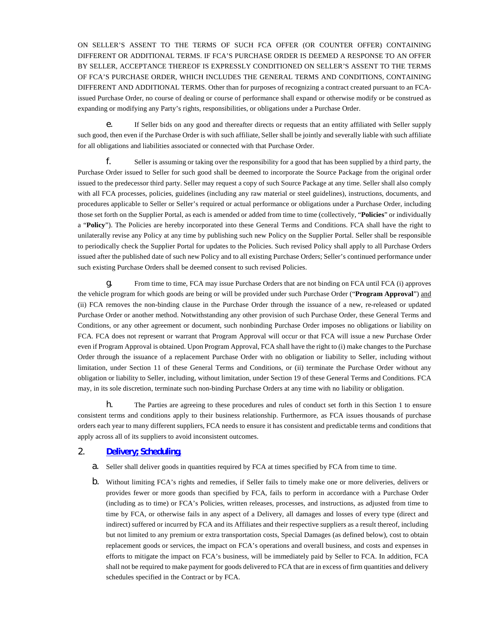ON SELLER'S ASSENT TO THE TERMS OF SUCH FCA OFFER (OR COUNTER OFFER) CONTAINING DIFFERENT OR ADDITIONAL TERMS. IF FCA'S PURCHASE ORDER IS DEEMED A RESPONSE TO AN OFFER BY SELLER, ACCEPTANCE THEREOF IS EXPRESSLY CONDITIONED ON SELLER'S ASSENT TO THE TERMS OF FCA'S PURCHASE ORDER, WHICH INCLUDES THE GENERAL TERMS AND CONDITIONS, CONTAINING DIFFERENT AND ADDITIONAL TERMS. Other than for purposes of recognizing a contract created pursuant to an FCAissued Purchase Order, no course of dealing or course of performance shall expand or otherwise modify or be construed as expanding or modifying any Party's rights, responsibilities, or obligations under a Purchase Order.

e. If Seller bids on any good and thereafter directs or requests that an entity affiliated with Seller supply such good, then even if the Purchase Order is with such affiliate, Seller shall be jointly and severally liable with such affiliate for all obligations and liabilities associated or connected with that Purchase Order.

f. Seller is assuming or taking over the responsibility for a good that has been supplied by a third party, the Purchase Order issued to Seller for such good shall be deemed to incorporate the Source Package from the original order issued to the predecessor third party. Seller may request a copy of such Source Package at any time. Seller shall also comply with all FCA processes, policies, guidelines (including any raw material or steel guidelines), instructions, documents, and procedures applicable to Seller or Seller's required or actual performance or obligations under a Purchase Order, including those set forth on the Supplier Portal, as each is amended or added from time to time (collectively, "**Policies**" or individually a "**Policy**"). The Policies are hereby incorporated into these General Terms and Conditions. FCA shall have the right to unilaterally revise any Policy at any time by publishing such new Policy on the Supplier Portal. Seller shall be responsible to periodically check the Supplier Portal for updates to the Policies. Such revised Policy shall apply to all Purchase Orders issued after the published date of such new Policy and to all existing Purchase Orders; Seller's continued performance under such existing Purchase Orders shall be deemed consent to such revised Policies.

g. From time to time, FCA may issue Purchase Orders that are not binding on FCA until FCA (i) approves the vehicle program for which goods are being or will be provided under such Purchase Order ("**Program Approval**") and (ii) FCA removes the non-binding clause in the Purchase Order through the issuance of a new, re-released or updated Purchase Order or another method. Notwithstanding any other provision of such Purchase Order, these General Terms and Conditions, or any other agreement or document, such nonbinding Purchase Order imposes no obligations or liability on FCA. FCA does not represent or warrant that Program Approval will occur or that FCA will issue a new Purchase Order even if Program Approval is obtained. Upon Program Approval, FCA shall have the right to (i) make changes to the Purchase Order through the issuance of a replacement Purchase Order with no obligation or liability to Seller, including without limitation, under Section 11 of these General Terms and Conditions, or (ii) terminate the Purchase Order without any obligation or liability to Seller, including, without limitation, under Section 19 of these General Terms and Conditions. FCA may, in its sole discretion, terminate such non-binding Purchase Orders at any time with no liability or obligation.

h. The Parties are agreeing to these procedures and rules of conduct set forth in this Section 1 to ensure consistent terms and conditions apply to their business relationship. Furthermore, as FCA issues thousands of purchase orders each year to many different suppliers, FCA needs to ensure it has consistent and predictable terms and conditions that apply across all of its suppliers to avoid inconsistent outcomes.

# 2. **[Delivery; Scheduling](#page-31-1)**.

- <span id="page-31-1"></span>a. Seller shall deliver goods in quantities required by FCA at times specified by FCA from time to time.
- <span id="page-31-0"></span>b. Without limiting FCA's rights and remedies, if Seller fails to timely make one or more deliveries, delivers or provides fewer or more goods than specified by FCA, fails to perform in accordance with a Purchase Order (including as to time) or FCA's Policies, written releases, processes, and instructions, as adjusted from time to time by FCA, or otherwise fails in any aspect of a Delivery, all damages and losses of every type (direct and indirect) suffered or incurred by FCA and its Affiliates and their respective suppliers as a result thereof, including but not limited to any premium or extra transportation costs, Special Damages (as defined below), cost to obtain replacement goods or services, the impact on FCA's operations and overall business, and costs and expenses in efforts to mitigate the impact on FCA's business, will be immediately paid by Seller to FCA. In addition, FCA shall not be required to make payment for goods delivered to FCA that are in excess of firm quantities and delivery schedules specified in the Contract or by FCA.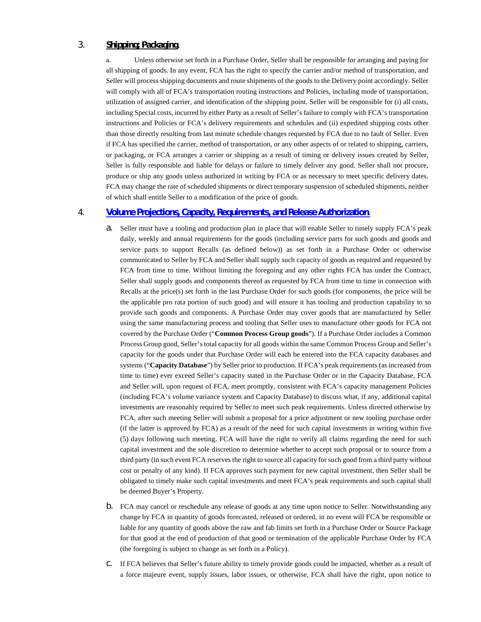# 3. **Shipping; Packaging**.

a. Unless otherwise set forth in a Purchase Order, Seller shall be responsible for arranging and paying for all shipping of goods. In any event, FCA has the right to specify the carrier and/or method of transportation, and Seller will process shipping documents and route shipments of the goods to the Delivery point accordingly. Seller will comply with all of FCA's transportation routing instructions and Policies, including mode of transportation, utilization of assigned carrier, and identification of the shipping point. Seller will be responsible for (i) all costs, including Special costs, incurred by either Party as a result of Seller's failure to comply with FCA's transportation instructions and Policies or FCA's delivery requirements and schedules and (ii) expedited shipping costs other than those directly resulting from last minute schedule changes requested by FCA due to no fault of Seller. Even if FCA has specified the carrier, method of transportation, or any other aspects of or related to shipping, carriers, or packaging, or FCA arranges a carrier or shipping as a result of timing or delivery issues created by Seller, Seller is fully responsible and liable for delays or failure to timely deliver any good. Seller shall not procure, produce or ship any goods unless authorized in writing by FCA or as necessary to meet specific delivery dates. FCA may change the rate of scheduled shipments or direct temporary suspension of scheduled shipments, neither of which shall entitle Seller to a modification of the price of goods.

## 4. **[Volume Projections, Capacity, Requirements, and Release Authorization](#page-32-1)**.

- <span id="page-32-1"></span><span id="page-32-0"></span>a. Seller must have a tooling and production plan in place that will enable Seller to timely supply FCA's peak daily, weekly and annual requirements for the goods (including service parts for such goods and goods and service parts to support Recalls (as defined below)) as set forth in a Purchase Order or otherwise communicated to Seller by FCA and Seller shall supply such capacity of goods as required and requested by FCA from time to time. Without limiting the foregoing and any other rights FCA has under the Contract, Seller shall supply goods and components thereof as requested by FCA from time to time in connection with Recalls at the price(s) set forth in the last Purchase Order for such goods (for components, the price will be the applicable pro rata portion of such good) and will ensure it has tooling and production capability to so provide such goods and components. A Purchase Order may cover goods that are manufactured by Seller using the same manufacturing process and tooling that Seller uses to manufacture other goods for FCA not covered by the Purchase Order ("**Common Process Group goods**"). If a Purchase Order includes a Common Process Group good, Seller's total capacity for all goods within the same Common Process Group and Seller's capacity for the goods under that Purchase Order will each be entered into the FCA capacity databases and systems ("**Capacity Database**") by Seller prior to production. If FCA's peak requirements (as increased from time to time) ever exceed Seller's capacity stated in the Purchase Order or in the Capacity Database, FCA and Seller will, upon request of FCA, meet promptly, consistent with FCA's capacity management Policies (including FCA's volume variance system and Capacity Database) to discuss what, if any, additional capital investments are reasonably required by Seller to meet such peak requirements. Unless directed otherwise by FCA, after such meeting Seller will submit a proposal for a price adjustment or new tooling purchase order (if the latter is approved by FCA) as a result of the need for such capital investments in writing within five (5) days following such meeting. FCA will have the right to verify all claims regarding the need for such capital investment and the sole discretion to determine whether to accept such proposal or to source from a third party (in such event FCA reserves the right to source all capacity for such good from a third party without cost or penalty of any kind). If FCA approves such payment for new capital investment, then Seller shall be obligated to timely make such capital investments and meet FCA's peak requirements and such capital shall be deemed Buyer's Property.
- b. FCA may cancel or reschedule any release of goods at any time upon notice to Seller. Notwithstanding any change by FCA in quantity of goods forecasted, released or ordered, in no event will FCA be responsible or liable for any quantity of goods above the raw and fab limits set forth in a Purchase Order or Source Package for that good at the end of production of that good or termination of the applicable Purchase Order by FCA (the foregoing is subject to change as set forth in a Policy).
- c. If FCA believes that Seller's future ability to timely provide goods could be impacted, whether as a result of a force majeure event, supply issues, labor issues, or otherwise, FCA shall have the right, upon notice to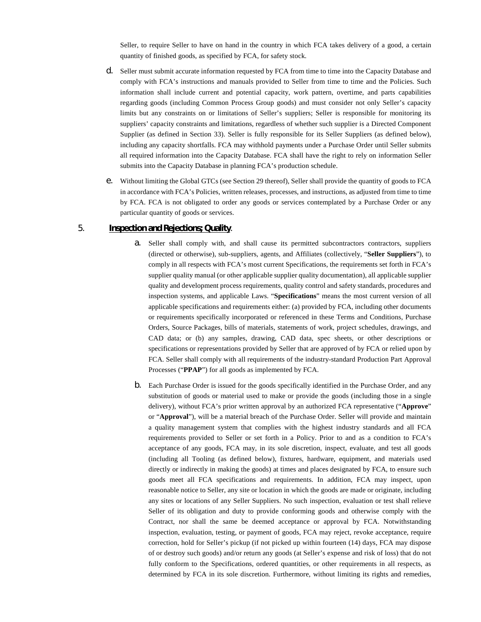Seller, to require Seller to have on hand in the country in which FCA takes delivery of a good, a certain quantity of finished goods, as specified by FCA, for safety stock.

- d. Seller must submit accurate information requested by FCA from time to time into the Capacity Database and comply with FCA's instructions and manuals provided to Seller from time to time and the Policies. Such information shall include current and potential capacity, work pattern, overtime, and parts capabilities regarding goods (including Common Process Group goods) and must consider not only Seller's capacity limits but any constraints on or limitations of Seller's suppliers; Seller is responsible for monitoring its suppliers' capacity constraints and limitations, regardless of whether such supplier is a Directed Component Supplier (as defined in Section 33). Seller is fully responsible for its Seller Suppliers (as defined below), including any capacity shortfalls. FCA may withhold payments under a Purchase Order until Seller submits all required information into the Capacity Database. FCA shall have the right to rely on information Seller submits into the Capacity Database in planning FCA's production schedule.
- e. Without limiting the Global GTCs (see Section 29 thereof), Seller shall provide the quantity of goods to FCA in accordance with FCA's Policies, written releases, processes, and instructions, as adjusted from time to time by FCA. FCA is not obligated to order any goods or services contemplated by a Purchase Order or any particular quantity of goods or services.

## 5. **Inspection and Rejections; Quality**.

- a. Seller shall comply with, and shall cause its permitted subcontractors contractors, suppliers (directed or otherwise), sub-suppliers, agents, and Affiliates (collectively, "**Seller Suppliers**"), to comply in all respects with FCA's most current Specifications, the requirements set forth in FCA's supplier quality manual (or other applicable supplier quality documentation), all applicable supplier quality and development process requirements, quality control and safety standards, procedures and inspection systems, and applicable Laws. "**Specifications**" means the most current version of all applicable specifications and requirements either: (a) provided by FCA, including other documents or requirements specifically incorporated or referenced in these Terms and Conditions, Purchase Orders, Source Packages, bills of materials, statements of work, project schedules, drawings, and CAD data; or (b) any samples, drawing, CAD data, spec sheets, or other descriptions or specifications or representations provided by Seller that are approved of by FCA or relied upon by FCA. Seller shall comply with all requirements of the industry-standard Production Part Approval Processes ("**PPAP**") for all goods as implemented by FCA.
- b. Each Purchase Order is issued for the goods specifically identified in the Purchase Order, and any substitution of goods or material used to make or provide the goods (including those in a single delivery), without FCA's prior written approval by an authorized FCA representative ("**Approve**" or "**Approval**"), will be a material breach of the Purchase Order. Seller will provide and maintain a quality management system that complies with the highest industry standards and all FCA requirements provided to Seller or set forth in a Policy. Prior to and as a condition to FCA's acceptance of any goods, FCA may, in its sole discretion, inspect, evaluate, and test all goods (including all Tooling (as defined below), fixtures, hardware, equipment, and materials used directly or indirectly in making the goods) at times and places designated by FCA, to ensure such goods meet all FCA specifications and requirements. In addition, FCA may inspect, upon reasonable notice to Seller, any site or location in which the goods are made or originate, including any sites or locations of any Seller Suppliers. No such inspection, evaluation or test shall relieve Seller of its obligation and duty to provide conforming goods and otherwise comply with the Contract, nor shall the same be deemed acceptance or approval by FCA. Notwithstanding inspection, evaluation, testing, or payment of goods, FCA may reject, revoke acceptance, require correction, hold for Seller's pickup (if not picked up within fourteen (14) days, FCA may dispose of or destroy such goods) and/or return any goods (at Seller's expense and risk of loss) that do not fully conform to the Specifications, ordered quantities, or other requirements in all respects, as determined by FCA in its sole discretion. Furthermore, without limiting its rights and remedies,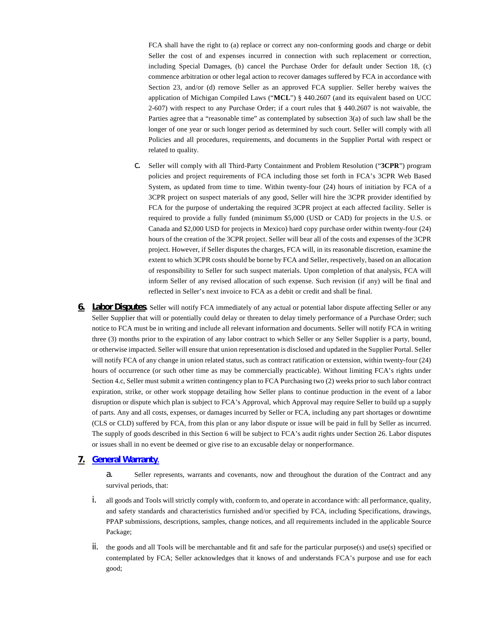FCA shall have the right to (a) replace or correct any non-conforming goods and charge or debit Seller the cost of and expenses incurred in connection with such replacement or correction, including Special Damages, (b) cancel the Purchase Order for default under Section 18, (c) commence arbitration or other legal action to recover damages suffered by FCA in accordance with Section 23, and/or (d) remove Seller as an approved FCA supplier. Seller hereby waives the application of Michigan Compiled Laws ("**MCL**") § 440.2607 (and its equivalent based on UCC 2-607) with respect to any Purchase Order; if a court rules that § 440.2607 is not waivable, the Parties agree that a "reasonable time" as contemplated by subsection 3(a) of such law shall be the longer of one year or such longer period as determined by such court. Seller will comply with all Policies and all procedures, requirements, and documents in the Supplier Portal with respect or related to quality.

- c. Seller will comply with all Third-Party Containment and Problem Resolution ("**3CPR**") program policies and project requirements of FCA including those set forth in FCA's 3CPR Web Based System, as updated from time to time. Within twenty-four (24) hours of initiation by FCA of a 3CPR project on suspect materials of any good, Seller will hire the 3CPR provider identified by FCA for the purpose of undertaking the required 3CPR project at each affected facility. Seller is required to provide a fully funded (minimum \$5,000 (USD or CAD) for projects in the U.S. or Canada and \$2,000 USD for projects in Mexico) hard copy purchase order within twenty-four (24) hours of the creation of the 3CPR project. Seller will bear all of the costs and expenses of the 3CPR project. However, if Seller disputes the charges, FCA will, in its reasonable discretion, examine the extent to which 3CPR costs should be borne by FCA and Seller, respectively, based on an allocation of responsibility to Seller for such suspect materials. Upon completion of that analysis, FCA will inform Seller of any revised allocation of such expense. Such revision (if any) will be final and reflected in Seller's next invoice to FCA as a debit or credit and shall be final.
- **6. Labor Disputes**. Seller will notify FCA immediately of any actual or potential labor dispute affecting Seller or any Seller Supplier that will or potentially could delay or threaten to delay timely performance of a Purchase Order; such notice to FCA must be in writing and include all relevant information and documents. Seller will notify FCA in writing three (3) months prior to the expiration of any labor contract to which Seller or any Seller Supplier is a party, bound, or otherwise impacted. Seller will ensure that union representation is disclosed and updated in the Supplier Portal. Seller will notify FCA of any change in union related status, such as contract ratification or extension, within twenty-four (24) hours of occurrence (or such other time as may be commercially practicable). Without limiting FCA's rights under Section 4.c, Seller must submit a written contingency plan to FCA Purchasing two (2) weeks prior to such labor contract expiration, strike, or other work stoppage detailing how Seller plans to continue production in the event of a labor disruption or dispute which plan is subject to FCA's Approval, which Approval may require Seller to build up a supply of parts. Any and all costs, expenses, or damages incurred by Seller or FCA, including any part shortages or downtime (CLS or CLD) suffered by FCA, from this plan or any labor dispute or issue will be paid in full by Seller as incurred. The supply of goods described in this Section 6 will be subject to FCA's audit rights under Section 26. Labor disputes or issues shall in no event be deemed or give rise to an excusable delay or nonperformance.

## <span id="page-34-1"></span>**7. [General Warranty](#page-34-1)**.

a. Seller represents, warrants and covenants, now and throughout the duration of the Contract and any survival periods, that:

- <span id="page-34-0"></span>i. all goods and Tools will strictly comply with, conform to, and operate in accordance with: all performance, quality, and safety standards and characteristics furnished and/or specified by FCA, including Specifications, drawings, PPAP submissions, descriptions, samples, change notices, and all requirements included in the applicable Source Package;
- $\mathbf{i}$ . the goods and all Tools will be merchantable and fit and safe for the particular purpose(s) and use(s) specified or contemplated by FCA; Seller acknowledges that it knows of and understands FCA's purpose and use for each good;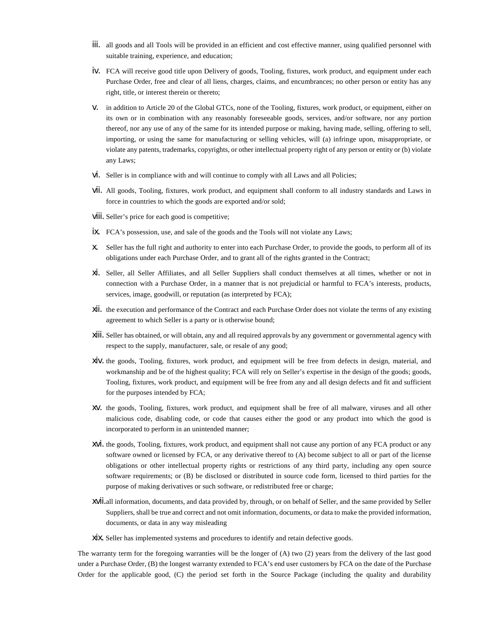- iii. all goods and all Tools will be provided in an efficient and cost effective manner, using qualified personnel with suitable training, experience, and education;
- iv. FCA will receive good title upon Delivery of goods, Tooling, fixtures, work product, and equipment under each Purchase Order, free and clear of all liens, charges, claims, and encumbrances; no other person or entity has any right, title, or interest therein or thereto;
- v. in addition to Article 20 of the Global GTCs, none of the Tooling, fixtures, work product, or equipment, either on its own or in combination with any reasonably foreseeable goods, services, and/or software, nor any portion thereof, nor any use of any of the same for its intended purpose or making, having made, selling, offering to sell, importing, or using the same for manufacturing or selling vehicles, will (a) infringe upon, misappropriate, or violate any patents, trademarks, copyrights, or other intellectual property right of any person or entity or (b) violate any Laws;
- vi. Seller is in compliance with and will continue to comply with all Laws and all Policies;
- vii. All goods, Tooling, fixtures, work product, and equipment shall conform to all industry standards and Laws in force in countries to which the goods are exported and/or sold;
- viii. Seller's price for each good is competitive;
- ix. FCA's possession, use, and sale of the goods and the Tools will not violate any Laws;
- x. Seller has the full right and authority to enter into each Purchase Order, to provide the goods, to perform all of its obligations under each Purchase Order, and to grant all of the rights granted in the Contract;
- xi. Seller, all Seller Affiliates, and all Seller Suppliers shall conduct themselves at all times, whether or not in connection with a Purchase Order, in a manner that is not prejudicial or harmful to FCA's interests, products, services, image, goodwill, or reputation (as interpreted by FCA);
- xii. the execution and performance of the Contract and each Purchase Order does not violate the terms of any existing agreement to which Seller is a party or is otherwise bound;
- xiii. Seller has obtained, or will obtain, any and all required approvals by any government or governmental agency with respect to the supply, manufacturer, sale, or resale of any good;
- xiv. the goods, Tooling, fixtures, work product, and equipment will be free from defects in design, material, and workmanship and be of the highest quality; FCA will rely on Seller's expertise in the design of the goods; goods, Tooling, fixtures, work product, and equipment will be free from any and all design defects and fit and sufficient for the purposes intended by FCA;
- xv. the goods, Tooling, fixtures, work product, and equipment shall be free of all malware, viruses and all other malicious code, disabling code, or code that causes either the good or any product into which the good is incorporated to perform in an unintended manner;
- xvi. the goods, Tooling, fixtures, work product, and equipment shall not cause any portion of any FCA product or any software owned or licensed by FCA, or any derivative thereof to (A) become subject to all or part of the license obligations or other intellectual property rights or restrictions of any third party, including any open source software requirements; or (B) be disclosed or distributed in source code form, licensed to third parties for the purpose of making derivatives or such software, or redistributed free or charge;
- xvii.all information, documents, and data provided by, through, or on behalf of Seller, and the same provided by Seller Suppliers, shall be true and correct and not omit information, documents, or data to make the provided information, documents, or data in any way misleading
- xix. Seller has implemented systems and procedures to identify and retain defective goods.

The warranty term for the foregoing warranties will be the longer of (A) two (2) years from the delivery of the last good under a Purchase Order, (B) the longest warranty extended to FCA's end user customers by FCA on the date of the Purchase Order for the applicable good, (C) the period set forth in the Source Package (including the quality and durability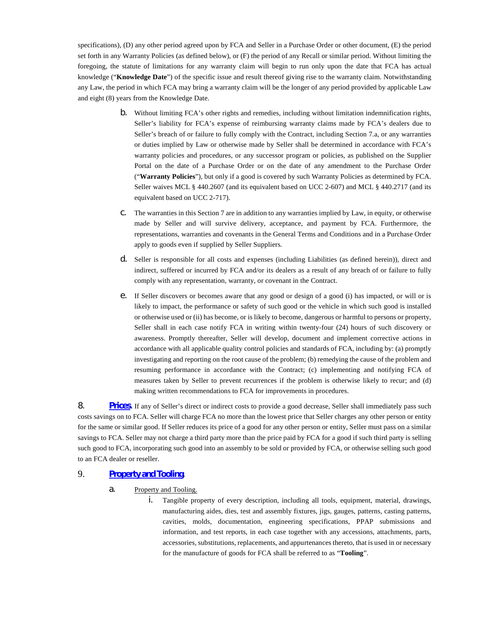specifications), (D) any other period agreed upon by FCA and Seller in a Purchase Order or other document, (E) the period set forth in any Warranty Policies (as defined below), or (F) the period of any Recall or similar period. Without limiting the foregoing, the statute of limitations for any warranty claim will begin to run only upon the date that FCA has actual knowledge ("**Knowledge Date**") of the specific issue and result thereof giving rise to the warranty claim. Notwithstanding any Law, the period in which FCA may bring a warranty claim will be the longer of any period provided by applicable Law and eight (8) years from the Knowledge Date.

- b. Without limiting FCA's other rights and remedies, including without limitation indemnification rights, Seller's liability for FCA's expense of reimbursing warranty claims made by FCA's dealers due to Seller's breach of or failure to fully comply with the Contract, including Section 7.a, or any warranties or duties implied by Law or otherwise made by Seller shall be determined in accordance with FCA's warranty policies and procedures, or any successor program or policies, as published on the Supplier Portal on the date of a Purchase Order or on the date of any amendment to the Purchase Order ("**Warranty Policies**"), but only if a good is covered by such Warranty Policies as determined by FCA. Seller waives MCL § 440.2607 (and its equivalent based on UCC 2-607) and MCL § 440.2717 (and its equivalent based on UCC 2-717).
- c. The warranties in this Section 7 are in addition to any warranties implied by Law, in equity, or otherwise made by Seller and will survive delivery, acceptance, and payment by FCA. Furthermore, the representations, warranties and covenants in the General Terms and Conditions and in a Purchase Order apply to goods even if supplied by Seller Suppliers.
- d. Seller is responsible for all costs and expenses (including Liabilities (as defined herein)), direct and indirect, suffered or incurred by FCA and/or its dealers as a result of any breach of or failure to fully comply with any representation, warranty, or covenant in the Contract.
- e. If Seller discovers or becomes aware that any good or design of a good (i) has impacted, or will or is likely to impact, the performance or safety of such good or the vehicle in which such good is installed or otherwise used or (ii) has become, or is likely to become, dangerous or harmful to persons or property, Seller shall in each case notify FCA in writing within twenty-four (24) hours of such discovery or awareness. Promptly thereafter, Seller will develop, document and implement corrective actions in accordance with all applicable quality control policies and standards of FCA, including by: (a) promptly investigating and reporting on the root cause of the problem; (b) remedying the cause of the problem and resuming performance in accordance with the Contract; (c) implementing and notifying FCA of measures taken by Seller to prevent recurrences if the problem is otherwise likely to recur; and (d) making written recommendations to FCA for improvements in procedures.

<span id="page-36-2"></span><span id="page-36-0"></span>8. **[Prices](#page-36-2)**. If any of Seller's direct or indirect costs to provide a good decrease, Seller shall immediately pass such costs savings on to FCA. Seller will charge FCA no more than the lowest price that Seller charges any other person or entity for the same or similar good. If Seller reduces its price of a good for any other person or entity, Seller must pass on a similar savings to FCA. Seller may not charge a third party more than the price paid by FCA for a good if such third party is selling such good to FCA, incorporating such good into an assembly to be sold or provided by FCA, or otherwise selling such good to an FCA dealer or reseller.

## 9. **[Property and Tooling](#page-36-3)**.

- <span id="page-36-3"></span><span id="page-36-1"></span>a. Property and Tooling.
	- i. Tangible property of every description, including all tools, equipment, material, drawings, manufacturing aides, dies, test and assembly fixtures, jigs, gauges, patterns, casting patterns, cavities, molds, documentation, engineering specifications, PPAP submissions and information, and test reports, in each case together with any accessions, attachments, parts, accessories, substitutions, replacements, and appurtenances thereto, that is used in or necessary for the manufacture of goods for FCA shall be referred to as "**Tooling**".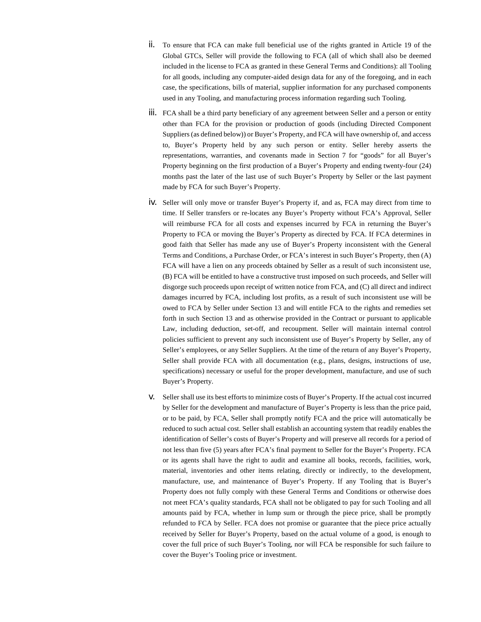- ii. To ensure that FCA can make full beneficial use of the rights granted in Article 19 of the Global GTCs, Seller will provide the following to FCA (all of which shall also be deemed included in the license to FCA as granted in these General Terms and Conditions): all Tooling for all goods, including any computer-aided design data for any of the foregoing, and in each case, the specifications, bills of material, supplier information for any purchased components used in any Tooling, and manufacturing process information regarding such Tooling.
- iii. FCA shall be a third party beneficiary of any agreement between Seller and a person or entity other than FCA for the provision or production of goods (including Directed Component Suppliers (as defined below)) or Buyer's Property, and FCA will have ownership of, and access to, Buyer's Property held by any such person or entity. Seller hereby asserts the representations, warranties, and covenants made in Section 7 for "goods" for all Buyer's Property beginning on the first production of a Buyer's Property and ending twenty-four (24) months past the later of the last use of such Buyer's Property by Seller or the last payment made by FCA for such Buyer's Property.
- iv. Seller will only move or transfer Buyer's Property if, and as, FCA may direct from time to time. If Seller transfers or re-locates any Buyer's Property without FCA's Approval, Seller will reimburse FCA for all costs and expenses incurred by FCA in returning the Buyer's Property to FCA or moving the Buyer's Property as directed by FCA. If FCA determines in good faith that Seller has made any use of Buyer's Property inconsistent with the General Terms and Conditions, a Purchase Order, or FCA's interest in such Buyer's Property, then (A) FCA will have a lien on any proceeds obtained by Seller as a result of such inconsistent use, (B) FCA will be entitled to have a constructive trust imposed on such proceeds, and Seller will disgorge such proceeds upon receipt of written notice from FCA, and (C) all direct and indirect damages incurred by FCA, including lost profits, as a result of such inconsistent use will be owed to FCA by Seller under Section 13 and will entitle FCA to the rights and remedies set forth in such Section 13 and as otherwise provided in the Contract or pursuant to applicable Law, including deduction, set-off, and recoupment. Seller will maintain internal control policies sufficient to prevent any such inconsistent use of Buyer's Property by Seller, any of Seller's employees, or any Seller Suppliers. At the time of the return of any Buyer's Property, Seller shall provide FCA with all documentation (e.g., plans, designs, instructions of use, specifications) necessary or useful for the proper development, manufacture, and use of such Buyer's Property.
- v. Seller shall use its best efforts to minimize costs of Buyer's Property. If the actual cost incurred by Seller for the development and manufacture of Buyer's Property is less than the price paid, or to be paid, by FCA, Seller shall promptly notify FCA and the price will automatically be reduced to such actual cost. Seller shall establish an accounting system that readily enables the identification of Seller's costs of Buyer's Property and will preserve all records for a period of not less than five (5) years after FCA's final payment to Seller for the Buyer's Property. FCA or its agents shall have the right to audit and examine all books, records, facilities, work, material, inventories and other items relating, directly or indirectly, to the development, manufacture, use, and maintenance of Buyer's Property. If any Tooling that is Buyer's Property does not fully comply with these General Terms and Conditions or otherwise does not meet FCA's quality standards, FCA shall not be obligated to pay for such Tooling and all amounts paid by FCA, whether in lump sum or through the piece price, shall be promptly refunded to FCA by Seller. FCA does not promise or guarantee that the piece price actually received by Seller for Buyer's Property, based on the actual volume of a good, is enough to cover the full price of such Buyer's Tooling, nor will FCA be responsible for such failure to cover the Buyer's Tooling price or investment.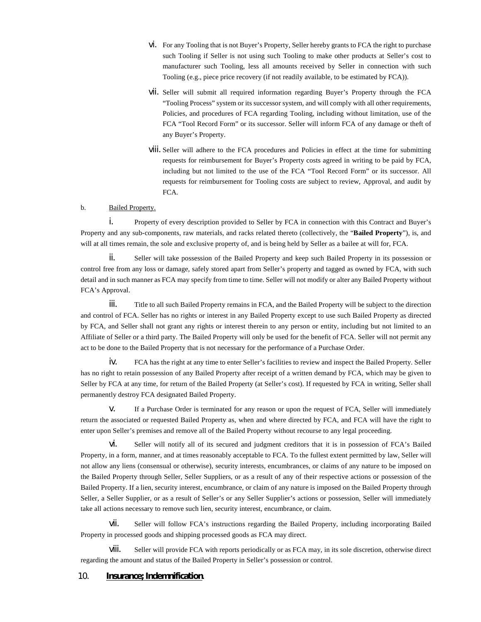- vi. For any Tooling that is not Buyer's Property, Seller hereby grants to FCA the right to purchase such Tooling if Seller is not using such Tooling to make other products at Seller's cost to manufacturer such Tooling, less all amounts received by Seller in connection with such Tooling (e.g., piece price recovery (if not readily available, to be estimated by FCA)).
- vii. Seller will submit all required information regarding Buyer's Property through the FCA "Tooling Process" system or its successor system, and will comply with all other requirements, Policies, and procedures of FCA regarding Tooling, including without limitation, use of the FCA "Tool Record Form" or its successor. Seller will inform FCA of any damage or theft of any Buyer's Property.
- viii. Seller will adhere to the FCA procedures and Policies in effect at the time for submitting requests for reimbursement for Buyer's Property costs agreed in writing to be paid by FCA, including but not limited to the use of the FCA "Tool Record Form" or its successor. All requests for reimbursement for Tooling costs are subject to review, Approval, and audit by FCA.

## b. Bailed Property.

i. Property of every description provided to Seller by FCA in connection with this Contract and Buyer's Property and any sub-components, raw materials, and racks related thereto (collectively, the "**Bailed Property**"), is, and will at all times remain, the sole and exclusive property of, and is being held by Seller as a bailee at will for, FCA.

ii. Seller will take possession of the Bailed Property and keep such Bailed Property in its possession or control free from any loss or damage, safely stored apart from Seller's property and tagged as owned by FCA, with such detail and in such manner as FCA may specify from time to time. Seller will not modify or alter any Bailed Property without FCA's Approval.

iii. Title to all such Bailed Property remains in FCA, and the Bailed Property will be subject to the direction and control of FCA. Seller has no rights or interest in any Bailed Property except to use such Bailed Property as directed by FCA, and Seller shall not grant any rights or interest therein to any person or entity, including but not limited to an Affiliate of Seller or a third party. The Bailed Property will only be used for the benefit of FCA. Seller will not permit any act to be done to the Bailed Property that is not necessary for the performance of a Purchase Order.

iv. FCA has the right at any time to enter Seller's facilities to review and inspect the Bailed Property. Seller has no right to retain possession of any Bailed Property after receipt of a written demand by FCA, which may be given to Seller by FCA at any time, for return of the Bailed Property (at Seller's cost). If requested by FCA in writing, Seller shall permanently destroy FCA designated Bailed Property.

v. If a Purchase Order is terminated for any reason or upon the request of FCA, Seller will immediately return the associated or requested Bailed Property as, when and where directed by FCA, and FCA will have the right to enter upon Seller's premises and remove all of the Bailed Property without recourse to any legal proceeding.

vi. Seller will notify all of its secured and judgment creditors that it is in possession of FCA's Bailed Property, in a form, manner, and at times reasonably acceptable to FCA. To the fullest extent permitted by law, Seller will not allow any liens (consensual or otherwise), security interests, encumbrances, or claims of any nature to be imposed on the Bailed Property through Seller, Seller Suppliers, or as a result of any of their respective actions or possession of the Bailed Property. If a lien, security interest, encumbrance, or claim of any nature is imposed on the Bailed Property through Seller, a Seller Supplier, or as a result of Seller's or any Seller Supplier's actions or possession, Seller will immediately take all actions necessary to remove such lien, security interest, encumbrance, or claim.

vii. Seller will follow FCA's instructions regarding the Bailed Property, including incorporating Bailed Property in processed goods and shipping processed goods as FCA may direct.

viii. Seller will provide FCA with reports periodically or as FCA may, in its sole discretion, otherwise direct regarding the amount and status of the Bailed Property in Seller's possession or control.

## 10. **Insurance; Indemnification**.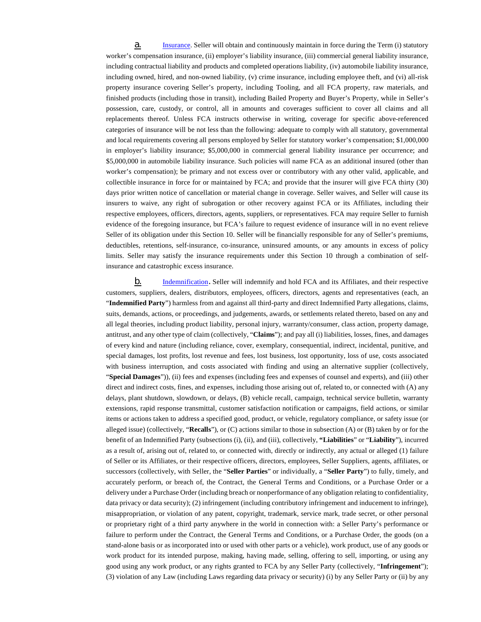<span id="page-39-2"></span><span id="page-39-0"></span>a. [Insurance.](#page-39-2) Seller will obtain and continuously maintain in force during the Term (i) statutory worker's compensation insurance, (ii) employer's liability insurance, (iii) commercial general liability insurance, including contractual liability and products and completed operations liability, (iv) automobile liability insurance, including owned, hired, and non-owned liability, (v) crime insurance, including employee theft, and (vi) all-risk property insurance covering Seller's property, including Tooling, and all FCA property, raw materials, and finished products (including those in transit), including Bailed Property and Buyer's Property, while in Seller's possession, care, custody, or control, all in amounts and coverages sufficient to cover all claims and all replacements thereof. Unless FCA instructs otherwise in writing, coverage for specific above-referenced categories of insurance will be not less than the following: adequate to comply with all statutory, governmental and local requirements covering all persons employed by Seller for statutory worker's compensation; \$1,000,000 in employer's liability insurance; \$5,000,000 in commercial general liability insurance per occurrence; and \$5,000,000 in automobile liability insurance. Such policies will name FCA as an additional insured (other than worker's compensation); be primary and not excess over or contributory with any other valid, applicable, and collectible insurance in force for or maintained by FCA; and provide that the insurer will give FCA thirty (30) days prior written notice of cancellation or material change in coverage. Seller waives, and Seller will cause its insurers to waive, any right of subrogation or other recovery against FCA or its Affiliates, including their respective employees, officers, directors, agents, suppliers, or representatives. FCA may require Seller to furnish evidence of the foregoing insurance, but FCA's failure to request evidence of insurance will in no event relieve Seller of its obligation under this Section 10. Seller will be financially responsible for any of Seller's premiums, deductibles, retentions, self-insurance, co-insurance, uninsured amounts, or any amounts in excess of policy limits. Seller may satisfy the insurance requirements under this Section 10 through a combination of selfinsurance and catastrophic excess insurance.

<span id="page-39-3"></span><span id="page-39-1"></span>**b.** [Indemnification](#page-39-3). Seller will indemnify and hold FCA and its Affiliates, and their respective customers, suppliers, dealers, distributors, employees, officers, directors, agents and representatives (each, an "**Indemnified Party**") harmless from and against all third-party and direct Indemnified Party allegations, claims, suits, demands, actions, or proceedings, and judgements, awards, or settlements related thereto, based on any and all legal theories, including product liability, personal injury, warranty/consumer, class action, property damage, antitrust, and any other type of claim (collectively, "**Claims**"); and pay all (i) liabilities, losses, fines, and damages of every kind and nature (including reliance, cover, exemplary, consequential, indirect, incidental, punitive, and special damages, lost profits, lost revenue and fees, lost business, lost opportunity, loss of use, costs associated with business interruption, and costs associated with finding and using an alternative supplier (collectively, "**Special Damages**")), (ii) fees and expenses (including fees and expenses of counsel and experts), and (iii) other direct and indirect costs, fines, and expenses, including those arising out of, related to, or connected with (A) any delays, plant shutdown, slowdown, or delays, (B) vehicle recall, campaign, technical service bulletin, warranty extensions, rapid response transmittal, customer satisfaction notification or campaigns, field actions, or similar items or actions taken to address a specified good, product, or vehicle, regulatory compliance, or safety issue (or alleged issue) (collectively, "**Recalls**"), or (C) actions similar to those in subsection (A) or (B) taken by or for the benefit of an Indemnified Party (subsections (i), (ii), and (iii), collectively, **"Liabilities**" or "**Liability**"), incurred as a result of, arising out of, related to, or connected with, directly or indirectly, any actual or alleged (1) failure of Seller or its Affiliates, or their respective officers, directors, employees, Seller Suppliers, agents, affiliates, or successors (collectively, with Seller, the "**Seller Parties**" or individually, a "**Seller Party**") to fully, timely, and accurately perform, or breach of, the Contract, the General Terms and Conditions, or a Purchase Order or a delivery under a Purchase Order (including breach or nonperformance of any obligation relating to confidentiality, data privacy or data security); (2) infringement (including contributory infringement and inducement to infringe), misappropriation, or violation of any patent, copyright, trademark, service mark, trade secret, or other personal or proprietary right of a third party anywhere in the world in connection with: a Seller Party's performance or failure to perform under the Contract, the General Terms and Conditions, or a Purchase Order, the goods (on a stand-alone basis or as incorporated into or used with other parts or a vehicle), work product, use of any goods or work product for its intended purpose, making, having made, selling, offering to sell, importing, or using any good using any work product, or any rights granted to FCA by any Seller Party (collectively, "**Infringement**"); (3) violation of any Law (including Laws regarding data privacy or security) (i) by any Seller Party or (ii) by any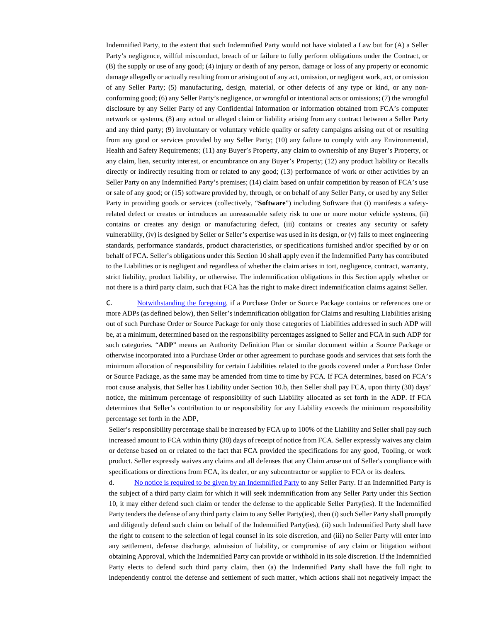Indemnified Party, to the extent that such Indemnified Party would not have violated a Law but for (A) a Seller Party's negligence, willful misconduct, breach of or failure to fully perform obligations under the Contract, or (B) the supply or use of any good; (4) injury or death of any person, damage or loss of any property or economic damage allegedly or actually resulting from or arising out of any act, omission, or negligent work, act, or omission of any Seller Party; (5) manufacturing, design, material, or other defects of any type or kind, or any nonconforming good; (6) any Seller Party's negligence, or wrongful or intentional acts or omissions; (7) the wrongful disclosure by any Seller Party of any Confidential Information or information obtained from FCA's computer network or systems, (8) any actual or alleged claim or liability arising from any contract between a Seller Party and any third party; (9) involuntary or voluntary vehicle quality or safety campaigns arising out of or resulting from any good or services provided by any Seller Party; (10) any failure to comply with any Environmental, Health and Safety Requirements; (11) any Buyer's Property, any claim to ownership of any Buyer's Property, or any claim, lien, security interest, or encumbrance on any Buyer's Property; (12) any product liability or Recalls directly or indirectly resulting from or related to any good; (13) performance of work or other activities by an Seller Party on any Indemnified Party's premises; (14) claim based on unfair competition by reason of FCA's use or sale of any good; or (15) software provided by, through, or on behalf of any Seller Party, or used by any Seller Party in providing goods or services (collectively, "**Software**") including Software that (i) manifests a safetyrelated defect or creates or introduces an unreasonable safety risk to one or more motor vehicle systems, (ii) contains or creates any design or manufacturing defect, (iii) contains or creates any security or safety vulnerability, (iv) is designed by Seller or Seller's expertise was used in its design, or (v) fails to meet engineering standards, performance standards, product characteristics, or specifications furnished and/or specified by or on behalf of FCA. Seller's obligations under this Section 10 shall apply even if the Indemnified Party has contributed to the Liabilities or is negligent and regardless of whether the claim arises in tort, negligence, contract, warranty, strict liability, product liability, or otherwise. The indemnification obligations in this Section apply whether or not there is a third party claim, such that FCA has the right to make direct indemnification claims against Seller.

<span id="page-40-2"></span><span id="page-40-0"></span>c. [Notwithstanding the foregoing,](#page-40-2) if a Purchase Order or Source Package contains or references one or more ADPs (as defined below), then Seller's indemnification obligation for Claims and resulting Liabilities arising out of such Purchase Order or Source Package for only those categories of Liabilities addressed in such ADP will be, at a minimum, determined based on the responsibility percentages assigned to Seller and FCA in such ADP for such categories. "**ADP**" means an Authority Definition Plan or similar document within a Source Package or otherwise incorporated into a Purchase Order or other agreement to purchase goods and services that sets forth the minimum allocation of responsibility for certain Liabilities related to the goods covered under a Purchase Order or Source Package, as the same may be amended from time to time by FCA. If FCA determines, based on FCA's root cause analysis, that Seller has Liability under Section 10.b, then Seller shall pay FCA, upon thirty (30) days' notice, the minimum percentage of responsibility of such Liability allocated as set forth in the ADP. If FCA determines that Seller's contribution to or responsibility for any Liability exceeds the minimum responsibility percentage set forth in the ADP,

Seller's responsibility percentage shall be increased by FCA up to 100% of the Liability and Seller shall pay such increased amount to FCA within thirty (30) days of receipt of notice from FCA. Seller expressly waives any claim or defense based on or related to the fact that FCA provided the specifications for any good, Tooling, or work product. Seller expressly waives any claims and all defenses that any Claim arose out of Seller's compliance with specifications or directions from FCA, its dealer, or any subcontractor or supplier to FCA or its dealers.

<span id="page-40-3"></span><span id="page-40-1"></span>d. [No notice is required to be given by an Indemnified Party](#page-40-3) to any Seller Party. If an Indemnified Party is the subject of a third party claim for which it will seek indemnification from any Seller Party under this Section 10, it may either defend such claim or tender the defense to the applicable Seller Party(ies). If the Indemnified Party tenders the defense of any third party claim to any Seller Party(ies), then (i) such Seller Party shall promptly and diligently defend such claim on behalf of the Indemnified Party(ies), (ii) such Indemnified Party shall have the right to consent to the selection of legal counsel in its sole discretion, and (iii) no Seller Party will enter into any settlement, defense discharge, admission of liability, or compromise of any claim or litigation without obtaining Approval, which the Indemnified Party can provide or withhold in its sole discretion. If the Indemnified Party elects to defend such third party claim, then (a) the Indemnified Party shall have the full right to independently control the defense and settlement of such matter, which actions shall not negatively impact the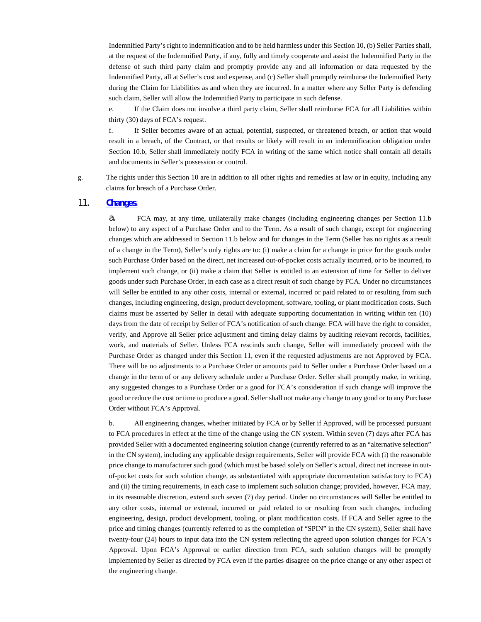Indemnified Party's right to indemnification and to be held harmless under this Section 10, (b) Seller Parties shall, at the request of the Indemnified Party, if any, fully and timely cooperate and assist the Indemnified Party in the defense of such third party claim and promptly provide any and all information or data requested by the Indemnified Party, all at Seller's cost and expense, and (c) Seller shall promptly reimburse the Indemnified Party during the Claim for Liabilities as and when they are incurred. In a matter where any Seller Party is defending such claim, Seller will allow the Indemnified Party to participate in such defense.

e. If the Claim does not involve a third party claim, Seller shall reimburse FCA for all Liabilities within thirty (30) days of FCA's request.

f. If Seller becomes aware of an actual, potential, suspected, or threatened breach, or action that would result in a breach, of the Contract, or that results or likely will result in an indemnification obligation under Section 10.b, Seller shall immediately notify FCA in writing of the same which notice shall contain all details and documents in Seller's possession or control.

g. The rights under this Section 10 are in addition to all other rights and remedies at law or in equity, including any claims for breach of a Purchase Order.

## 11. **[Changes](#page-41-1)**.

<span id="page-41-1"></span><span id="page-41-0"></span>a. FCA may, at any time, unilaterally make changes (including engineering changes per Section 11.b below) to any aspect of a Purchase Order and to the Term. As a result of such change, except for engineering changes which are addressed in Section 11.b below and for changes in the Term (Seller has no rights as a result of a change in the Term), Seller's only rights are to: (i) make a claim for a change in price for the goods under such Purchase Order based on the direct, net increased out-of-pocket costs actually incurred, or to be incurred, to implement such change, or (ii) make a claim that Seller is entitled to an extension of time for Seller to deliver goods under such Purchase Order, in each case as a direct result of such change by FCA. Under no circumstances will Seller be entitled to any other costs, internal or external, incurred or paid related to or resulting from such changes, including engineering, design, product development, software, tooling, or plant modification costs. Such claims must be asserted by Seller in detail with adequate supporting documentation in writing within ten (10) days from the date of receipt by Seller of FCA's notification of such change. FCA will have the right to consider, verify, and Approve all Seller price adjustment and timing delay claims by auditing relevant records, facilities, work, and materials of Seller. Unless FCA rescinds such change, Seller will immediately proceed with the Purchase Order as changed under this Section 11, even if the requested adjustments are not Approved by FCA. There will be no adjustments to a Purchase Order or amounts paid to Seller under a Purchase Order based on a change in the term of or any delivery schedule under a Purchase Order. Seller shall promptly make, in writing, any suggested changes to a Purchase Order or a good for FCA's consideration if such change will improve the good or reduce the cost or time to produce a good. Seller shall not make any change to any good or to any Purchase Order without FCA's Approval.

b. All engineering changes, whether initiated by FCA or by Seller if Approved, will be processed pursuant to FCA procedures in effect at the time of the change using the CN system. Within seven (7) days after FCA has provided Seller with a documented engineering solution change (currently referred to as an "alternative selection" in the CN system), including any applicable design requirements, Seller will provide FCA with (i) the reasonable price change to manufacturer such good (which must be based solely on Seller's actual, direct net increase in outof-pocket costs for such solution change, as substantiated with appropriate documentation satisfactory to FCA) and (ii) the timing requirements, in each case to implement such solution change; provided, however, FCA may, in its reasonable discretion, extend such seven (7) day period. Under no circumstances will Seller be entitled to any other costs, internal or external, incurred or paid related to or resulting from such changes, including engineering, design, product development, tooling, or plant modification costs. If FCA and Seller agree to the price and timing changes (currently referred to as the completion of "SPIN" in the CN system), Seller shall have twenty-four (24) hours to input data into the CN system reflecting the agreed upon solution changes for FCA's Approval. Upon FCA's Approval or earlier direction from FCA, such solution changes will be promptly implemented by Seller as directed by FCA even if the parties disagree on the price change or any other aspect of the engineering change.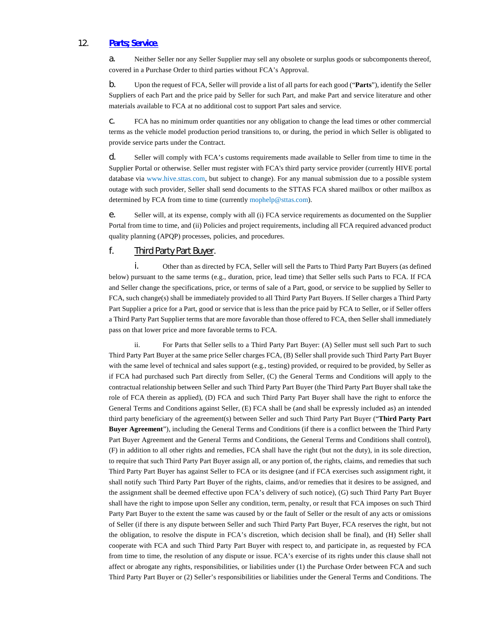## 12. **[Parts; Service](#page-42-1)**.

<span id="page-42-1"></span>a. Neither Seller nor any Seller Supplier may sell any obsolete or surplus goods or subcomponents thereof, covered in a Purchase Order to third parties without FCA's Approval.

<span id="page-42-0"></span>b. Upon the request of FCA, Seller will provide a list of all parts for each good ("**Parts**"), identify the Seller Suppliers of each Part and the price paid by Seller for such Part, and make Part and service literature and other materials available to FCA at no additional cost to support Part sales and service.

c. FCA has no minimum order quantities nor any obligation to change the lead times or other commercial terms as the vehicle model production period transitions to, or during, the period in which Seller is obligated to provide service parts under the Contract.

d. Seller will comply with FCA's customs requirements made available to Seller from time to time in the Supplier Portal or otherwise. Seller must register with FCA's third party service provider (currently HIVE portal database via [www.hive.sttas.com,](http://www.hive.sttas.com/) but subject to change). For any manual submission due to a possible system outage with such provider, Seller shall send documents to the STTAS FCA shared mailbox or other mailbox as determined by FCA from time to time (currently [mophelp@sttas.com\)](mailto:mophelp@sttas.com).

e. Seller will, at its expense, comply with all (i) FCA service requirements as documented on the Supplier Portal from time to time, and (ii) Policies and project requirements, including all FCA required advanced product quality planning (APQP) processes, policies, and procedures.

# f. Third Party Part Buyer.

i. Other than as directed by FCA, Seller will sell the Parts to Third Party Part Buyers (as defined below) pursuant to the same terms (e.g., duration, price, lead time) that Seller sells such Parts to FCA. If FCA and Seller change the specifications, price, or terms of sale of a Part, good, or service to be supplied by Seller to FCA, such change(s) shall be immediately provided to all Third Party Part Buyers. If Seller charges a Third Party Part Supplier a price for a Part, good or service that is less than the price paid by FCA to Seller, or if Seller offers a Third Party Part Supplier terms that are more favorable than those offered to FCA, then Seller shall immediately pass on that lower price and more favorable terms to FCA.

ii. For Parts that Seller sells to a Third Party Part Buyer: (A) Seller must sell such Part to such Third Party Part Buyer at the same price Seller charges FCA, (B) Seller shall provide such Third Party Part Buyer with the same level of technical and sales support (e.g., testing) provided, or required to be provided, by Seller as if FCA had purchased such Part directly from Seller, (C) the General Terms and Conditions will apply to the contractual relationship between Seller and such Third Party Part Buyer (the Third Party Part Buyer shall take the role of FCA therein as applied), (D) FCA and such Third Party Part Buyer shall have the right to enforce the General Terms and Conditions against Seller, (E) FCA shall be (and shall be expressly included as) an intended third party beneficiary of the agreement(s) between Seller and such Third Party Part Buyer ("**Third Party Part Buyer Agreement**"), including the General Terms and Conditions (if there is a conflict between the Third Party Part Buyer Agreement and the General Terms and Conditions, the General Terms and Conditions shall control), (F) in addition to all other rights and remedies, FCA shall have the right (but not the duty), in its sole direction, to require that such Third Party Part Buyer assign all, or any portion of, the rights, claims, and remedies that such Third Party Part Buyer has against Seller to FCA or its designee (and if FCA exercises such assignment right, it shall notify such Third Party Part Buyer of the rights, claims, and/or remedies that it desires to be assigned, and the assignment shall be deemed effective upon FCA's delivery of such notice), (G) such Third Party Part Buyer shall have the right to impose upon Seller any condition, term, penalty, or result that FCA imposes on such Third Party Part Buyer to the extent the same was caused by or the fault of Seller or the result of any acts or omissions of Seller (if there is any dispute between Seller and such Third Party Part Buyer, FCA reserves the right, but not the obligation, to resolve the dispute in FCA's discretion, which decision shall be final), and (H) Seller shall cooperate with FCA and such Third Party Part Buyer with respect to, and participate in, as requested by FCA from time to time, the resolution of any dispute or issue. FCA's exercise of its rights under this clause shall not affect or abrogate any rights, responsibilities, or liabilities under (1) the Purchase Order between FCA and such Third Party Part Buyer or (2) Seller's responsibilities or liabilities under the General Terms and Conditions. The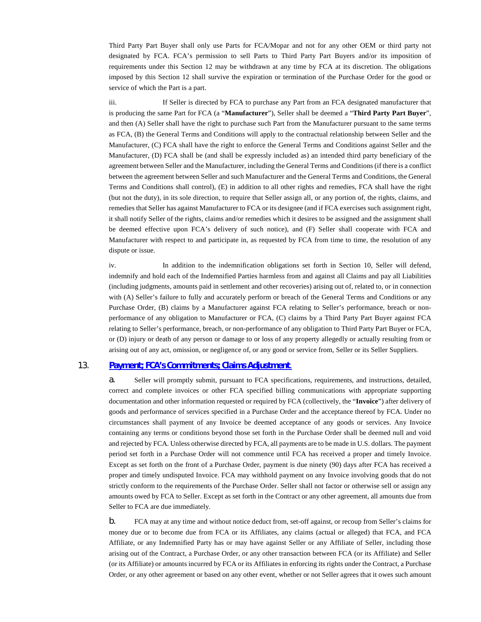Third Party Part Buyer shall only use Parts for FCA/Mopar and not for any other OEM or third party not designated by FCA. FCA's permission to sell Parts to Third Party Part Buyers and/or its imposition of requirements under this Section 12 may be withdrawn at any time by FCA at its discretion. The obligations imposed by this Section 12 shall survive the expiration or termination of the Purchase Order for the good or service of which the Part is a part.

iii. If Seller is directed by FCA to purchase any Part from an FCA designated manufacturer that is producing the same Part for FCA (a "**Manufacturer**"), Seller shall be deemed a "**Third Party Part Buyer**", and then (A) Seller shall have the right to purchase such Part from the Manufacturer pursuant to the same terms as FCA, (B) the General Terms and Conditions will apply to the contractual relationship between Seller and the Manufacturer, (C) FCA shall have the right to enforce the General Terms and Conditions against Seller and the Manufacturer, (D) FCA shall be (and shall be expressly included as) an intended third party beneficiary of the agreement between Seller and the Manufacturer, including the General Terms and Conditions (if there is a conflict between the agreement between Seller and such Manufacturer and the General Terms and Conditions, the General Terms and Conditions shall control), (E) in addition to all other rights and remedies, FCA shall have the right (but not the duty), in its sole direction, to require that Seller assign all, or any portion of, the rights, claims, and remedies that Seller has against Manufacturer to FCA or its designee (and if FCA exercises such assignment right, it shall notify Seller of the rights, claims and/or remedies which it desires to be assigned and the assignment shall be deemed effective upon FCA's delivery of such notice), and (F) Seller shall cooperate with FCA and Manufacturer with respect to and participate in, as requested by FCA from time to time, the resolution of any dispute or issue.

iv. In addition to the indemnification obligations set forth in Section 10, Seller will defend, indemnify and hold each of the Indemnified Parties harmless from and against all Claims and pay all Liabilities (including judgments, amounts paid in settlement and other recoveries) arising out of, related to, or in connection with (A) Seller's failure to fully and accurately perform or breach of the General Terms and Conditions or any Purchase Order, (B) claims by a Manufacturer against FCA relating to Seller's performance, breach or nonperformance of any obligation to Manufacturer or FCA, (C) claims by a Third Party Part Buyer against FCA relating to Seller's performance, breach, or non-performance of any obligation to Third Party Part Buyer or FCA, or (D) injury or death of any person or damage to or loss of any property allegedly or actually resulting from or arising out of any act, omission, or negligence of, or any good or service from, Seller or its Seller Suppliers.

## 13. **[Payment; FCA's Commitments; Claims Adjustment](#page-43-1)**.

<span id="page-43-1"></span><span id="page-43-0"></span>a. Seller will promptly submit, pursuant to FCA specifications, requirements, and instructions, detailed, correct and complete invoices or other FCA specified billing communications with appropriate supporting documentation and other information requested or required by FCA (collectively, the "**Invoice**") after delivery of goods and performance of services specified in a Purchase Order and the acceptance thereof by FCA. Under no circumstances shall payment of any Invoice be deemed acceptance of any goods or services. Any Invoice containing any terms or conditions beyond those set forth in the Purchase Order shall be deemed null and void and rejected by FCA. Unless otherwise directed by FCA, all payments are to be made in U.S. dollars. The payment period set forth in a Purchase Order will not commence until FCA has received a proper and timely Invoice. Except as set forth on the front of a Purchase Order, payment is due ninety (90) days after FCA has received a proper and timely undisputed Invoice. FCA may withhold payment on any Invoice involving goods that do not strictly conform to the requirements of the Purchase Order. Seller shall not factor or otherwise sell or assign any amounts owed by FCA to Seller. Except as set forth in the Contract or any other agreement, all amounts due from Seller to FCA are due immediately.

b. FCA may at any time and without notice deduct from, set-off against, or recoup from Seller's claims for money due or to become due from FCA or its Affiliates, any claims (actual or alleged) that FCA, and FCA Affiliate, or any Indemnified Party has or may have against Seller or any Affiliate of Seller, including those arising out of the Contract, a Purchase Order, or any other transaction between FCA (or its Affiliate) and Seller (or its Affiliate) or amounts incurred by FCA or its Affiliates in enforcing its rights under the Contract, a Purchase Order, or any other agreement or based on any other event, whether or not Seller agrees that it owes such amount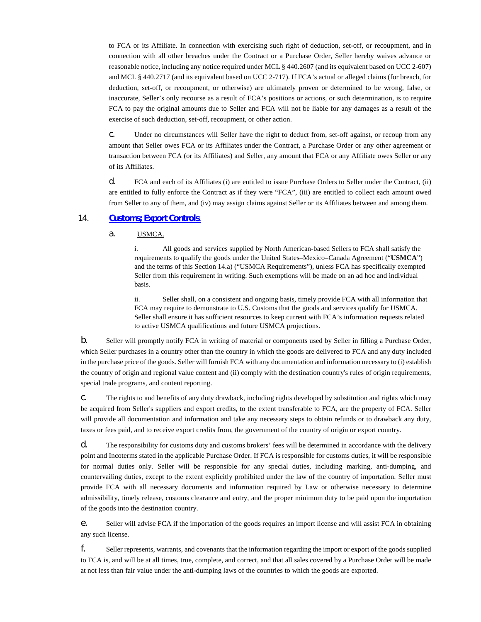to FCA or its Affiliate. In connection with exercising such right of deduction, set-off, or recoupment, and in connection with all other breaches under the Contract or a Purchase Order, Seller hereby waives advance or reasonable notice, including any notice required under MCL § 440.2607 (and its equivalent based on UCC 2-607) and MCL § 440.2717 (and its equivalent based on UCC 2-717). If FCA's actual or alleged claims (for breach, for deduction, set-off, or recoupment, or otherwise) are ultimately proven or determined to be wrong, false, or inaccurate, Seller's only recourse as a result of FCA's positions or actions, or such determination, is to require FCA to pay the original amounts due to Seller and FCA will not be liable for any damages as a result of the exercise of such deduction, set-off, recoupment, or other action.

c. Under no circumstances will Seller have the right to deduct from, set-off against, or recoup from any amount that Seller owes FCA or its Affiliates under the Contract, a Purchase Order or any other agreement or transaction between FCA (or its Affiliates) and Seller, any amount that FCA or any Affiliate owes Seller or any of its Affiliates.

d. FCA and each of its Affiliates (i) are entitled to issue Purchase Orders to Seller under the Contract, (ii) are entitled to fully enforce the Contract as if they were "FCA", (iii) are entitled to collect each amount owed from Seller to any of them, and (iv) may assign claims against Seller or its Affiliates between and among them.

## 14. **[Customs; Export Controls](#page-44-1)**.

<span id="page-44-1"></span><span id="page-44-0"></span>a. USMCA.

i. All goods and services supplied by North American-based Sellers to FCA shall satisfy the requirements to qualify the goods under the United States–Mexico–Canada Agreement ("**USMCA**") and the terms of this Section 14.a) ("USMCA Requirements"), unless FCA has specifically exempted Seller from this requirement in writing. Such exemptions will be made on an ad hoc and individual basis.

ii. Seller shall, on a consistent and ongoing basis, timely provide FCA with all information that FCA may require to demonstrate to U.S. Customs that the goods and services qualify for USMCA. Seller shall ensure it has sufficient resources to keep current with FCA's information requests related to active USMCA qualifications and future USMCA projections.

b. Seller will promptly notify FCA in writing of material or components used by Seller in filling a Purchase Order, which Seller purchases in a country other than the country in which the goods are delivered to FCA and any duty included in the purchase price of the goods. Seller will furnish FCA with any documentation and information necessary to (i) establish the country of origin and regional value content and (ii) comply with the destination country's rules of origin requirements, special trade programs, and content reporting.

c. The rights to and benefits of any duty drawback, including rights developed by substitution and rights which may be acquired from Seller's suppliers and export credits, to the extent transferable to FCA, are the property of FCA. Seller will provide all documentation and information and take any necessary steps to obtain refunds or to drawback any duty, taxes or fees paid, and to receive export credits from, the government of the country of origin or export country.

d. The responsibility for customs duty and customs brokers' fees will be determined in accordance with the delivery point and Incoterms stated in the applicable Purchase Order. If FCA is responsible for customs duties, it will be responsible for normal duties only. Seller will be responsible for any special duties, including marking, anti-dumping, and countervailing duties, except to the extent explicitly prohibited under the law of the country of importation. Seller must provide FCA with all necessary documents and information required by Law or otherwise necessary to determine admissibility, timely release, customs clearance and entry, and the proper minimum duty to be paid upon the importation of the goods into the destination country.

e. Seller will advise FCA if the importation of the goods requires an import license and will assist FCA in obtaining any such license.

f. Seller represents, warrants, and covenants that the information regarding the import or export of the goods supplied to FCA is, and will be at all times, true, complete, and correct, and that all sales covered by a Purchase Order will be made at not less than fair value under the anti-dumping laws of the countries to which the goods are exported.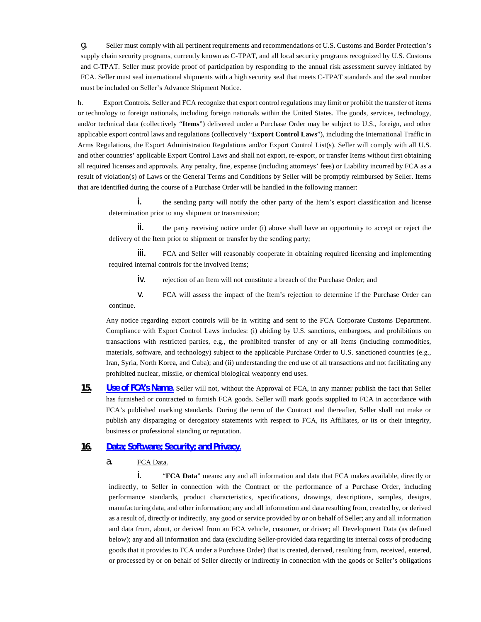g. Seller must comply with all pertinent requirements and recommendations of U.S. Customs and Border Protection's supply chain security programs, currently known as C-TPAT, and all local security programs recognized by U.S. Customs and C-TPAT. Seller must provide proof of participation by responding to the annual risk assessment survey initiated by FCA. Seller must seal international shipments with a high security seal that meets C-TPAT standards and the seal number must be included on Seller's Advance Shipment Notice.

h. Export Controls. Seller and FCA recognize that export control regulations may limit or prohibit the transfer of items or technology to foreign nationals, including foreign nationals within the United States. The goods, services, technology, and/or technical data (collectively "**Items**") delivered under a Purchase Order may be subject to U.S., foreign, and other applicable export control laws and regulations (collectively "**Export Control Laws**"), including the International Traffic in Arms Regulations, the Export Administration Regulations and/or Export Control List(s). Seller will comply with all U.S. and other countries' applicable Export Control Laws and shall not export, re-export, or transfer Items without first obtaining all required licenses and approvals. Any penalty, fine, expense (including attorneys' fees) or Liability incurred by FCA as a result of violation(s) of Laws or the General Terms and Conditions by Seller will be promptly reimbursed by Seller. Items that are identified during the course of a Purchase Order will be handled in the following manner:

i. the sending party will notify the other party of the Item's export classification and license determination prior to any shipment or transmission;

ii. the party receiving notice under (i) above shall have an opportunity to accept or reject the delivery of the Item prior to shipment or transfer by the sending party;

iii. FCA and Seller will reasonably cooperate in obtaining required licensing and implementing required internal controls for the involved Items;

iv. rejection of an Item will not constitute a breach of the Purchase Order; and

v. FCA will assess the impact of the Item's rejection to determine if the Purchase Order can continue.

Any notice regarding export controls will be in writing and sent to the FCA Corporate Customs Department. Compliance with Export Control Laws includes: (i) abiding by U.S. sanctions, embargoes, and prohibitions on transactions with restricted parties, e.g., the prohibited transfer of any or all Items (including commodities, materials, software, and technology) subject to the applicable Purchase Order to U.S. sanctioned countries (e.g., Iran, Syria, North Korea, and Cuba); and (ii) understanding the end use of all transactions and not facilitating any prohibited nuclear, missile, or chemical biological weaponry end uses.

<span id="page-45-2"></span>**15. [Use of FCA's Name](#page-45-2)**. Seller will not, without the Approval of FCA, in any manner publish the fact that Seller has furnished or contracted to furnish FCA goods. Seller will mark goods supplied to FCA in accordance with FCA's published marking standards. During the term of the Contract and thereafter, Seller shall not make or publish any disparaging or derogatory statements with respect to FCA, its Affiliates, or its or their integrity, business or professional standing or reputation.

## <span id="page-45-0"></span>**16. [Data; Software; Security; and Privacy](#page-45-3)**.

<span id="page-45-3"></span>a. FCA Data.

<span id="page-45-1"></span>i. "**FCA Data**" means: any and all information and data that FCA makes available, directly or indirectly, to Seller in connection with the Contract or the performance of a Purchase Order, including performance standards, product characteristics, specifications, drawings, descriptions, samples, designs, manufacturing data, and other information; any and all information and data resulting from, created by, or derived as a result of, directly or indirectly, any good or service provided by or on behalf of Seller; any and all information and data from, about, or derived from an FCA vehicle, customer, or driver; all Development Data (as defined below); any and all information and data (excluding Seller-provided data regarding its internal costs of producing goods that it provides to FCA under a Purchase Order) that is created, derived, resulting from, received, entered, or processed by or on behalf of Seller directly or indirectly in connection with the goods or Seller's obligations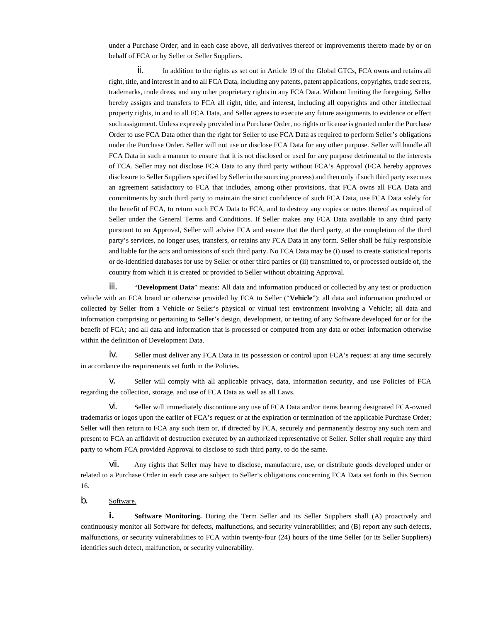under a Purchase Order; and in each case above, all derivatives thereof or improvements thereto made by or on behalf of FCA or by Seller or Seller Suppliers.

 $\mathbf{i}$ . In addition to the rights as set out in Article 19 of the Global GTCs, FCA owns and retains all right, title, and interest in and to all FCA Data, including any patents, patent applications, copyrights, trade secrets, trademarks, trade dress, and any other proprietary rights in any FCA Data. Without limiting the foregoing, Seller hereby assigns and transfers to FCA all right, title, and interest, including all copyrights and other intellectual property rights, in and to all FCA Data, and Seller agrees to execute any future assignments to evidence or effect such assignment. Unless expressly provided in a Purchase Order, no rights or license is granted under the Purchase Order to use FCA Data other than the right for Seller to use FCA Data as required to perform Seller's obligations under the Purchase Order. Seller will not use or disclose FCA Data for any other purpose. Seller will handle all FCA Data in such a manner to ensure that it is not disclosed or used for any purpose detrimental to the interests of FCA. Seller may not disclose FCA Data to any third party without FCA's Approval (FCA hereby approves disclosure to Seller Suppliers specified by Seller in the sourcing process) and then only if such third party executes an agreement satisfactory to FCA that includes, among other provisions, that FCA owns all FCA Data and commitments by such third party to maintain the strict confidence of such FCA Data, use FCA Data solely for the benefit of FCA, to return such FCA Data to FCA, and to destroy any copies or notes thereof as required of Seller under the General Terms and Conditions. If Seller makes any FCA Data available to any third party pursuant to an Approval, Seller will advise FCA and ensure that the third party, at the completion of the third party's services, no longer uses, transfers, or retains any FCA Data in any form. Seller shall be fully responsible and liable for the acts and omissions of such third party. No FCA Data may be (i) used to create statistical reports or de-identified databases for use by Seller or other third parties or (ii) transmitted to, or processed outside of, the country from which it is created or provided to Seller without obtaining Approval.

iii. "**Development Data**" means: All data and information produced or collected by any test or production vehicle with an FCA brand or otherwise provided by FCA to Seller ("**Vehicle**"); all data and information produced or collected by Seller from a Vehicle or Seller's physical or virtual test environment involving a Vehicle; all data and information comprising or pertaining to Seller's design, development, or testing of any Software developed for or for the benefit of FCA; and all data and information that is processed or computed from any data or other information otherwise within the definition of Development Data.

iv. Seller must deliver any FCA Data in its possession or control upon FCA's request at any time securely in accordance the requirements set forth in the Policies.

v. Seller will comply with all applicable privacy, data, information security, and use Policies of FCA regarding the collection, storage, and use of FCA Data as well as all Laws.

vi. Seller will immediately discontinue any use of FCA Data and/or items bearing designated FCA-owned trademarks or logos upon the earlier of FCA's request or at the expiration or termination of the applicable Purchase Order; Seller will then return to FCA any such item or, if directed by FCA, securely and permanently destroy any such item and present to FCA an affidavit of destruction executed by an authorized representative of Seller. Seller shall require any third party to whom FCA provided Approval to disclose to such third party, to do the same.

vii. Any rights that Seller may have to disclose, manufacture, use, or distribute goods developed under or related to a Purchase Order in each case are subject to Seller's obligations concerning FCA Data set forth in this Section 16.

# b. Software.

**i. Software Monitoring.** During the Term Seller and its Seller Suppliers shall (A) proactively and continuously monitor all Software for defects, malfunctions, and security vulnerabilities; and (B) report any such defects, malfunctions, or security vulnerabilities to FCA within twenty-four (24) hours of the time Seller (or its Seller Suppliers) identifies such defect, malfunction, or security vulnerability.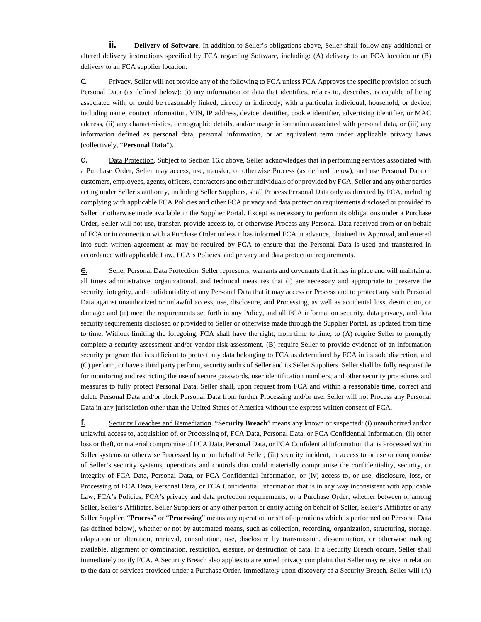**ii. Delivery of Software**. In addition to Seller's obligations above, Seller shall follow any additional or altered delivery instructions specified by FCA regarding Software, including: (A) delivery to an FCA location or (B) delivery to an FCA supplier location.

c. Privacy. Seller will not provide any of the following to FCA unless FCA Approves the specific provision of such Personal Data (as defined below): (i) any information or data that identifies, relates to, describes, is capable of being associated with, or could be reasonably linked, directly or indirectly, with a particular individual, household, or device, including name, contact information, VIN, IP address, device identifier, cookie identifier, advertising identifier, or MAC address, (ii) any characteristics, demographic details, and/or usage information associated with personal data, or (iii) any information defined as personal data, personal information, or an equivalent term under applicable privacy Laws (collectively, "**Personal Data**").

d. Data Protection. Subject to Section 16.c above, Seller acknowledges that in performing services associated with a Purchase Order, Seller may access, use, transfer, or otherwise Process (as defined below), and use Personal Data of customers, employees, agents, officers, contractors and other individuals of or provided by FCA. Seller and any other parties acting under Seller's authority, including Seller Suppliers, shall Process Personal Data only as directed by FCA, including complying with applicable FCA Policies and other FCA privacy and data protection requirements disclosed or provided to Seller or otherwise made available in the Supplier Portal. Except as necessary to perform its obligations under a Purchase Order, Seller will not use, transfer, provide access to, or otherwise Process any Personal Data received from or on behalf of FCA or in connection with a Purchase Order unless it has informed FCA in advance, obtained its Approval, and entered into such written agreement as may be required by FCA to ensure that the Personal Data is used and transferred in accordance with applicable Law, FCA's Policies, and privacy and data protection requirements.

e. Seller Personal Data Protection. Seller represents, warrants and covenants that it has in place and will maintain at all times administrative, organizational, and technical measures that (i) are necessary and appropriate to preserve the security, integrity, and confidentiality of any Personal Data that it may access or Process and to protect any such Personal Data against unauthorized or unlawful access, use, disclosure, and Processing, as well as accidental loss, destruction, or damage; and (ii) meet the requirements set forth in any Policy, and all FCA information security, data privacy, and data security requirements disclosed or provided to Seller or otherwise made through the Supplier Portal, as updated from time to time. Without limiting the foregoing, FCA shall have the right, from time to time, to (A) require Seller to promptly complete a security assessment and/or vendor risk assessment, (B) require Seller to provide evidence of an information security program that is sufficient to protect any data belonging to FCA as determined by FCA in its sole discretion, and (C) perform, or have a third party perform, security audits of Seller and its Seller Suppliers. Seller shall be fully responsible for monitoring and restricting the use of secure passwords, user identification numbers, and other security procedures and measures to fully protect Personal Data. Seller shall, upon request from FCA and within a reasonable time, correct and delete Personal Data and/or block Personal Data from further Processing and/or use. Seller will not Process any Personal Data in any jurisdiction other than the United States of America without the express written consent of FCA.

f. Security Breaches and Remediation. "**Security Breach**" means any known or suspected: (i) unauthorized and/or unlawful access to, acquisition of, or Processing of, FCA Data, Personal Data, or FCA Confidential Information, (ii) other loss or theft, or material compromise of FCA Data, Personal Data, or FCA Confidential Information that is Processed within Seller systems or otherwise Processed by or on behalf of Seller, (iii) security incident, or access to or use or compromise of Seller's security systems, operations and controls that could materially compromise the confidentiality, security, or integrity of FCA Data, Personal Data, or FCA Confidential Information, or (iv) access to, or use, disclosure, loss, or Processing of FCA Data, Personal Data, or FCA Confidential Information that is in any way inconsistent with applicable Law, FCA's Policies, FCA's privacy and data protection requirements, or a Purchase Order, whether between or among Seller, Seller's Affiliates, Seller Suppliers or any other person or entity acting on behalf of Seller, Seller's Affiliates or any Seller Supplier. "**Process**" or "**Processing**" means any operation or set of operations which is performed on Personal Data (as defined below), whether or not by automated means, such as collection, recording, organization, structuring, storage, adaptation or alteration, retrieval, consultation, use, disclosure by transmission, dissemination, or otherwise making available, alignment or combination, restriction, erasure, or destruction of data. If a Security Breach occurs, Seller shall immediately notify FCA. A Security Breach also applies to a reported privacy complaint that Seller may receive in relation to the data or services provided under a Purchase Order. Immediately upon discovery of a Security Breach, Seller will (A)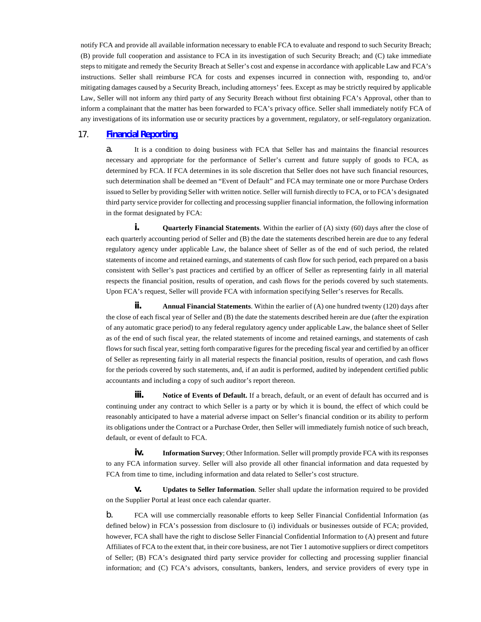notify FCA and provide all available information necessary to enable FCA to evaluate and respond to such Security Breach; (B) provide full cooperation and assistance to FCA in its investigation of such Security Breach; and (C) take immediate steps to mitigate and remedy the Security Breach at Seller's cost and expense in accordance with applicable Law and FCA's instructions. Seller shall reimburse FCA for costs and expenses incurred in connection with, responding to, and/or mitigating damages caused by a Security Breach, including attorneys' fees. Except as may be strictly required by applicable Law, Seller will not inform any third party of any Security Breach without first obtaining FCA's Approval, other than to inform a complainant that the matter has been forwarded to FCA's privacy office. Seller shall immediately notify FCA of any investigations of its information use or security practices by a government, regulatory, or self-regulatory organization.

## 17. **[Financial Reporting](#page-48-1)**.

<span id="page-48-1"></span><span id="page-48-0"></span>a. It is a condition to doing business with FCA that Seller has and maintains the financial resources necessary and appropriate for the performance of Seller's current and future supply of goods to FCA, as determined by FCA. If FCA determines in its sole discretion that Seller does not have such financial resources, such determination shall be deemed an "Event of Default" and FCA may terminate one or more Purchase Orders issued to Seller by providing Seller with written notice. Seller will furnish directly to FCA, or to FCA's designated third party service provider for collecting and processing supplier financial information, the following information in the format designated by FCA:

**i. Quarterly Financial Statements**. Within the earlier of (A) sixty (60) days after the close of each quarterly accounting period of Seller and (B) the date the statements described herein are due to any federal regulatory agency under applicable Law, the balance sheet of Seller as of the end of such period, the related statements of income and retained earnings, and statements of cash flow for such period, each prepared on a basis consistent with Seller's past practices and certified by an officer of Seller as representing fairly in all material respects the financial position, results of operation, and cash flows for the periods covered by such statements. Upon FCA's request, Seller will provide FCA with information specifying Seller's reserves for Recalls.

**ii. Annual Financial Statements**. Within the earlier of (A) one hundred twenty (120) days after the close of each fiscal year of Seller and (B) the date the statements described herein are due (after the expiration of any automatic grace period) to any federal regulatory agency under applicable Law, the balance sheet of Seller as of the end of such fiscal year, the related statements of income and retained earnings, and statements of cash flows for such fiscal year, setting forth comparative figures for the preceding fiscal year and certified by an officer of Seller as representing fairly in all material respects the financial position, results of operation, and cash flows for the periods covered by such statements, and, if an audit is performed, audited by independent certified public accountants and including a copy of such auditor's report thereon.

**iii. Notice of Events of Default.** If a breach, default, or an event of default has occurred and is continuing under any contract to which Seller is a party or by which it is bound, the effect of which could be reasonably anticipated to have a material adverse impact on Seller's financial condition or its ability to perform its obligations under the Contract or a Purchase Order, then Seller will immediately furnish notice of such breach, default, or event of default to FCA.

**iv.** Information Survey; Other Information. Seller will promptly provide FCA with its responses to any FCA information survey. Seller will also provide all other financial information and data requested by FCA from time to time, including information and data related to Seller's cost structure.

**v. Updates to Seller Information**. Seller shall update the information required to be provided on the Supplier Portal at least once each calendar quarter.

b. FCA will use commercially reasonable efforts to keep Seller Financial Confidential Information (as defined below) in FCA's possession from disclosure to (i) individuals or businesses outside of FCA; provided, however, FCA shall have the right to disclose Seller Financial Confidential Information to (A) present and future Affiliates of FCA to the extent that, in their core business, are not Tier 1 automotive suppliers or direct competitors of Seller; (B) FCA's designated third party service provider for collecting and processing supplier financial information; and (C) FCA's advisors, consultants, bankers, lenders, and service providers of every type in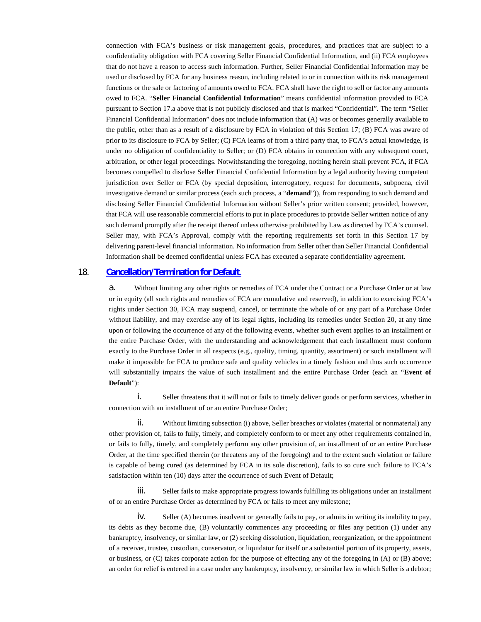connection with FCA's business or risk management goals, procedures, and practices that are subject to a confidentiality obligation with FCA covering Seller Financial Confidential Information, and (ii) FCA employees that do not have a reason to access such information. Further, Seller Financial Confidential Information may be used or disclosed by FCA for any business reason, including related to or in connection with its risk management functions or the sale or factoring of amounts owed to FCA. FCA shall have the right to sell or factor any amounts owed to FCA. "**Seller Financial Confidential Information**" means confidential information provided to FCA pursuant to Section 17.a above that is not publicly disclosed and that is marked "Confidential". The term "Seller Financial Confidential Information" does not include information that (A) was or becomes generally available to the public, other than as a result of a disclosure by FCA in violation of this Section 17; (B) FCA was aware of prior to its disclosure to FCA by Seller; (C) FCA learns of from a third party that, to FCA's actual knowledge, is under no obligation of confidentiality to Seller; or (D) FCA obtains in connection with any subsequent court, arbitration, or other legal proceedings. Notwithstanding the foregoing, nothing herein shall prevent FCA, if FCA becomes compelled to disclose Seller Financial Confidential Information by a legal authority having competent jurisdiction over Seller or FCA (by special deposition, interrogatory, request for documents, subpoena, civil investigative demand or similar process (each such process, a "**demand**")), from responding to such demand and disclosing Seller Financial Confidential Information without Seller's prior written consent; provided, however, that FCA will use reasonable commercial efforts to put in place procedures to provide Seller written notice of any such demand promptly after the receipt thereof unless otherwise prohibited by Law as directed by FCA's counsel. Seller may, with FCA's Approval, comply with the reporting requirements set forth in this Section 17 by delivering parent-level financial information. No information from Seller other than Seller Financial Confidential Information shall be deemed confidential unless FCA has executed a separate confidentiality agreement.

## 18. **[Cancellation/Termination for Default](#page-49-1)**.

<span id="page-49-1"></span><span id="page-49-0"></span>a. Without limiting any other rights or remedies of FCA under the Contract or a Purchase Order or at law or in equity (all such rights and remedies of FCA are cumulative and reserved), in addition to exercising FCA's rights under Section 30, FCA may suspend, cancel, or terminate the whole of or any part of a Purchase Order without liability, and may exercise any of its legal rights, including its remedies under Section 20, at any time upon or following the occurrence of any of the following events, whether such event applies to an installment or the entire Purchase Order, with the understanding and acknowledgement that each installment must conform exactly to the Purchase Order in all respects (e.g., quality, timing, quantity, assortment) or such installment will make it impossible for FCA to produce safe and quality vehicles in a timely fashion and thus such occurrence will substantially impairs the value of such installment and the entire Purchase Order (each an "**Event of Default**"):

i. Seller threatens that it will not or fails to timely deliver goods or perform services, whether in connection with an installment of or an entire Purchase Order;

ii. Without limiting subsection (i) above, Seller breaches or violates (material or nonmaterial) any other provision of, fails to fully, timely, and completely conform to or meet any other requirements contained in, or fails to fully, timely, and completely perform any other provision of, an installment of or an entire Purchase Order, at the time specified therein (or threatens any of the foregoing) and to the extent such violation or failure is capable of being cured (as determined by FCA in its sole discretion), fails to so cure such failure to FCA's satisfaction within ten (10) days after the occurrence of such Event of Default;

iii. Seller fails to make appropriate progress towards fulfilling its obligations under an installment of or an entire Purchase Order as determined by FCA or fails to meet any milestone;

iv. Seller (A) becomes insolvent or generally fails to pay, or admits in writing its inability to pay, its debts as they become due, (B) voluntarily commences any proceeding or files any petition (1) under any bankruptcy, insolvency, or similar law, or (2) seeking dissolution, liquidation, reorganization, or the appointment of a receiver, trustee, custodian, conservator, or liquidator for itself or a substantial portion of its property, assets, or business, or (C) takes corporate action for the purpose of effecting any of the foregoing in (A) or (B) above; an order for relief is entered in a case under any bankruptcy, insolvency, or similar law in which Seller is a debtor;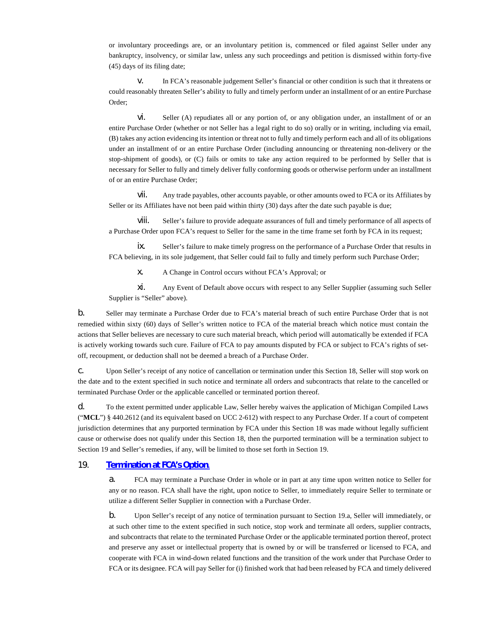or involuntary proceedings are, or an involuntary petition is, commenced or filed against Seller under any bankruptcy, insolvency, or similar law, unless any such proceedings and petition is dismissed within forty-five (45) days of its filing date;

v. In FCA's reasonable judgement Seller's financial or other condition is such that it threatens or could reasonably threaten Seller's ability to fully and timely perform under an installment of or an entire Purchase Order;

vi. Seller (A) repudiates all or any portion of, or any obligation under, an installment of or an entire Purchase Order (whether or not Seller has a legal right to do so) orally or in writing, including via email, (B) takes any action evidencing its intention or threat not to fully and timely perform each and all of its obligations under an installment of or an entire Purchase Order (including announcing or threatening non-delivery or the stop-shipment of goods), or (C) fails or omits to take any action required to be performed by Seller that is necessary for Seller to fully and timely deliver fully conforming goods or otherwise perform under an installment of or an entire Purchase Order;

vii. Any trade payables, other accounts payable, or other amounts owed to FCA or its Affiliates by Seller or its Affiliates have not been paid within thirty (30) days after the date such payable is due;

viii. Seller's failure to provide adequate assurances of full and timely performance of all aspects of a Purchase Order upon FCA's request to Seller for the same in the time frame set forth by FCA in its request;

ix. Seller's failure to make timely progress on the performance of a Purchase Order that results in FCA believing, in its sole judgement, that Seller could fail to fully and timely perform such Purchase Order;

x. A Change in Control occurs without FCA's Approval; or

xi. Any Event of Default above occurs with respect to any Seller Supplier (assuming such Seller Supplier is "Seller" above).

b. Seller may terminate a Purchase Order due to FCA's material breach of such entire Purchase Order that is not remedied within sixty (60) days of Seller's written notice to FCA of the material breach which notice must contain the actions that Seller believes are necessary to cure such material breach, which period will automatically be extended if FCA is actively working towards such cure. Failure of FCA to pay amounts disputed by FCA or subject to FCA's rights of setoff, recoupment, or deduction shall not be deemed a breach of a Purchase Order.

c. Upon Seller's receipt of any notice of cancellation or termination under this Section 18, Seller will stop work on the date and to the extent specified in such notice and terminate all orders and subcontracts that relate to the cancelled or terminated Purchase Order or the applicable cancelled or terminated portion thereof.

d. To the extent permitted under applicable Law, Seller hereby waives the application of Michigan Compiled Laws ("**MCL**") § 440.2612 (and its equivalent based on UCC 2-612) with respect to any Purchase Order. If a court of competent jurisdiction determines that any purported termination by FCA under this Section 18 was made without legally sufficient cause or otherwise does not qualify under this Section 18, then the purported termination will be a termination subject to Section 19 and Seller's remedies, if any, will be limited to those set forth in Section 19.

## 19. **[Termination at FCA's Option](#page-50-0)**.

<span id="page-50-0"></span>a. FCA may terminate a Purchase Order in whole or in part at any time upon written notice to Seller for any or no reason. FCA shall have the right, upon notice to Seller, to immediately require Seller to terminate or utilize a different Seller Supplier in connection with a Purchase Order.

b. Upon Seller's receipt of any notice of termination pursuant to Section 19.a, Seller will immediately, or at such other time to the extent specified in such notice, stop work and terminate all orders, supplier contracts, and subcontracts that relate to the terminated Purchase Order or the applicable terminated portion thereof, protect and preserve any asset or intellectual property that is owned by or will be transferred or licensed to FCA, and cooperate with FCA in wind-down related functions and the transition of the work under that Purchase Order to FCA or its designee. FCA will pay Seller for (i) finished work that had been released by FCA and timely delivered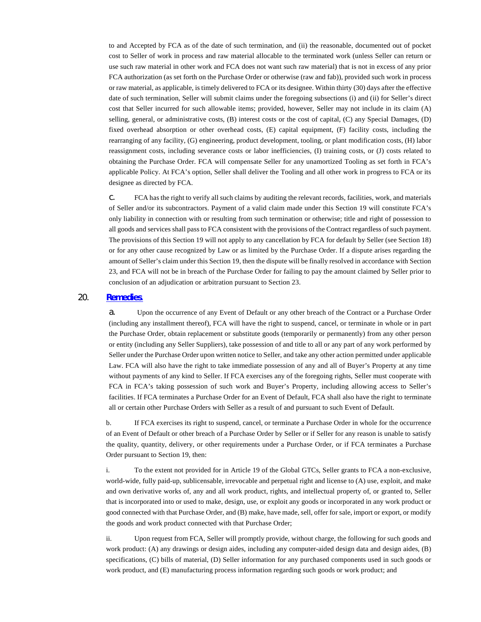to and Accepted by FCA as of the date of such termination, and (ii) the reasonable, documented out of pocket cost to Seller of work in process and raw material allocable to the terminated work (unless Seller can return or use such raw material in other work and FCA does not want such raw material) that is not in excess of any prior FCA authorization (as set forth on the Purchase Order or otherwise (raw and fab)), provided such work in process or raw material, as applicable, is timely delivered to FCA or its designee. Within thirty (30) days after the effective date of such termination, Seller will submit claims under the foregoing subsections (i) and (ii) for Seller's direct cost that Seller incurred for such allowable items; provided, however, Seller may not include in its claim (A) selling, general, or administrative costs, (B) interest costs or the cost of capital, (C) any Special Damages, (D) fixed overhead absorption or other overhead costs, (E) capital equipment, (F) facility costs, including the rearranging of any facility, (G) engineering, product development, tooling, or plant modification costs, (H) labor reassignment costs, including severance costs or labor inefficiencies, (I) training costs, or (J) costs related to obtaining the Purchase Order. FCA will compensate Seller for any unamortized Tooling as set forth in FCA's applicable Policy. At FCA's option, Seller shall deliver the Tooling and all other work in progress to FCA or its designee as directed by FCA.

c. FCA has the right to verify all such claims by auditing the relevant records, facilities, work, and materials of Seller and/or its subcontractors. Payment of a valid claim made under this Section 19 will constitute FCA's only liability in connection with or resulting from such termination or otherwise; title and right of possession to all goods and services shall pass to FCA consistent with the provisions of the Contract regardless of such payment. The provisions of this Section 19 will not apply to any cancellation by FCA for default by Seller (see Section 18) or for any other cause recognized by Law or as limited by the Purchase Order. If a dispute arises regarding the amount of Seller's claim under this Section 19, then the dispute will be finally resolved in accordance with Section 23, and FCA will not be in breach of the Purchase Order for failing to pay the amount claimed by Seller prior to conclusion of an adjudication or arbitration pursuant to Section 23.

# 20. **[Remedies](#page-51-1)**.

<span id="page-51-1"></span><span id="page-51-0"></span>a. Upon the occurrence of any Event of Default or any other breach of the Contract or a Purchase Order (including any installment thereof), FCA will have the right to suspend, cancel, or terminate in whole or in part the Purchase Order, obtain replacement or substitute goods (temporarily or permanently) from any other person or entity (including any Seller Suppliers), take possession of and title to all or any part of any work performed by Seller under the Purchase Order upon written notice to Seller, and take any other action permitted under applicable Law. FCA will also have the right to take immediate possession of any and all of Buyer's Property at any time without payments of any kind to Seller. If FCA exercises any of the foregoing rights, Seller must cooperate with FCA in FCA's taking possession of such work and Buyer's Property, including allowing access to Seller's facilities. If FCA terminates a Purchase Order for an Event of Default, FCA shall also have the right to terminate all or certain other Purchase Orders with Seller as a result of and pursuant to such Event of Default.

b. If FCA exercises its right to suspend, cancel, or terminate a Purchase Order in whole for the occurrence of an Event of Default or other breach of a Purchase Order by Seller or if Seller for any reason is unable to satisfy the quality, quantity, delivery, or other requirements under a Purchase Order, or if FCA terminates a Purchase Order pursuant to Section 19, then:

i. To the extent not provided for in Article 19 of the Global GTCs, Seller grants to FCA a non-exclusive, world-wide, fully paid-up, sublicensable, irrevocable and perpetual right and license to (A) use, exploit, and make and own derivative works of, any and all work product, rights, and intellectual property of, or granted to, Seller that is incorporated into or used to make, design, use, or exploit any goods or incorporated in any work product or good connected with that Purchase Order, and (B) make, have made, sell, offer for sale, import or export, or modify the goods and work product connected with that Purchase Order;

ii. Upon request from FCA, Seller will promptly provide, without charge, the following for such goods and work product: (A) any drawings or design aides, including any computer-aided design data and design aides, (B) specifications, (C) bills of material, (D) Seller information for any purchased components used in such goods or work product, and (E) manufacturing process information regarding such goods or work product; and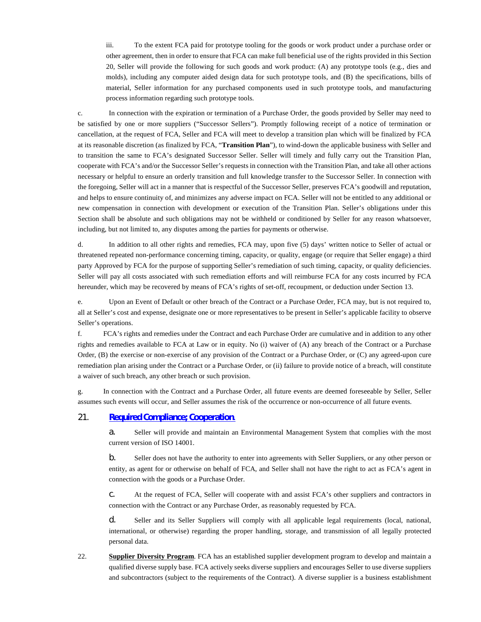iii. To the extent FCA paid for prototype tooling for the goods or work product under a purchase order or other agreement, then in order to ensure that FCA can make full beneficial use of the rights provided in this Section 20, Seller will provide the following for such goods and work product: (A) any prototype tools (e.g., dies and molds), including any computer aided design data for such prototype tools, and (B) the specifications, bills of material, Seller information for any purchased components used in such prototype tools, and manufacturing process information regarding such prototype tools.

c. In connection with the expiration or termination of a Purchase Order, the goods provided by Seller may need to be satisfied by one or more suppliers ("Successor Sellers"). Promptly following receipt of a notice of termination or cancellation, at the request of FCA, Seller and FCA will meet to develop a transition plan which will be finalized by FCA at its reasonable discretion (as finalized by FCA, "**Transition Plan**"), to wind-down the applicable business with Seller and to transition the same to FCA's designated Successor Seller. Seller will timely and fully carry out the Transition Plan, cooperate with FCA's and/or the Successor Seller's requests in connection with the Transition Plan, and take all other actions necessary or helpful to ensure an orderly transition and full knowledge transfer to the Successor Seller. In connection with the foregoing, Seller will act in a manner that is respectful of the Successor Seller, preserves FCA's goodwill and reputation, and helps to ensure continuity of, and minimizes any adverse impact on FCA. Seller will not be entitled to any additional or new compensation in connection with development or execution of the Transition Plan. Seller's obligations under this Section shall be absolute and such obligations may not be withheld or conditioned by Seller for any reason whatsoever, including, but not limited to, any disputes among the parties for payments or otherwise.

d. In addition to all other rights and remedies, FCA may, upon five (5) days' written notice to Seller of actual or threatened repeated non-performance concerning timing, capacity, or quality, engage (or require that Seller engage) a third party Approved by FCA for the purpose of supporting Seller's remediation of such timing, capacity, or quality deficiencies. Seller will pay all costs associated with such remediation efforts and will reimburse FCA for any costs incurred by FCA hereunder, which may be recovered by means of FCA's rights of set-off, recoupment, or deduction under Section 13.

e. Upon an Event of Default or other breach of the Contract or a Purchase Order, FCA may, but is not required to, all at Seller's cost and expense, designate one or more representatives to be present in Seller's applicable facility to observe Seller's operations.

f. FCA's rights and remedies under the Contract and each Purchase Order are cumulative and in addition to any other rights and remedies available to FCA at Law or in equity. No (i) waiver of (A) any breach of the Contract or a Purchase Order, (B) the exercise or non-exercise of any provision of the Contract or a Purchase Order, or (C) any agreed-upon cure remediation plan arising under the Contract or a Purchase Order, or (ii) failure to provide notice of a breach, will constitute a waiver of such breach, any other breach or such provision.

g. In connection with the Contract and a Purchase Order, all future events are deemed foreseeable by Seller, Seller assumes such events will occur, and Seller assumes the risk of the occurrence or non-occurrence of all future events.

### 21. **[Required Compliance; Cooperation](#page-52-1)**.

<span id="page-52-1"></span>a. Seller will provide and maintain an Environmental Management System that complies with the most current version of ISO 14001.

<span id="page-52-0"></span>b. Seller does not have the authority to enter into agreements with Seller Suppliers, or any other person or entity, as agent for or otherwise on behalf of FCA, and Seller shall not have the right to act as FCA's agent in connection with the goods or a Purchase Order.

c. At the request of FCA, Seller will cooperate with and assist FCA's other suppliers and contractors in connection with the Contract or any Purchase Order, as reasonably requested by FCA.

d. Seller and its Seller Suppliers will comply with all applicable legal requirements (local, national, international, or otherwise) regarding the proper handling, storage, and transmission of all legally protected personal data.

22. **Supplier Diversity Program**. FCA has an established supplier development program to develop and maintain a qualified diverse supply base. FCA actively seeks diverse suppliers and encourages Seller to use diverse suppliers and subcontractors (subject to the requirements of the Contract). A diverse supplier is a business establishment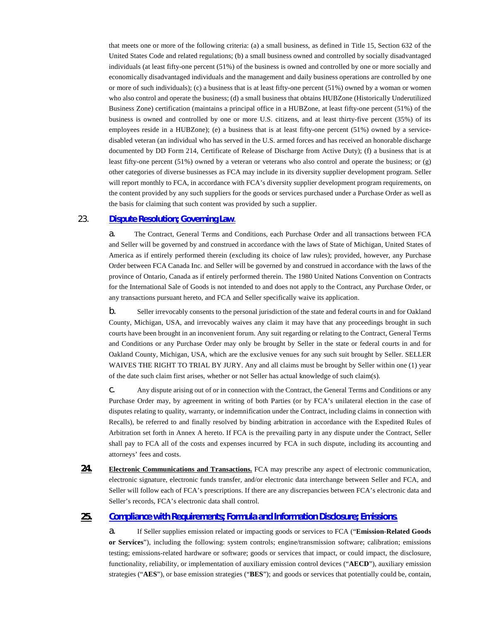that meets one or more of the following criteria: (a) a small business, as defined in Title 15, Section 632 of the United States Code and related regulations; (b) a small business owned and controlled by socially disadvantaged individuals (at least fifty-one percent (51%) of the business is owned and controlled by one or more socially and economically disadvantaged individuals and the management and daily business operations are controlled by one or more of such individuals); (c) a business that is at least fifty-one percent (51%) owned by a woman or women who also control and operate the business; (d) a small business that obtains HUBZone (Historically Underutilized Business Zone) certification (maintains a principal office in a HUBZone, at least fifty-one percent (51%) of the business is owned and controlled by one or more U.S. citizens, and at least thirty-five percent (35%) of its employees reside in a HUBZone); (e) a business that is at least fifty-one percent (51%) owned by a servicedisabled veteran (an individual who has served in the U.S. armed forces and has received an honorable discharge documented by DD Form 214, Certificate of Release of Discharge from Active Duty); (f) a business that is at least fifty-one percent (51%) owned by a veteran or veterans who also control and operate the business; or (g) other categories of diverse businesses as FCA may include in its diversity supplier development program. Seller will report monthly to FCA, in accordance with FCA's diversity supplier development program requirements, on the content provided by any such suppliers for the goods or services purchased under a Purchase Order as well as the basis for claiming that such content was provided by such a supplier.

## 23. **[Dispute Resolution; Governing Law](#page-53-2)**.

<span id="page-53-2"></span><span id="page-53-0"></span>a. The Contract, General Terms and Conditions, each Purchase Order and all transactions between FCA and Seller will be governed by and construed in accordance with the laws of State of Michigan, United States of America as if entirely performed therein (excluding its choice of law rules); provided, however, any Purchase Order between FCA Canada Inc. and Seller will be governed by and construed in accordance with the laws of the province of Ontario, Canada as if entirely performed therein. The 1980 United Nations Convention on Contracts for the International Sale of Goods is not intended to and does not apply to the Contract, any Purchase Order, or any transactions pursuant hereto, and FCA and Seller specifically waive its application.

b. Seller irrevocably consents to the personal jurisdiction of the state and federal courts in and for Oakland County, Michigan, USA, and irrevocably waives any claim it may have that any proceedings brought in such courts have been brought in an inconvenient forum. Any suit regarding or relating to the Contract, General Terms and Conditions or any Purchase Order may only be brought by Seller in the state or federal courts in and for Oakland County, Michigan, USA, which are the exclusive venues for any such suit brought by Seller. SELLER WAIVES THE RIGHT TO TRIAL BY JURY. Any and all claims must be brought by Seller within one (1) year of the date such claim first arises, whether or not Seller has actual knowledge of such claim(s).

c. Any dispute arising out of or in connection with the Contract, the General Terms and Conditions or any Purchase Order may, by agreement in writing of both Parties (or by FCA's unilateral election in the case of disputes relating to quality, warranty, or indemnification under the Contract, including claims in connection with Recalls), be referred to and finally resolved by binding arbitration in accordance with the Expedited Rules of Arbitration set forth in Annex A hereto. If FCA is the prevailing party in any dispute under the Contract, Seller shall pay to FCA all of the costs and expenses incurred by FCA in such dispute, including its accounting and attorneys' fees and costs.

**24. Electronic Communications and Transactions.** FCA may prescribe any aspect of electronic communication, electronic signature, electronic funds transfer, and/or electronic data interchange between Seller and FCA, and Seller will follow each of FCA's prescriptions. If there are any discrepancies between FCA's electronic data and Seller's records, FCA's electronic data shall control.

## **25. [Compliance with Requirements; Formula and Information Disclosure; Emissions](#page-53-3)**.

<span id="page-53-3"></span><span id="page-53-1"></span>a. If Seller supplies emission related or impacting goods or services to FCA ("**Emission-Related Goods or Services**"), including the following: system controls; engine/transmission software; calibration; emissions testing; emissions-related hardware or software; goods or services that impact, or could impact, the disclosure, functionality, reliability, or implementation of auxiliary emission control devices ("**AECD**"), auxiliary emission strategies ("**AES**"), or base emission strategies ("**BES**"); and goods or services that potentially could be, contain,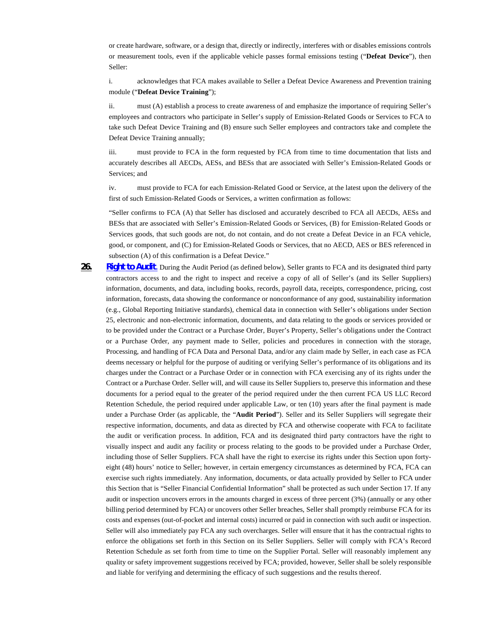or create hardware, software, or a design that, directly or indirectly, interferes with or disables emissions controls or measurement tools, even if the applicable vehicle passes formal emissions testing ("**Defeat Device**"), then Seller:

i. acknowledges that FCA makes available to Seller a Defeat Device Awareness and Prevention training module ("**Defeat Device Training**");

ii. must (A) establish a process to create awareness of and emphasize the importance of requiring Seller's employees and contractors who participate in Seller's supply of Emission-Related Goods or Services to FCA to take such Defeat Device Training and (B) ensure such Seller employees and contractors take and complete the Defeat Device Training annually;

iii. must provide to FCA in the form requested by FCA from time to time documentation that lists and accurately describes all AECDs, AESs, and BESs that are associated with Seller's Emission-Related Goods or Services; and

iv. must provide to FCA for each Emission-Related Good or Service, at the latest upon the delivery of the first of such Emission-Related Goods or Services, a written confirmation as follows:

"Seller confirms to FCA (A) that Seller has disclosed and accurately described to FCA all AECDs, AESs and BESs that are associated with Seller's Emission-Related Goods or Services, (B) for Emission-Related Goods or Services goods, that such goods are not, do not contain, and do not create a Defeat Device in an FCA vehicle, good, or component, and (C) for Emission-Related Goods or Services, that no AECD, AES or BES referenced in subsection (A) of this confirmation is a Defeat Device."

<span id="page-54-1"></span><span id="page-54-0"></span>26. **[Right to Audit](#page-54-1)**. During the Audit Period (as defined below), Seller grants to FCA and its designated third party contractors access to and the right to inspect and receive a copy of all of Seller's (and its Seller Suppliers) information, documents, and data, including books, records, payroll data, receipts, correspondence, pricing, cost information, forecasts, data showing the conformance or nonconformance of any good, sustainability information (e.g., Global Reporting Initiative standards), chemical data in connection with Seller's obligations under Section 25, electronic and non-electronic information, documents, and data relating to the goods or services provided or to be provided under the Contract or a Purchase Order, Buyer's Property, Seller's obligations under the Contract or a Purchase Order, any payment made to Seller, policies and procedures in connection with the storage, Processing, and handling of FCA Data and Personal Data, and/or any claim made by Seller, in each case as FCA deems necessary or helpful for the purpose of auditing or verifying Seller's performance of its obligations and its charges under the Contract or a Purchase Order or in connection with FCA exercising any of its rights under the Contract or a Purchase Order. Seller will, and will cause its Seller Suppliers to, preserve this information and these documents for a period equal to the greater of the period required under the then current FCA US LLC Record Retention Schedule, the period required under applicable Law, or ten (10) years after the final payment is made under a Purchase Order (as applicable, the "**Audit Period**"). Seller and its Seller Suppliers will segregate their respective information, documents, and data as directed by FCA and otherwise cooperate with FCA to facilitate the audit or verification process. In addition, FCA and its designated third party contractors have the right to visually inspect and audit any facility or process relating to the goods to be provided under a Purchase Order, including those of Seller Suppliers. FCA shall have the right to exercise its rights under this Section upon fortyeight (48) hours' notice to Seller; however, in certain emergency circumstances as determined by FCA, FCA can exercise such rights immediately. Any information, documents, or data actually provided by Seller to FCA under this Section that is "Seller Financial Confidential Information" shall be protected as such under Section 17. If any audit or inspection uncovers errors in the amounts charged in excess of three percent (3%) (annually or any other billing period determined by FCA) or uncovers other Seller breaches, Seller shall promptly reimburse FCA for its costs and expenses (out-of-pocket and internal costs) incurred or paid in connection with such audit or inspection. Seller will also immediately pay FCA any such overcharges. Seller will ensure that it has the contractual rights to enforce the obligations set forth in this Section on its Seller Suppliers. Seller will comply with FCA's Record Retention Schedule as set forth from time to time on the Supplier Portal. Seller will reasonably implement any quality or safety improvement suggestions received by FCA; provided, however, Seller shall be solely responsible and liable for verifying and determining the efficacy of such suggestions and the results thereof.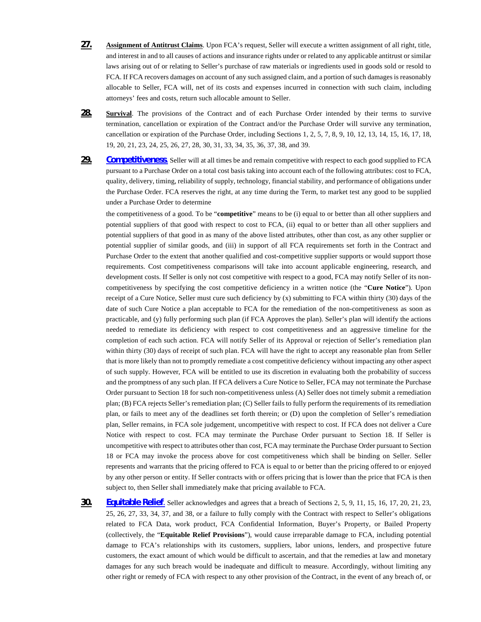- **27. Assignment of Antitrust Claims**. Upon FCA's request, Seller will execute a written assignment of all right, title, and interest in and to all causes of actions and insurance rights under or related to any applicable antitrust or similar laws arising out of or relating to Seller's purchase of raw materials or ingredients used in goods sold or resold to FCA. If FCA recovers damages on account of any such assigned claim, and a portion of such damages is reasonably allocable to Seller, FCA will, net of its costs and expenses incurred in connection with such claim, including attorneys' fees and costs, return such allocable amount to Seller.
- **28. Survival**. The provisions of the Contract and of each Purchase Order intended by their terms to survive termination, cancellation or expiration of the Contract and/or the Purchase Order will survive any termination, cancellation or expiration of the Purchase Order, including Sections 1, 2, 5, 7, 8, 9, 10, 12, 13, 14, 15, 16, 17, 18, 19, 20, 21, 23, 24, 25, 26, 27, 28, 30, 31, 33, 34, 35, 36, 37, 38, and 39.
- <span id="page-55-2"></span>**29. [Competitiveness](#page-55-2)**. Seller will at all times be and remain competitive with respect to each good supplied to FCA pursuant to a Purchase Order on a total cost basis taking into account each of the following attributes: cost to FCA, quality, delivery, timing, reliability of supply, technology, financial stability, and performance of obligations under the Purchase Order. FCA reserves the right, at any time during the Term, to market test any good to be supplied under a Purchase Order to determine

<span id="page-55-0"></span>the competitiveness of a good. To be "**competitive**" means to be (i) equal to or better than all other suppliers and potential suppliers of that good with respect to cost to FCA, (ii) equal to or better than all other suppliers and potential suppliers of that good in as many of the above listed attributes, other than cost, as any other supplier or potential supplier of similar goods, and (iii) in support of all FCA requirements set forth in the Contract and Purchase Order to the extent that another qualified and cost-competitive supplier supports or would support those requirements. Cost competitiveness comparisons will take into account applicable engineering, research, and development costs. If Seller is only not cost competitive with respect to a good, FCA may notify Seller of its noncompetitiveness by specifying the cost competitive deficiency in a written notice (the "**Cure Notice**"). Upon receipt of a Cure Notice, Seller must cure such deficiency by (x) submitting to FCA within thirty (30) days of the date of such Cure Notice a plan acceptable to FCA for the remediation of the non-competitiveness as soon as practicable, and (y) fully performing such plan (if FCA Approves the plan). Seller's plan will identify the actions needed to remediate its deficiency with respect to cost competitiveness and an aggressive timeline for the completion of each such action. FCA will notify Seller of its Approval or rejection of Seller's remediation plan within thirty (30) days of receipt of such plan. FCA will have the right to accept any reasonable plan from Seller that is more likely than not to promptly remediate a cost competitive deficiency without impacting any other aspect of such supply. However, FCA will be entitled to use its discretion in evaluating both the probability of success and the promptness of any such plan. If FCA delivers a Cure Notice to Seller, FCA may not terminate the Purchase Order pursuant to Section 18 for such non-competitiveness unless (A) Seller does not timely submit a remediation plan; (B) FCA rejects Seller's remediation plan; (C) Seller fails to fully perform the requirements of its remediation plan, or fails to meet any of the deadlines set forth therein; or (D) upon the completion of Seller's remediation plan, Seller remains, in FCA sole judgement, uncompetitive with respect to cost. If FCA does not deliver a Cure Notice with respect to cost. FCA may terminate the Purchase Order pursuant to Section 18. If Seller is uncompetitive with respect to attributes other than cost, FCA may terminate the Purchase Order pursuant to Section 18 or FCA may invoke the process above for cost competitiveness which shall be binding on Seller. Seller represents and warrants that the pricing offered to FCA is equal to or better than the pricing offered to or enjoyed by any other person or entity. If Seller contracts with or offers pricing that is lower than the price that FCA is then subject to, then Seller shall immediately make that pricing available to FCA.

<span id="page-55-3"></span><span id="page-55-1"></span>**30. [Equitable Relief](#page-55-3)**. Seller acknowledges and agrees that a breach of Sections 2, 5, 9, 11, 15, 16, 17, 20, 21, 23, 25, 26, 27, 33, 34, 37, and 38, or a failure to fully comply with the Contract with respect to Seller's obligations related to FCA Data, work product, FCA Confidential Information, Buyer's Property, or Bailed Property (collectively, the "**Equitable Relief Provisions**"), would cause irreparable damage to FCA, including potential damage to FCA's relationships with its customers, suppliers, labor unions, lenders, and prospective future customers, the exact amount of which would be difficult to ascertain, and that the remedies at law and monetary damages for any such breach would be inadequate and difficult to measure. Accordingly, without limiting any other right or remedy of FCA with respect to any other provision of the Contract, in the event of any breach of, or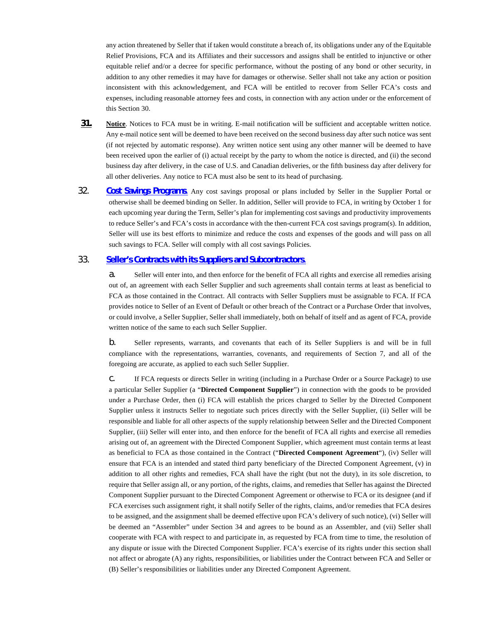any action threatened by Seller that if taken would constitute a breach of, its obligations under any of the Equitable Relief Provisions, FCA and its Affiliates and their successors and assigns shall be entitled to injunctive or other equitable relief and/or a decree for specific performance, without the posting of any bond or other security, in addition to any other remedies it may have for damages or otherwise. Seller shall not take any action or position inconsistent with this acknowledgement, and FCA will be entitled to recover from Seller FCA's costs and expenses, including reasonable attorney fees and costs, in connection with any action under or the enforcement of this Section 30.

- **31. Notice**. Notices to FCA must be in writing. E-mail notification will be sufficient and acceptable written notice. Any e-mail notice sent will be deemed to have been received on the second business day after such notice was sent (if not rejected by automatic response). Any written notice sent using any other manner will be deemed to have been received upon the earlier of (i) actual receipt by the party to whom the notice is directed, and (ii) the second business day after delivery, in the case of U.S. and Canadian deliveries, or the fifth business day after delivery for all other deliveries. Any notice to FCA must also be sent to its head of purchasing.
- 32. **[Cost Savings Programs](#page-56-2)**. Any cost savings proposal or plans included by Seller in the Supplier Portal or otherwise shall be deemed binding on Seller. In addition, Seller will provide to FCA, in writing by October 1 for each upcoming year during the Term, Seller's plan for implementing cost savings and productivity improvements to reduce Seller's and FCA's costs in accordance with the then-current FCA cost savings program(s). In addition, Seller will use its best efforts to minimize and reduce the costs and expenses of the goods and will pass on all such savings to FCA. Seller will comply with all cost savings Policies.

# 33. **[Seller's Contracts with its Suppliers and Subcontractors](#page-56-3)**.

<span id="page-56-3"></span><span id="page-56-2"></span><span id="page-56-1"></span><span id="page-56-0"></span>a. Seller will enter into, and then enforce for the benefit of FCA all rights and exercise all remedies arising out of, an agreement with each Seller Supplier and such agreements shall contain terms at least as beneficial to FCA as those contained in the Contract. All contracts with Seller Suppliers must be assignable to FCA. If FCA provides notice to Seller of an Event of Default or other breach of the Contract or a Purchase Order that involves, or could involve, a Seller Supplier, Seller shall immediately, both on behalf of itself and as agent of FCA, provide written notice of the same to each such Seller Supplier.

b. Seller represents, warrants, and covenants that each of its Seller Suppliers is and will be in full compliance with the representations, warranties, covenants, and requirements of Section 7, and all of the foregoing are accurate, as applied to each such Seller Supplier.

c. If FCA requests or directs Seller in writing (including in a Purchase Order or a Source Package) to use a particular Seller Supplier (a "**Directed Component Supplier**") in connection with the goods to be provided under a Purchase Order, then (i) FCA will establish the prices charged to Seller by the Directed Component Supplier unless it instructs Seller to negotiate such prices directly with the Seller Supplier, (ii) Seller will be responsible and liable for all other aspects of the supply relationship between Seller and the Directed Component Supplier, (iii) Seller will enter into, and then enforce for the benefit of FCA all rights and exercise all remedies arising out of, an agreement with the Directed Component Supplier, which agreement must contain terms at least as beneficial to FCA as those contained in the Contract ("**Directed Component Agreement**"), (iv) Seller will ensure that FCA is an intended and stated third party beneficiary of the Directed Component Agreement, (v) in addition to all other rights and remedies, FCA shall have the right (but not the duty), in its sole discretion, to require that Seller assign all, or any portion, of the rights, claims, and remedies that Seller has against the Directed Component Supplier pursuant to the Directed Component Agreement or otherwise to FCA or its designee (and if FCA exercises such assignment right, it shall notify Seller of the rights, claims, and/or remedies that FCA desires to be assigned, and the assignment shall be deemed effective upon FCA's delivery of such notice), (vi) Seller will be deemed an "Assembler" under Section 34 and agrees to be bound as an Assembler, and (vii) Seller shall cooperate with FCA with respect to and participate in, as requested by FCA from time to time, the resolution of any dispute or issue with the Directed Component Supplier. FCA's exercise of its rights under this section shall not affect or abrogate (A) any rights, responsibilities, or liabilities under the Contract between FCA and Seller or (B) Seller's responsibilities or liabilities under any Directed Component Agreement.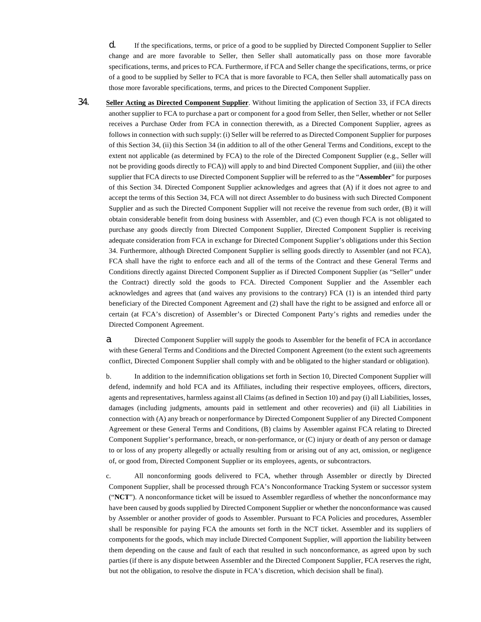d. If the specifications, terms, or price of a good to be supplied by Directed Component Supplier to Seller change and are more favorable to Seller, then Seller shall automatically pass on those more favorable specifications, terms, and prices to FCA. Furthermore, if FCA and Seller change the specifications, terms, or price of a good to be supplied by Seller to FCA that is more favorable to FCA, then Seller shall automatically pass on those more favorable specifications, terms, and prices to the Directed Component Supplier.

34. **Seller Acting as Directed Component Supplier**. Without limiting the application of Section 33, if FCA directs another supplier to FCA to purchase a part or component for a good from Seller, then Seller, whether or not Seller receives a Purchase Order from FCA in connection therewith, as a Directed Component Supplier, agrees as follows in connection with such supply: (i) Seller will be referred to as Directed Component Supplier for purposes of this Section 34, (ii) this Section 34 (in addition to all of the other General Terms and Conditions, except to the extent not applicable (as determined by FCA) to the role of the Directed Component Supplier (e.g., Seller will not be providing goods directly to FCA)) will apply to and bind Directed Component Supplier, and (iii) the other supplier that FCA directs to use Directed Component Supplier will be referred to as the "**Assembler**" for purposes of this Section 34. Directed Component Supplier acknowledges and agrees that (A) if it does not agree to and accept the terms of this Section 34, FCA will not direct Assembler to do business with such Directed Component Supplier and as such the Directed Component Supplier will not receive the revenue from such order, (B) it will obtain considerable benefit from doing business with Assembler, and (C) even though FCA is not obligated to purchase any goods directly from Directed Component Supplier, Directed Component Supplier is receiving adequate consideration from FCA in exchange for Directed Component Supplier's obligations under this Section 34. Furthermore, although Directed Component Supplier is selling goods directly to Assembler (and not FCA), FCA shall have the right to enforce each and all of the terms of the Contract and these General Terms and Conditions directly against Directed Component Supplier as if Directed Component Supplier (as "Seller" under the Contract) directly sold the goods to FCA. Directed Component Supplier and the Assembler each acknowledges and agrees that (and waives any provisions to the contrary) FCA (1) is an intended third party beneficiary of the Directed Component Agreement and (2) shall have the right to be assigned and enforce all or certain (at FCA's discretion) of Assembler's or Directed Component Party's rights and remedies under the Directed Component Agreement.

a. Directed Component Supplier will supply the goods to Assembler for the benefit of FCA in accordance with these General Terms and Conditions and the Directed Component Agreement (to the extent such agreements conflict, Directed Component Supplier shall comply with and be obligated to the higher standard or obligation).

b. In addition to the indemnification obligations set forth in Section 10, Directed Component Supplier will defend, indemnify and hold FCA and its Affiliates, including their respective employees, officers, directors, agents and representatives, harmless against all Claims (as defined in Section 10) and pay (i) all Liabilities, losses, damages (including judgments, amounts paid in settlement and other recoveries) and (ii) all Liabilities in connection with (A) any breach or nonperformance by Directed Component Supplier of any Directed Component Agreement or these General Terms and Conditions, (B) claims by Assembler against FCA relating to Directed Component Supplier's performance, breach, or non-performance, or (C) injury or death of any person or damage to or loss of any property allegedly or actually resulting from or arising out of any act, omission, or negligence of, or good from, Directed Component Supplier or its employees, agents, or subcontractors.

c. All nonconforming goods delivered to FCA, whether through Assembler or directly by Directed Component Supplier, shall be processed through FCA's Nonconformance Tracking System or successor system ("**NCT**"). A nonconformance ticket will be issued to Assembler regardless of whether the nonconformance may have been caused by goods supplied by Directed Component Supplier or whether the nonconformance was caused by Assembler or another provider of goods to Assembler. Pursuant to FCA Policies and procedures, Assembler shall be responsible for paying FCA the amounts set forth in the NCT ticket. Assembler and its suppliers of components for the goods, which may include Directed Component Supplier, will apportion the liability between them depending on the cause and fault of each that resulted in such nonconformance, as agreed upon by such parties (if there is any dispute between Assembler and the Directed Component Supplier, FCA reserves the right, but not the obligation, to resolve the dispute in FCA's discretion, which decision shall be final).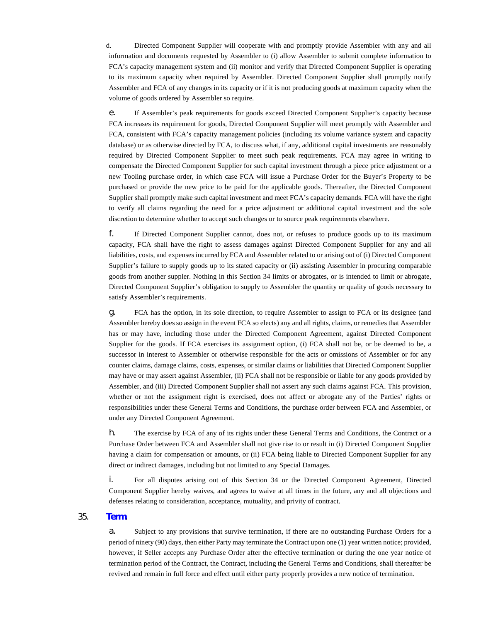d. Directed Component Supplier will cooperate with and promptly provide Assembler with any and all information and documents requested by Assembler to (i) allow Assembler to submit complete information to FCA's capacity management system and (ii) monitor and verify that Directed Component Supplier is operating to its maximum capacity when required by Assembler. Directed Component Supplier shall promptly notify Assembler and FCA of any changes in its capacity or if it is not producing goods at maximum capacity when the volume of goods ordered by Assembler so require.

e. If Assembler's peak requirements for goods exceed Directed Component Supplier's capacity because FCA increases its requirement for goods, Directed Component Supplier will meet promptly with Assembler and FCA, consistent with FCA's capacity management policies (including its volume variance system and capacity database) or as otherwise directed by FCA, to discuss what, if any, additional capital investments are reasonably required by Directed Component Supplier to meet such peak requirements. FCA may agree in writing to compensate the Directed Component Supplier for such capital investment through a piece price adjustment or a new Tooling purchase order, in which case FCA will issue a Purchase Order for the Buyer's Property to be purchased or provide the new price to be paid for the applicable goods. Thereafter, the Directed Component Supplier shall promptly make such capital investment and meet FCA's capacity demands. FCA will have the right to verify all claims regarding the need for a price adjustment or additional capital investment and the sole discretion to determine whether to accept such changes or to source peak requirements elsewhere.

f. If Directed Component Supplier cannot, does not, or refuses to produce goods up to its maximum capacity, FCA shall have the right to assess damages against Directed Component Supplier for any and all liabilities, costs, and expenses incurred by FCA and Assembler related to or arising out of (i) Directed Component Supplier's failure to supply goods up to its stated capacity or (ii) assisting Assembler in procuring comparable goods from another suppler. Nothing in this Section 34 limits or abrogates, or is intended to limit or abrogate, Directed Component Supplier's obligation to supply to Assembler the quantity or quality of goods necessary to satisfy Assembler's requirements.

g. FCA has the option, in its sole direction, to require Assembler to assign to FCA or its designee (and Assembler hereby does so assign in the event FCA so elects) any and all rights, claims, or remedies that Assembler has or may have, including those under the Directed Component Agreement, against Directed Component Supplier for the goods. If FCA exercises its assignment option, (i) FCA shall not be, or be deemed to be, a successor in interest to Assembler or otherwise responsible for the acts or omissions of Assembler or for any counter claims, damage claims, costs, expenses, or similar claims or liabilities that Directed Component Supplier may have or may assert against Assembler, (ii) FCA shall not be responsible or liable for any goods provided by Assembler, and (iii) Directed Component Supplier shall not assert any such claims against FCA. This provision, whether or not the assignment right is exercised, does not affect or abrogate any of the Parties' rights or responsibilities under these General Terms and Conditions, the purchase order between FCA and Assembler, or under any Directed Component Agreement.

h. The exercise by FCA of any of its rights under these General Terms and Conditions, the Contract or a Purchase Order between FCA and Assembler shall not give rise to or result in (i) Directed Component Supplier having a claim for compensation or amounts, or (ii) FCA being liable to Directed Component Supplier for any direct or indirect damages, including but not limited to any Special Damages.

i. For all disputes arising out of this Section 34 or the Directed Component Agreement, Directed Component Supplier hereby waives, and agrees to waive at all times in the future, any and all objections and defenses relating to consideration, acceptance, mutuality, and privity of contract.

## 35. **[Term](#page-58-1)**.

<span id="page-58-1"></span><span id="page-58-0"></span>a. Subject to any provisions that survive termination, if there are no outstanding Purchase Orders for a period of ninety (90) days, then either Party may terminate the Contract upon one (1) year written notice; provided, however, if Seller accepts any Purchase Order after the effective termination or during the one year notice of termination period of the Contract, the Contract, including the General Terms and Conditions, shall thereafter be revived and remain in full force and effect until either party properly provides a new notice of termination.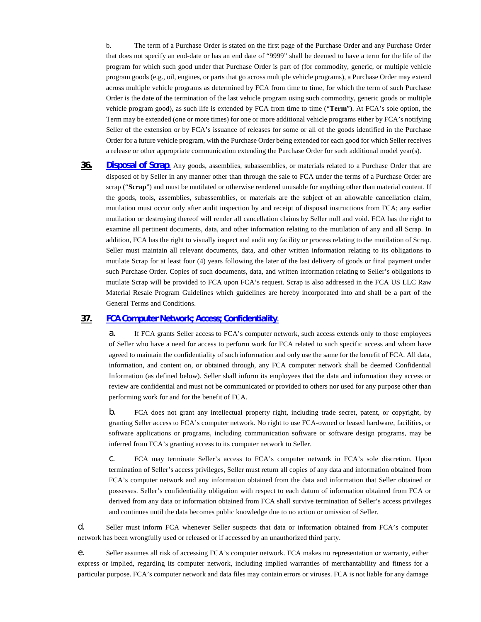b. The term of a Purchase Order is stated on the first page of the Purchase Order and any Purchase Order that does not specify an end-date or has an end date of "9999" shall be deemed to have a term for the life of the program for which such good under that Purchase Order is part of (for commodity, generic, or multiple vehicle program goods (e.g., oil, engines, or parts that go across multiple vehicle programs), a Purchase Order may extend across multiple vehicle programs as determined by FCA from time to time, for which the term of such Purchase Order is the date of the termination of the last vehicle program using such commodity, generic goods or multiple vehicle program good), as such life is extended by FCA from time to time ("**Term**"). At FCA's sole option, the Term may be extended (one or more times) for one or more additional vehicle programs either by FCA's notifying Seller of the extension or by FCA's issuance of releases for some or all of the goods identified in the Purchase Order for a future vehicle program, with the Purchase Order being extended for each good for which Seller receives a release or other appropriate communication extending the Purchase Order for such additional model year(s).

<span id="page-59-2"></span><span id="page-59-0"></span>**36. [Disposal of Scrap](#page-59-2)**. Any goods, assemblies, subassemblies, or materials related to a Purchase Order that are disposed of by Seller in any manner other than through the sale to FCA under the terms of a Purchase Order are scrap ("**Scrap**") and must be mutilated or otherwise rendered unusable for anything other than material content. If the goods, tools, assemblies, subassemblies, or materials are the subject of an allowable cancellation claim, mutilation must occur only after audit inspection by and receipt of disposal instructions from FCA; any earlier mutilation or destroying thereof will render all cancellation claims by Seller null and void. FCA has the right to examine all pertinent documents, data, and other information relating to the mutilation of any and all Scrap. In addition, FCA has the right to visually inspect and audit any facility or process relating to the mutilation of Scrap. Seller must maintain all relevant documents, data, and other written information relating to its obligations to mutilate Scrap for at least four (4) years following the later of the last delivery of goods or final payment under such Purchase Order. Copies of such documents, data, and written information relating to Seller's obligations to mutilate Scrap will be provided to FCA upon FCA's request. Scrap is also addressed in the FCA US LLC Raw Material Resale Program Guidelines which guidelines are hereby incorporated into and shall be a part of the General Terms and Conditions.

## **37. [FCA Computer Network; Access; Confidentiality](#page-59-3)**.

<span id="page-59-3"></span><span id="page-59-1"></span>a. If FCA grants Seller access to FCA's computer network, such access extends only to those employees of Seller who have a need for access to perform work for FCA related to such specific access and whom have agreed to maintain the confidentiality of such information and only use the same for the benefit of FCA. All data, information, and content on, or obtained through, any FCA computer network shall be deemed Confidential Information (as defined below). Seller shall inform its employees that the data and information they access or review are confidential and must not be communicated or provided to others nor used for any purpose other than performing work for and for the benefit of FCA.

b. FCA does not grant any intellectual property right, including trade secret, patent, or copyright, by granting Seller access to FCA's computer network. No right to use FCA-owned or leased hardware, facilities, or software applications or programs, including communication software or software design programs, may be inferred from FCA's granting access to its computer network to Seller.

c. FCA may terminate Seller's access to FCA's computer network in FCA's sole discretion. Upon termination of Seller's access privileges, Seller must return all copies of any data and information obtained from FCA's computer network and any information obtained from the data and information that Seller obtained or possesses. Seller's confidentiality obligation with respect to each datum of information obtained from FCA or derived from any data or information obtained from FCA shall survive termination of Seller's access privileges and continues until the data becomes public knowledge due to no action or omission of Seller.

d. Seller must inform FCA whenever Seller suspects that data or information obtained from FCA's computer network has been wrongfully used or released or if accessed by an unauthorized third party.

e. Seller assumes all risk of accessing FCA's computer network. FCA makes no representation or warranty, either express or implied, regarding its computer network, including implied warranties of merchantability and fitness for a particular purpose. FCA's computer network and data files may contain errors or viruses. FCA is not liable for any damage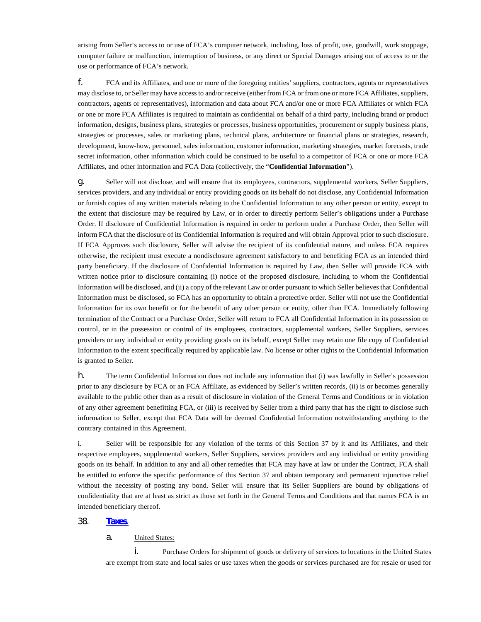arising from Seller's access to or use of FCA's computer network, including, loss of profit, use, goodwill, work stoppage, computer failure or malfunction, interruption of business, or any direct or Special Damages arising out of access to or the use or performance of FCA's network.

f. FCA and its Affiliates, and one or more of the foregoing entities' suppliers, contractors, agents or representatives may disclose to, or Seller may have access to and/or receive (either from FCA or from one or more FCA Affiliates, suppliers, contractors, agents or representatives), information and data about FCA and/or one or more FCA Affiliates or which FCA or one or more FCA Affiliates is required to maintain as confidential on behalf of a third party, including brand or product information, designs, business plans, strategies or processes, business opportunities, procurement or supply business plans, strategies or processes, sales or marketing plans, technical plans, architecture or financial plans or strategies, research, development, know-how, personnel, sales information, customer information, marketing strategies, market forecasts, trade secret information, other information which could be construed to be useful to a competitor of FCA or one or more FCA Affiliates, and other information and FCA Data (collectively, the "**Confidential Information**").

g. Seller will not disclose, and will ensure that its employees, contractors, supplemental workers, Seller Suppliers, services providers, and any individual or entity providing goods on its behalf do not disclose, any Confidential Information or furnish copies of any written materials relating to the Confidential Information to any other person or entity, except to the extent that disclosure may be required by Law, or in order to directly perform Seller's obligations under a Purchase Order. If disclosure of Confidential Information is required in order to perform under a Purchase Order, then Seller will inform FCA that the disclosure of its Confidential Information is required and will obtain Approval prior to such disclosure. If FCA Approves such disclosure, Seller will advise the recipient of its confidential nature, and unless FCA requires otherwise, the recipient must execute a nondisclosure agreement satisfactory to and benefiting FCA as an intended third party beneficiary. If the disclosure of Confidential Information is required by Law, then Seller will provide FCA with written notice prior to disclosure containing (i) notice of the proposed disclosure, including to whom the Confidential Information will be disclosed, and (ii) a copy of the relevant Law or order pursuant to which Seller believes that Confidential Information must be disclosed, so FCA has an opportunity to obtain a protective order. Seller will not use the Confidential Information for its own benefit or for the benefit of any other person or entity, other than FCA. Immediately following termination of the Contract or a Purchase Order, Seller will return to FCA all Confidential Information in its possession or control, or in the possession or control of its employees, contractors, supplemental workers, Seller Suppliers, services providers or any individual or entity providing goods on its behalf, except Seller may retain one file copy of Confidential Information to the extent specifically required by applicable law. No license or other rights to the Confidential Information is granted to Seller.

h. The term Confidential Information does not include any information that (i) was lawfully in Seller's possession prior to any disclosure by FCA or an FCA Affiliate, as evidenced by Seller's written records, (ii) is or becomes generally available to the public other than as a result of disclosure in violation of the General Terms and Conditions or in violation of any other agreement benefitting FCA, or (iii) is received by Seller from a third party that has the right to disclose such information to Seller, except that FCA Data will be deemed Confidential Information notwithstanding anything to the contrary contained in this Agreement.

i. Seller will be responsible for any violation of the terms of this Section 37 by it and its Affiliates, and their respective employees, supplemental workers, Seller Suppliers, services providers and any individual or entity providing goods on its behalf. In addition to any and all other remedies that FCA may have at law or under the Contract, FCA shall be entitled to enforce the specific performance of this Section 37 and obtain temporary and permanent injunctive relief without the necessity of posting any bond. Seller will ensure that its Seller Suppliers are bound by obligations of confidentiality that are at least as strict as those set forth in the General Terms and Conditions and that names FCA is an intended beneficiary thereof.

## 38. **[Taxes](#page-60-1)**.

#### <span id="page-60-1"></span>a. United States:

<span id="page-60-0"></span>i. Purchase Orders for shipment of goods or delivery of services to locations in the United States are exempt from state and local sales or use taxes when the goods or services purchased are for resale or used for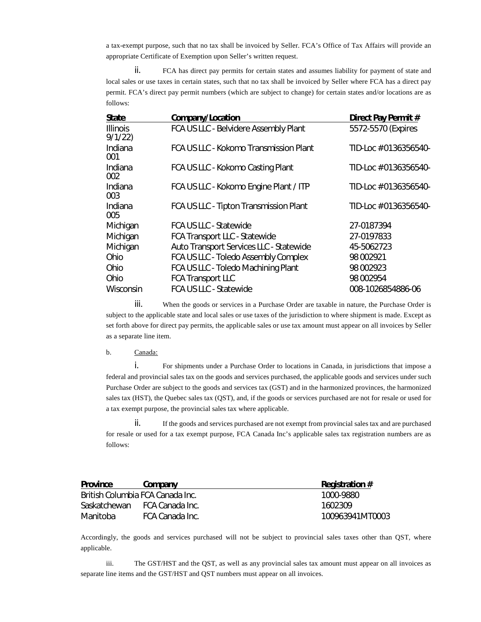a tax-exempt purpose, such that no tax shall be invoiced by Seller. FCA's Office of Tax Affairs will provide an appropriate Certificate of Exemption upon Seller's written request.

ii. FCA has direct pay permits for certain states and assumes liability for payment of state and local sales or use taxes in certain states, such that no tax shall be invoiced by Seller where FCA has a direct pay permit. FCA's direct pay permit numbers (which are subject to change) for certain states and/or locations are as follows:

| State                      | Company/Location                        | Direct Pay Permit #   |
|----------------------------|-----------------------------------------|-----------------------|
| <b>Illinois</b><br>9/1/22) | FCA US LLC - Belvidere Assembly Plant   | 5572-5570 (Expires    |
| Indiana<br>001             | FCA US LLC - Kokomo Transmission Plant  | TID-Loc # 0136356540- |
| Indiana<br>002             | FCA US LLC - Kokomo Casting Plant       | TID-Loc # 0136356540- |
| Indiana<br>003             | FCA US LLC - Kokomo Engine Plant / ITP  | TID-Loc # 0136356540- |
| Indiana<br>005             | FCA US LLC - Tipton Transmission Plant  | TID-Loc # 0136356540- |
| Michigan                   | <b>FCA US LLC - Statewide</b>           | 27-0187394            |
| Michigan                   | <b>FCA Transport LLC - Statewide</b>    | 27-0197833            |
| Michigan                   | Auto Transport Services LLC - Statewide | 45-5062723            |
| Ohio                       | FCA US LLC - Toledo Assembly Complex    | 98 002921             |
| Ohio                       | FCA US LLC - Toledo Machining Plant     | 98 002923             |
| Ohio                       | <b>FCA Transport LLC</b>                | 98 002954             |
| Wisconsin                  | FCA US LLC - Statewide                  | 008-1026854886-06     |
|                            |                                         |                       |

iii. When the goods or services in a Purchase Order are taxable in nature, the Purchase Order is subject to the applicable state and local sales or use taxes of the jurisdiction to where shipment is made. Except as set forth above for direct pay permits, the applicable sales or use tax amount must appear on all invoices by Seller as a separate line item.

### b. Canada:

i. For shipments under a Purchase Order to locations in Canada, in jurisdictions that impose a federal and provincial sales tax on the goods and services purchased, the applicable goods and services under such Purchase Order are subject to the goods and services tax (GST) and in the harmonized provinces, the harmonized sales tax (HST), the Quebec sales tax (QST), and, if the goods or services purchased are not for resale or used for a tax exempt purpose, the provincial sales tax where applicable.

ii. If the goods and services purchased are not exempt from provincial sales tax and are purchased for resale or used for a tax exempt purpose, FCA Canada Inc's applicable sales tax registration numbers are as follows:

| <b>Province</b> | Company                          | <b>Registration #</b> |
|-----------------|----------------------------------|-----------------------|
|                 | British Columbia FCA Canada Inc. | 1000-9880             |
| Saskatchewan    | - FCA Canada Inc.                | 1602309               |
| Manitoba        | FCA Canada Inc.                  | 100963941MT0003       |

Accordingly, the goods and services purchased will not be subject to provincial sales taxes other than QST, where applicable.

iii. The GST/HST and the QST, as well as any provincial sales tax amount must appear on all invoices as separate line items and the GST/HST and QST numbers must appear on all invoices.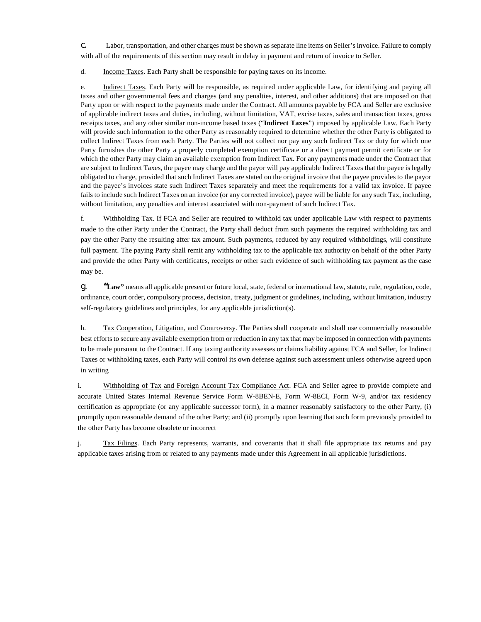c. Labor, transportation, and other charges must be shown as separate line items on Seller's invoice. Failure to comply with all of the requirements of this section may result in delay in payment and return of invoice to Seller.

d. **Income Taxes.** Each Party shall be responsible for paying taxes on its income.

e. Indirect Taxes. Each Party will be responsible, as required under applicable Law, for identifying and paying all taxes and other governmental fees and charges (and any penalties, interest, and other additions) that are imposed on that Party upon or with respect to the payments made under the Contract. All amounts payable by FCA and Seller are exclusive of applicable indirect taxes and duties, including, without limitation, VAT, excise taxes, sales and transaction taxes, gross receipts taxes, and any other similar non-income based taxes ("**Indirect Taxes**") imposed by applicable Law. Each Party will provide such information to the other Party as reasonably required to determine whether the other Party is obligated to collect Indirect Taxes from each Party. The Parties will not collect nor pay any such Indirect Tax or duty for which one Party furnishes the other Party a properly completed exemption certificate or a direct payment permit certificate or for which the other Party may claim an available exemption from Indirect Tax. For any payments made under the Contract that are subject to Indirect Taxes, the payee may charge and the payor will pay applicable Indirect Taxes that the payee is legally obligated to charge, provided that such Indirect Taxes are stated on the original invoice that the payee provides to the payor and the payee's invoices state such Indirect Taxes separately and meet the requirements for a valid tax invoice. If payee fails to include such Indirect Taxes on an invoice (or any corrected invoice), payee will be liable for any such Tax, including, without limitation, any penalties and interest associated with non-payment of such Indirect Tax.

f. Withholding Tax. If FCA and Seller are required to withhold tax under applicable Law with respect to payments made to the other Party under the Contract, the Party shall deduct from such payments the required withholding tax and pay the other Party the resulting after tax amount. Such payments, reduced by any required withholdings, will constitute full payment. The paying Party shall remit any withholding tax to the applicable tax authority on behalf of the other Party and provide the other Party with certificates, receipts or other such evidence of such withholding tax payment as the case may be.

g. **"Law"** means all applicable present or future local, state, federal or international law, statute, rule, regulation, code, ordinance, court order, compulsory process, decision, treaty, judgment or guidelines, including, without limitation, industry self-regulatory guidelines and principles, for any applicable jurisdiction(s).

h. Tax Cooperation, Litigation, and Controversy. The Parties shall cooperate and shall use commercially reasonable best efforts to secure any available exemption from or reduction in any tax that may be imposed in connection with payments to be made pursuant to the Contract. If any taxing authority assesses or claims liability against FCA and Seller, for Indirect Taxes or withholding taxes, each Party will control its own defense against such assessment unless otherwise agreed upon in writing

i. Withholding of Tax and Foreign Account Tax Compliance Act. FCA and Seller agree to provide complete and accurate United States Internal Revenue Service Form W-8BEN-E, Form W-8ECI, Form W-9, and/or tax residency certification as appropriate (or any applicable successor form), in a manner reasonably satisfactory to the other Party, (i) promptly upon reasonable demand of the other Party; and (ii) promptly upon learning that such form previously provided to the other Party has become obsolete or incorrect

j. Tax Filings. Each Party represents, warrants, and covenants that it shall file appropriate tax returns and pay applicable taxes arising from or related to any payments made under this Agreement in all applicable jurisdictions.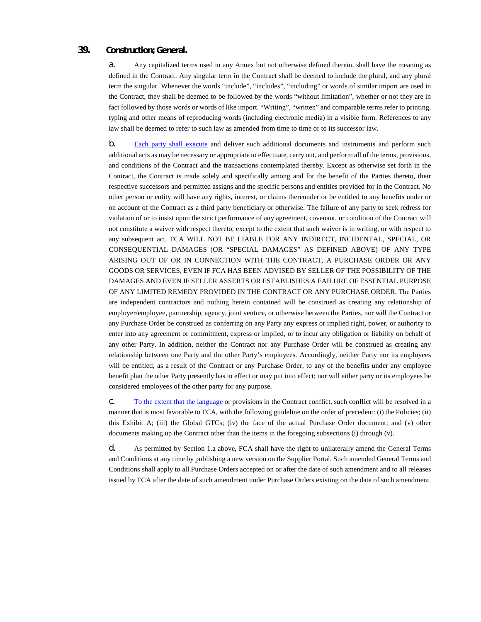## **39. Construction; General.**

a. Any capitalized terms used in any Annex but not otherwise defined therein, shall have the meaning as defined in the Contract. Any singular term in the Contract shall be deemed to include the plural, and any plural term the singular. Whenever the words "include", "includes", "including" or words of similar import are used in the Contract, they shall be deemed to be followed by the words "without limitation", whether or not they are in fact followed by those words or words of like import. "Writing", "written" and comparable terms refer to printing, typing and other means of reproducing words (including electronic media) in a visible form. References to any law shall be deemed to refer to such law as amended from time to time or to its successor law.

<span id="page-63-2"></span><span id="page-63-0"></span>b. [Each party shall execute](#page-63-2) and deliver such additional documents and instruments and perform such additional acts as may be necessary or appropriate to effectuate, carry out, and perform all of the terms, provisions, and conditions of the Contract and the transactions contemplated thereby. Except as otherwise set forth in the Contract, the Contract is made solely and specifically among and for the benefit of the Parties thereto, their respective successors and permitted assigns and the specific persons and entities provided for in the Contract. No other person or entity will have any rights, interest, or claims thereunder or be entitled to any benefits under or on account of the Contract as a third party beneficiary or otherwise. The failure of any party to seek redress for violation of or to insist upon the strict performance of any agreement, covenant, or condition of the Contract will not constitute a waiver with respect thereto, except to the extent that such waiver is in writing, or with respect to any subsequent act. FCA WILL NOT BE LIABLE FOR ANY INDIRECT, INCIDENTAL, SPECIAL, OR CONSEQUENTIAL DAMAGES (OR "SPECIAL DAMAGES" AS DEFINED ABOVE) OF ANY TYPE ARISING OUT OF OR IN CONNECTION WITH THE CONTRACT, A PURCHASE ORDER OR ANY GOODS OR SERVICES, EVEN IF FCA HAS BEEN ADVISED BY SELLER OF THE POSSIBILITY OF THE DAMAGES AND EVEN IF SELLER ASSERTS OR ESTABLISHES A FAILURE OF ESSENTIAL PURPOSE OF ANY LIMITED REMEDY PROVIDED IN THE CONTRACT OR ANY PURCHASE ORDER. The Parties are independent contractors and nothing herein contained will be construed as creating any relationship of employer/employee, partnership, agency, joint venture, or otherwise between the Parties, nor will the Contract or any Purchase Order be construed as conferring on any Party any express or implied right, power, or authority to enter into any agreement or commitment, express or implied, or to incur any obligation or liability on behalf of any other Party. In addition, neither the Contract nor any Purchase Order will be construed as creating any relationship between one Party and the other Party's employees. Accordingly, neither Party nor its employees will be entitled, as a result of the Contract or any Purchase Order, to any of the benefits under any employee benefit plan the other Party presently has in effect or may put into effect; nor will either party or its employees be considered employees of the other party for any purpose.

<span id="page-63-3"></span>c. [To the extent that the language o](#page-63-3)r provisions in the Contract conflict, such conflict will be resolved in a manner that is most favorable to FCA, with the following guideline on the order of precedent: (i) the Policies; (ii) this Exhibit A; (iii) the Global GTCs; (iv) the face of the actual Purchase Order document; and (v) other documents making up the Contract other than the items in the foregoing subsections (i) through (v).

<span id="page-63-1"></span>d. As permitted by Section 1.a above, FCA shall have the right to unilaterally amend the General Terms and Conditions at any time by publishing a new version on the Supplier Portal. Such amended General Terms and Conditions shall apply to all Purchase Orders accepted on or after the date of such amendment and to all releases issued by FCA after the date of such amendment under Purchase Orders existing on the date of such amendment.